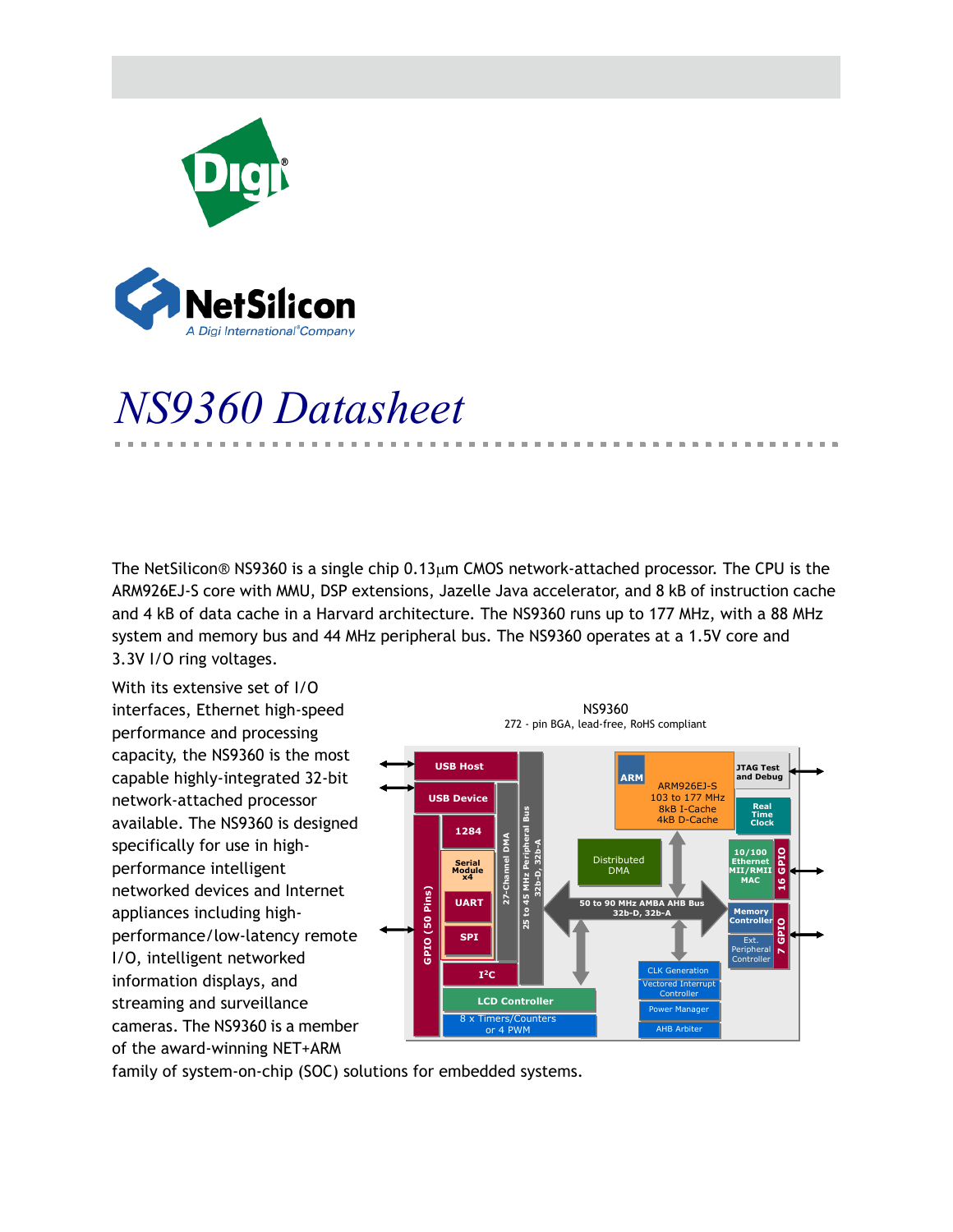

# *NS9360 Datasheet*

A Digi International<sup>®</sup>Company

The NetSilicon<sup>®</sup> NS9360 is a single chip  $0.13 \mu m$  CMOS network-attached processor. The CPU is the ARM926EJ-S core with MMU, DSP extensions, Jazelle Java accelerator, and 8 kB of instruction cache and 4 kB of data cache in a Harvard architecture. The NS9360 runs up to 177 MHz, with a 88 MHz system and memory bus and 44 MHz peripheral bus. The NS9360 operates at a 1.5V core and 3.3V I/O ring voltages.

With its extensive set of I/O interfaces, Ethernet high-speed performance and processing capacity, the NS9360 is the most capable highly-integrated 32-bit network-attached processor available. The NS9360 is designed specifically for use in highperformance intelligent networked devices and Internet appliances including highperformance/low-latency remote I/O, intelligent networked information displays, and streaming and surveillance cameras. The NS9360 is a member of the award-winning NET+ARM



. . . . . . . . . . . .

■ 東京 ■ U.

family of system-on-chip (SOC) solutions for embedded systems.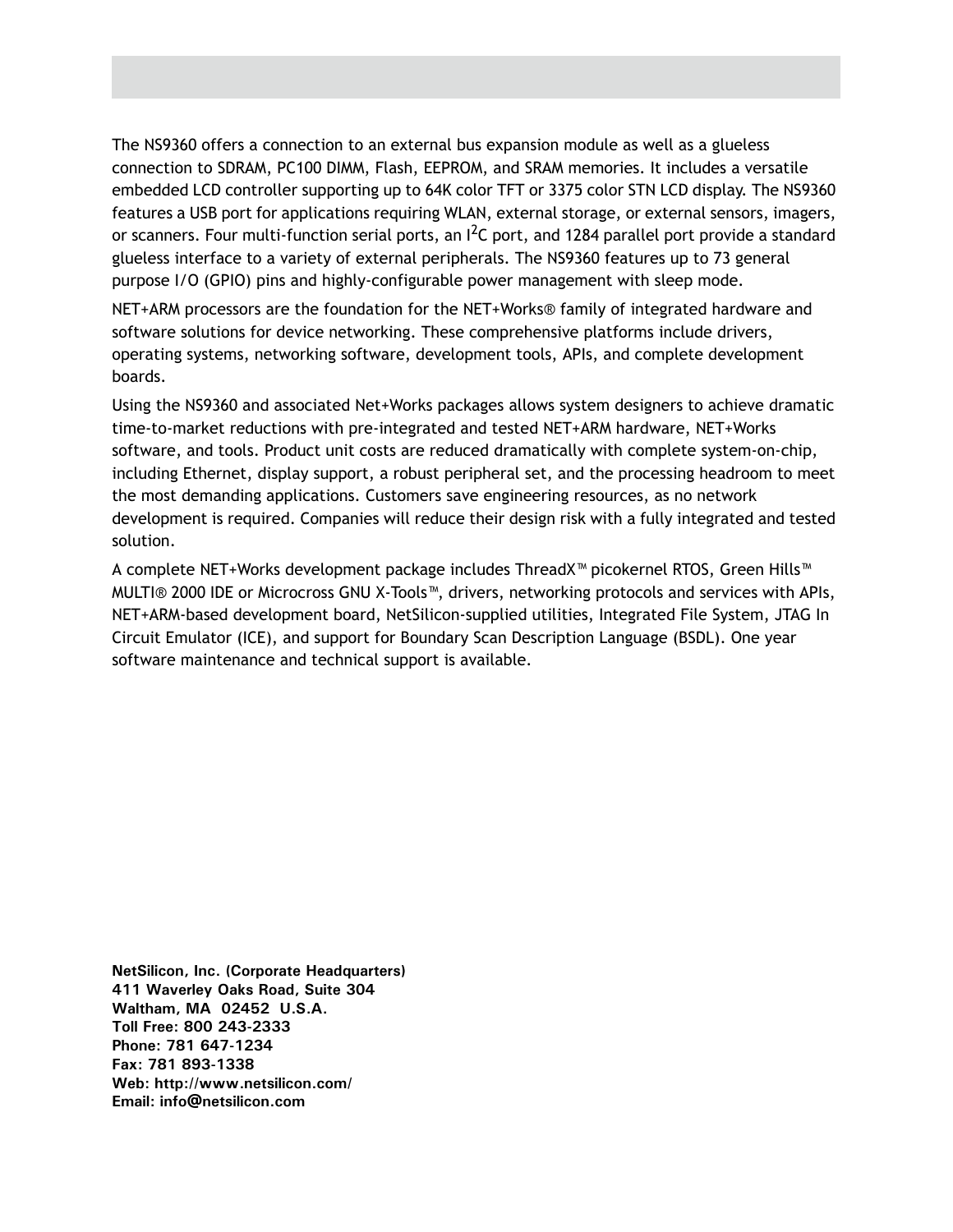The NS9360 offers a connection to an external bus expansion module as well as a glueless connection to SDRAM, PC100 DIMM, Flash, EEPROM, and SRAM memories. It includes a versatile embedded LCD controller supporting up to 64K color TFT or 3375 color STN LCD display. The NS9360 features a USB port for applications requiring WLAN, external storage, or external sensors, imagers, or scanners. Four multi-function serial ports, an  $I^2C$  port, and 1284 parallel port provide a standard glueless interface to a variety of external peripherals. The NS9360 features up to 73 general purpose I/O (GPIO) pins and highly-configurable power management with sleep mode.

NET+ARM processors are the foundation for the NET+Works® family of integrated hardware and software solutions for device networking. These comprehensive platforms include drivers, operating systems, networking software, development tools, APIs, and complete development boards.

Using the NS9360 and associated Net+Works packages allows system designers to achieve dramatic time-to-market reductions with pre-integrated and tested NET+ARM hardware, NET+Works software, and tools. Product unit costs are reduced dramatically with complete system-on-chip, including Ethernet, display support, a robust peripheral set, and the processing headroom to meet the most demanding applications. Customers save engineering resources, as no network development is required. Companies will reduce their design risk with a fully integrated and tested solution.

A complete NET+Works development package includes ThreadX™ picokernel RTOS, Green Hills™ MULTI® 2000 IDE or Microcross GNU X-Tools™, drivers, networking protocols and services with APIs, NET+ARM-based development board, NetSilicon-supplied utilities, Integrated File System, JTAG In Circuit Emulator (ICE), and support for Boundary Scan Description Language (BSDL). One year software maintenance and technical support is available.

**NetSilicon, Inc. (Corporate Headquarters) 411 Waverley Oaks Road, Suite 304 Waltham, MA 02452 U.S.A. Toll Free: 800 243-2333 Phone: 781 647-1234 Fax: 781 893-1338 Web: http://www.netsilicon.com/ Email: info@netsilicon.com**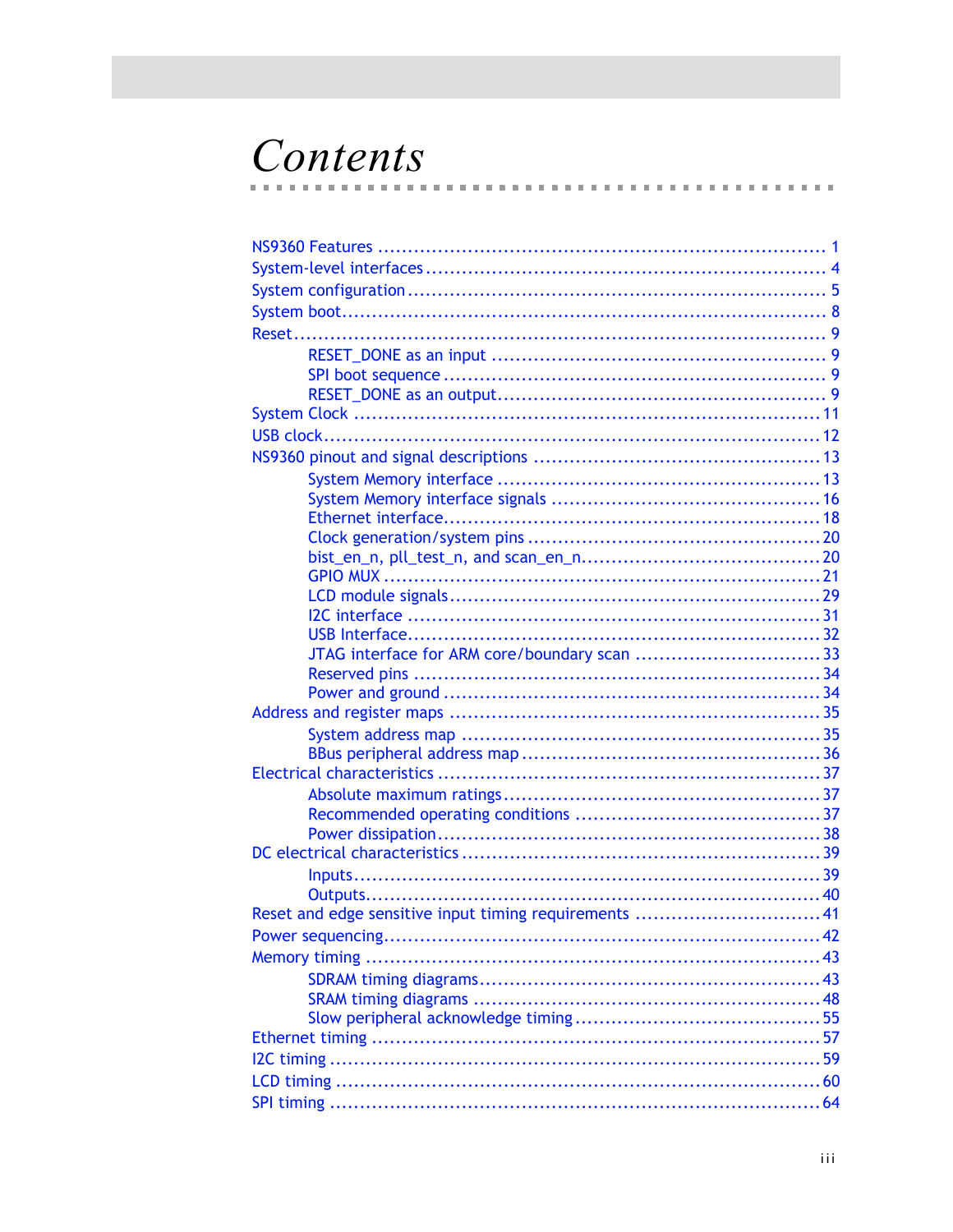# Contents

| Reset and edge sensitive input timing requirements  41 |  |
|--------------------------------------------------------|--|
|                                                        |  |
|                                                        |  |
|                                                        |  |
|                                                        |  |
|                                                        |  |
|                                                        |  |
|                                                        |  |
|                                                        |  |
|                                                        |  |

 $\blacksquare$  $\sim$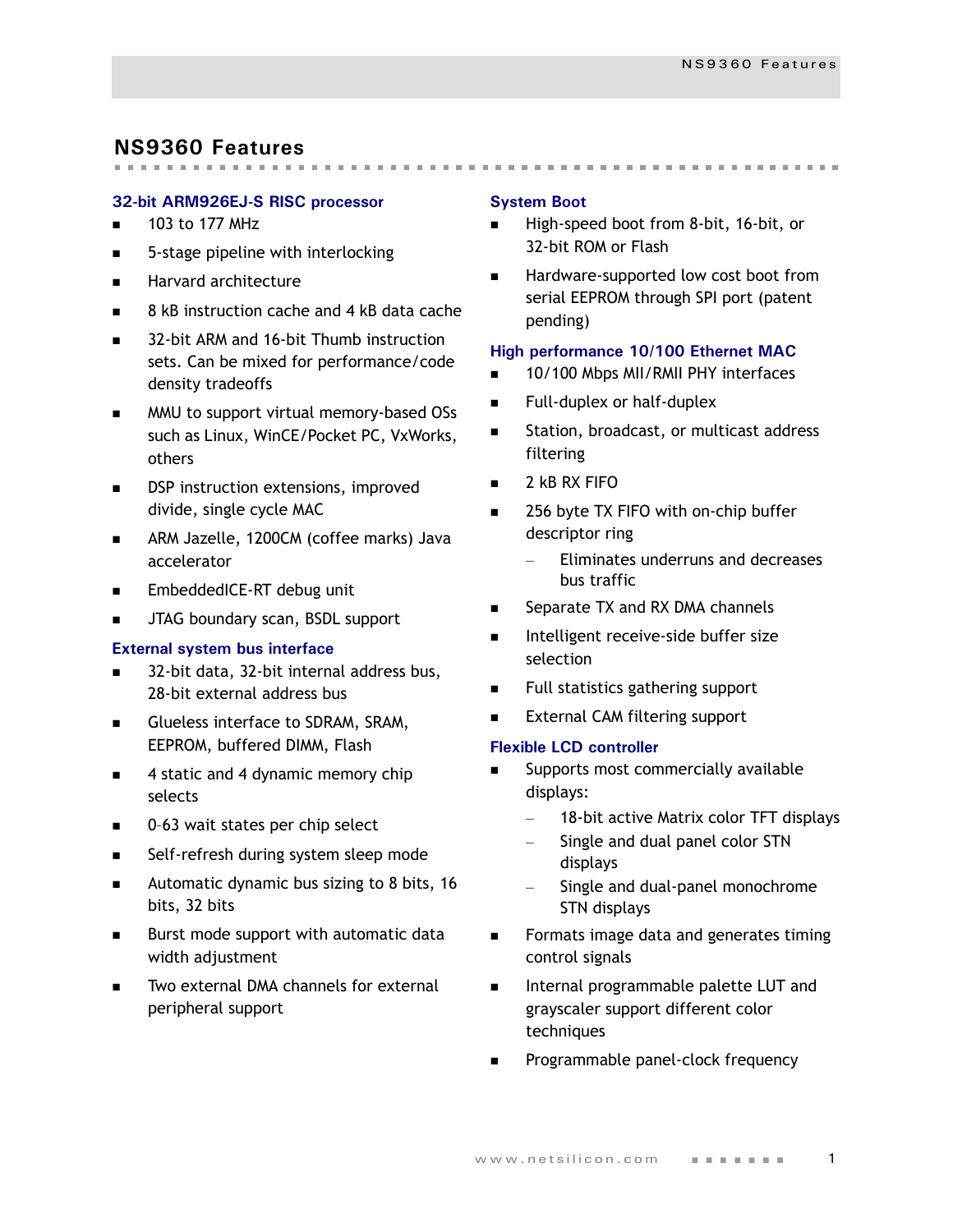# <span id="page-4-0"></span>**NS9360 Features**

#### **32-bit ARM926EJ-S RISC processor**

- $\blacksquare$  103 to 177 MHz
- 5-stage pipeline with interlocking
- **Harvard architecture**
- 8 kB instruction cache and 4 kB data cache
- 32-bit ARM and 16-bit Thumb instruction sets. Can be mixed for performance/code density tradeoffs
- **MMU** to support virtual memory-based OSs such as Linux, WinCE/Pocket PC, VxWorks, others
- DSP instruction extensions, improved divide, single cycle MAC
- ARM Jazelle, 1200CM (coffee marks) Java accelerator
- **EmbeddedICE-RT debug unit**
- **JTAG boundary scan, BSDL support**

#### **External system bus interface**

- 32-bit data, 32-bit internal address bus, 28-bit external address bus
- Glueless interface to SDRAM, SRAM, EEPROM, buffered DIMM, Flash
- 4 static and 4 dynamic memory chip selects
- 0-63 wait states per chip select
- Self-refresh during system sleep mode
- Automatic dynamic bus sizing to 8 bits, 16 bits, 32 bits
- Burst mode support with automatic data width adjustment
- Two external DMA channels for external peripheral support

#### **System Boot**

High-speed boot from 8-bit, 16-bit, or 32-bit ROM or Flash

 Hardware-supported low cost boot from serial EEPROM through SPI port (patent pending)

#### **High performance 10/100 Ethernet MAC**

- 10/100 Mbps MII/RMII PHY interfaces
- Full-duplex or half-duplex
- **Station, broadcast, or multicast address** filtering
- $\blacksquare$  2 kB RX FIFO
- 256 byte TX FIFO with on-chip buffer descriptor ring
	- Eliminates underruns and decreases bus traffic
- Separate TX and RX DMA channels
- Intelligent receive-side buffer size selection
- Full statistics gathering support
- External CAM filtering support

#### **Flexible LCD controller**

- Supports most commercially available displays:
	- 18-bit active Matrix color TFT displays
	- Single and dual panel color STN displays
	- Single and dual-panel monochrome STN displays
- **Formats image data and generates timing** control signals
- Internal programmable palette LUT and grayscaler support different color techniques
- Programmable panel-clock frequency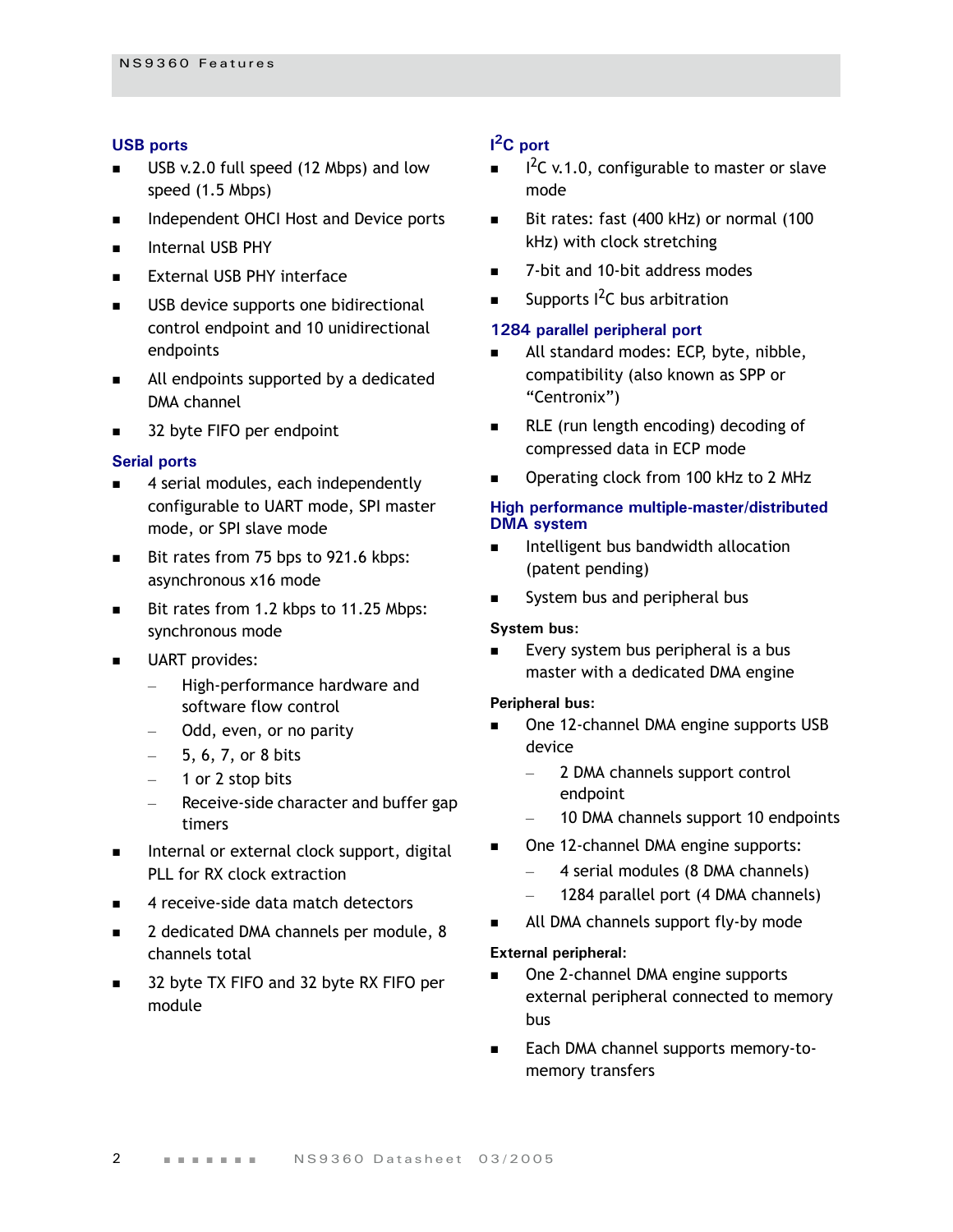#### **USB ports**

- USB v.2.0 full speed (12 Mbps) and low speed (1.5 Mbps)
- **Independent OHCI Host and Device ports**
- **Internal USB PHY**
- **External USB PHY interface**
- **USB** device supports one bidirectional control endpoint and 10 unidirectional endpoints
- All endpoints supported by a dedicated DMA channel
- 32 byte FIFO per endpoint

#### **Serial ports**

- 4 serial modules, each independently configurable to UART mode, SPI master mode, or SPI slave mode
- Bit rates from 75 bps to 921.6 kbps: asynchronous x16 mode
- Bit rates from 1.2 kbps to 11.25 Mbps: synchronous mode
- UART provides:
	- High-performance hardware and software flow control
	- Odd, even, or no parity
	- 5, 6, 7, or 8 bits
	- 1 or 2 stop bits
	- Receive-side character and buffer gap timers
- $\blacksquare$  Internal or external clock support, digital PLL for RX clock extraction
- 4 receive-side data match detectors
- 2 dedicated DMA channels per module, 8 channels total
- 32 byte TX FIFO and 32 byte RX FIFO per module

### **I 2C port**

- $I^2C$  v.1.0, configurable to master or slave mode
- Bit rates: fast (400 kHz) or normal (100 kHz) with clock stretching
- 7-bit and 10-bit address modes
- Supports  $1^2C$  bus arbitration

#### **1284 parallel peripheral port**

- All standard modes: ECP, byte, nibble, compatibility (also known as SPP or "Centronix")
- **RLE** (run length encoding) decoding of compressed data in ECP mode
- Operating clock from 100 kHz to 2 MHz

#### **High performance multiple-master/distributed DMA system**

- Intelligent bus bandwidth allocation (patent pending)
- System bus and peripheral bus

#### **System bus:**

 Every system bus peripheral is a bus master with a dedicated DMA engine

#### **Peripheral bus:**

- One 12-channel DMA engine supports USB device
	- 2 DMA channels support control endpoint
	- 10 DMA channels support 10 endpoints
- One 12-channel DMA engine supports:
	- 4 serial modules (8 DMA channels)
	- 1284 parallel port (4 DMA channels)
- All DMA channels support fly-by mode

#### **External peripheral:**

- One 2-channel DMA engine supports external peripheral connected to memory bus
- Each DMA channel supports memory-tomemory transfers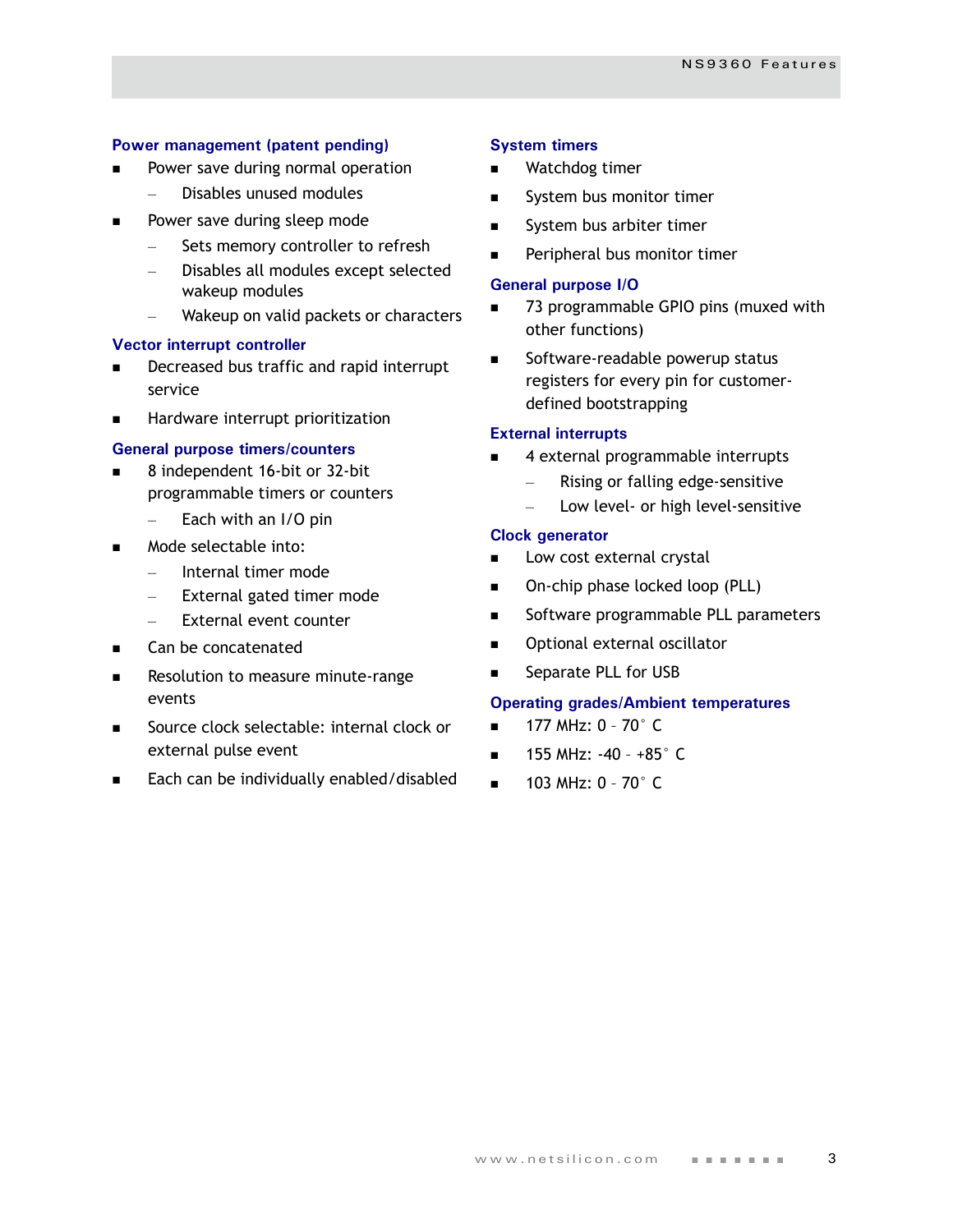#### **Power management (patent pending)**

- Power save during normal operation
	- Disables unused modules
- Power save during sleep mode
	- Sets memory controller to refresh
	- Disables all modules except selected wakeup modules
	- Wakeup on valid packets or characters

#### **Vector interrupt controller**

- Decreased bus traffic and rapid interrupt service
- **Hardware interrupt prioritization**

#### **General purpose timers/counters**

- 8 independent 16-bit or 32-bit programmable timers or counters
	- Each with an I/O pin
- Mode selectable into:
	- Internal timer mode
	- External gated timer mode
	- External event counter
- Can be concatenated
- Resolution to measure minute-range events
- Source clock selectable: internal clock or external pulse event
- Each can be individually enabled/disabled

#### **System timers**

- Watchdog timer
- System bus monitor timer
- System bus arbiter timer
- Peripheral bus monitor timer

#### **General purpose I/O**

- 73 programmable GPIO pins (muxed with other functions)
- Software-readable powerup status registers for every pin for customerdefined bootstrapping

#### **External interrupts**

- 4 external programmable interrupts
	- Rising or falling edge-sensitive
	- Low level- or high level-sensitive

#### **Clock generator**

- Low cost external crystal
- On-chip phase locked loop (PLL)
- Software programmable PLL parameters
- Optional external oscillator
- Separate PLL for USB

#### **Operating grades/Ambient temperatures**

- $\blacksquare$  177 MHz: 0 70 $^{\circ}$  C
- $\blacksquare$  155 MHz: -40 +85 $^{\circ}$  C
- $\blacksquare$  103 MHz: 0 70 $^{\circ}$  C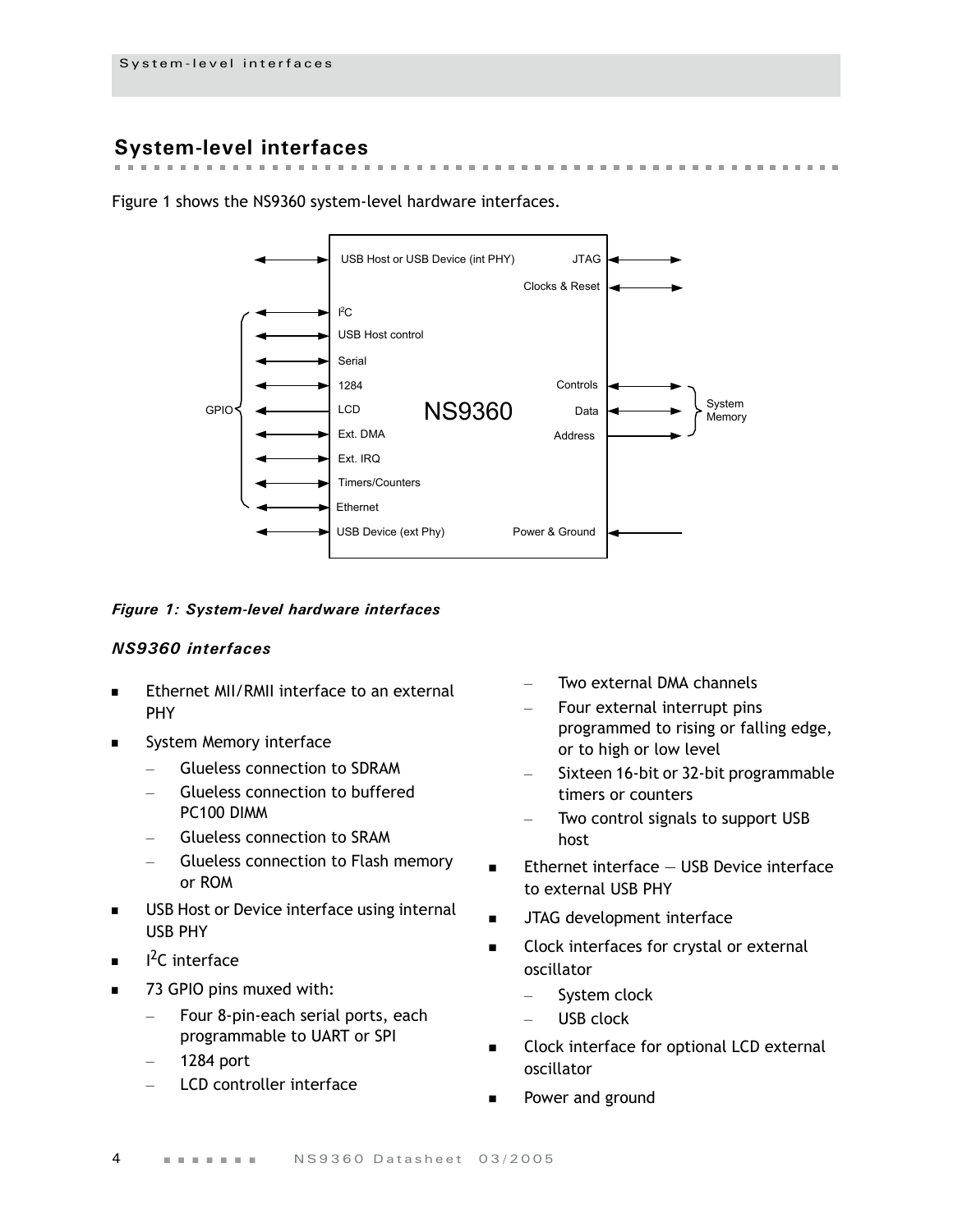# <span id="page-7-0"></span>**System-level interfaces**

Figure 1 shows the NS9360 system-level hardware interfaces.



 $\mathcal{M} = \mathcal{M} \times \mathcal{M} \times \mathcal{M}$ 

 $\sim$  $\mathbf{m}$  the company of the company

the control of the

#### *Figure 1: System-level hardware interfaces*

#### *NS9360 interfaces*

- Ethernet MII/RMII interface to an external PHY
- System Memory interface
	- Glueless connection to SDRAM
	- Glueless connection to buffered PC100 DIMM
	- Glueless connection to SRAM
	- Glueless connection to Flash memory or ROM
- USB Host or Device interface using internal USB PHY
- $I^2C$  interface
- 73 GPIO pins muxed with:
	- Four 8-pin-each serial ports, each programmable to UART or SPI
	- 1284 port
	- LCD controller interface
- Two external DMA channels
- Four external interrupt pins programmed to rising or falling edge, or to high or low level
- Sixteen 16-bit or 32-bit programmable timers or counters
- Two control signals to support USB host
- $\blacksquare$  Ethernet interface  $-$  USB Device interface to external USB PHY
- JTAG development interface
- Clock interfaces for crystal or external oscillator
	- System clock
	- USB clock
- Clock interface for optional LCD external oscillator
- Power and ground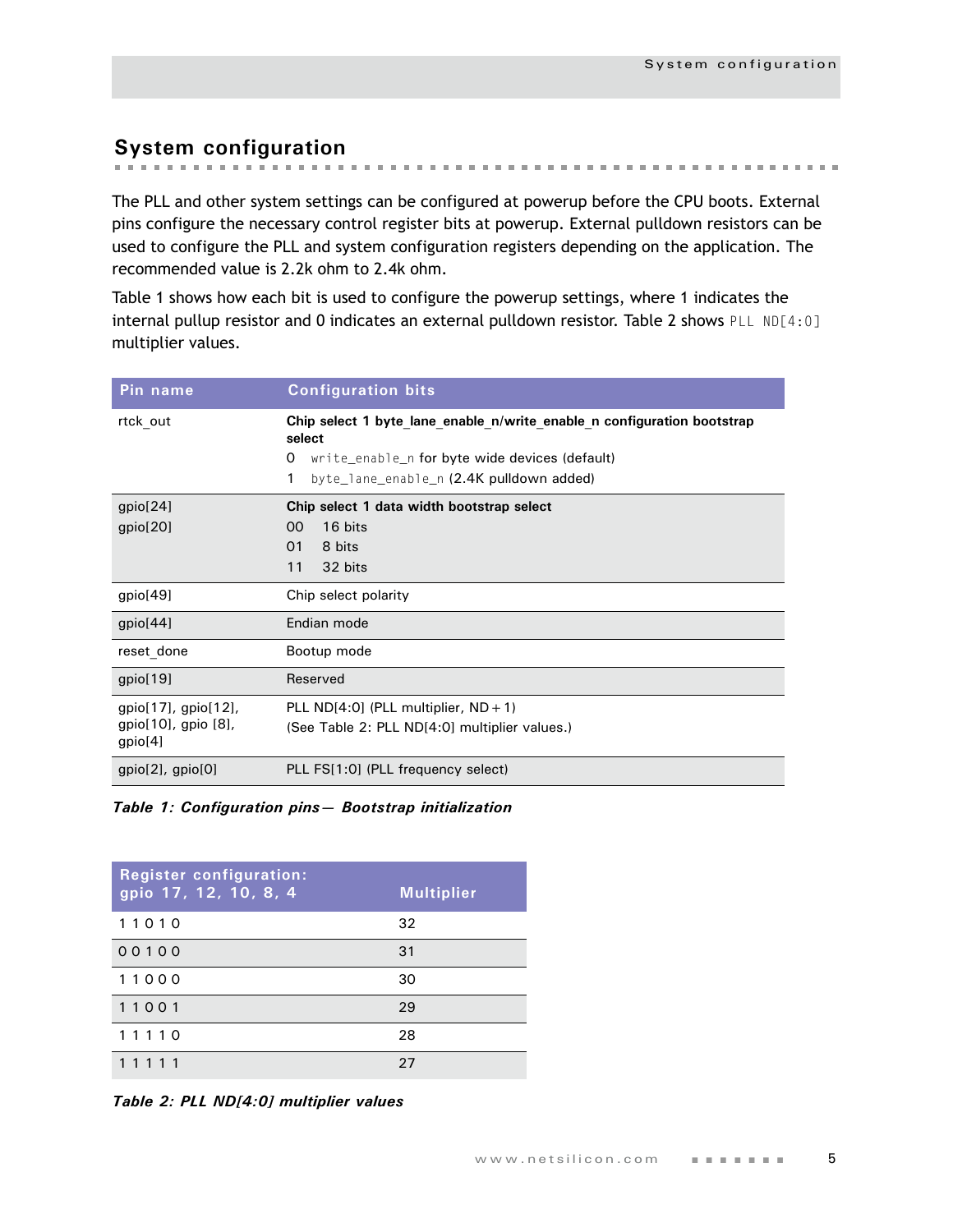# <span id="page-8-0"></span>**System configuration**

The PLL and other system settings can be configured at powerup before the CPU boots. External pins configure the necessary control register bits at powerup. External pulldown resistors can be used to configure the PLL and system configuration registers depending on the application. The recommended value is 2.2k ohm to 2.4k ohm.

Table 1 shows how each bit is used to configure the powerup settings, where 1 indicates the internal pullup resistor and 0 indicates an external pulldown resistor. Table 2 shows PLL ND[4:0] multiplier values.

| Pin name                             | <b>Configuration bits</b>                                                         |  |  |  |  |  |
|--------------------------------------|-----------------------------------------------------------------------------------|--|--|--|--|--|
| rtck out                             | Chip select 1 byte lane enable n/write enable n configuration bootstrap<br>select |  |  |  |  |  |
|                                      | write_enable_n for byte wide devices (default)<br>0                               |  |  |  |  |  |
|                                      | byte_lane_enable_n (2.4K pulldown added)<br>1                                     |  |  |  |  |  |
| gpio[24]                             | Chip select 1 data width bootstrap select                                         |  |  |  |  |  |
| gpio[20]                             | 16 bits<br>00                                                                     |  |  |  |  |  |
|                                      | 01<br>8 bits                                                                      |  |  |  |  |  |
|                                      | 11<br>32 bits                                                                     |  |  |  |  |  |
| gpio[49]                             | Chip select polarity                                                              |  |  |  |  |  |
| gpio[44]                             | Endian mode                                                                       |  |  |  |  |  |
| reset done                           | Bootup mode                                                                       |  |  |  |  |  |
| gpio[19]                             | Reserved                                                                          |  |  |  |  |  |
| $gpio[17]$ , $gpio[12]$ ,            | PLL ND $[4:0]$ (PLL multiplier, ND + 1)                                           |  |  |  |  |  |
| $gpio[10]$ , gpio $[8]$ ,<br>gpio[4] | (See Table 2: PLL ND[4:0] multiplier values.)                                     |  |  |  |  |  |
| $gpio[2]$ , $gpio[0]$                | PLL FS[1:0] (PLL frequency select)                                                |  |  |  |  |  |

*Table 1: Configuration pins— Bootstrap initialization*

| <b>Register configuration:</b><br>gpio 17, 12, 10, 8, 4 | <b>Multiplier</b> |
|---------------------------------------------------------|-------------------|
| 11010                                                   | 32                |
| 00100                                                   | 31                |
| 11000                                                   | 30                |
| 11001                                                   | 29                |
| 11110                                                   | 28                |
| 11111                                                   | 27                |

*Table 2: PLL ND[4:0] multiplier values*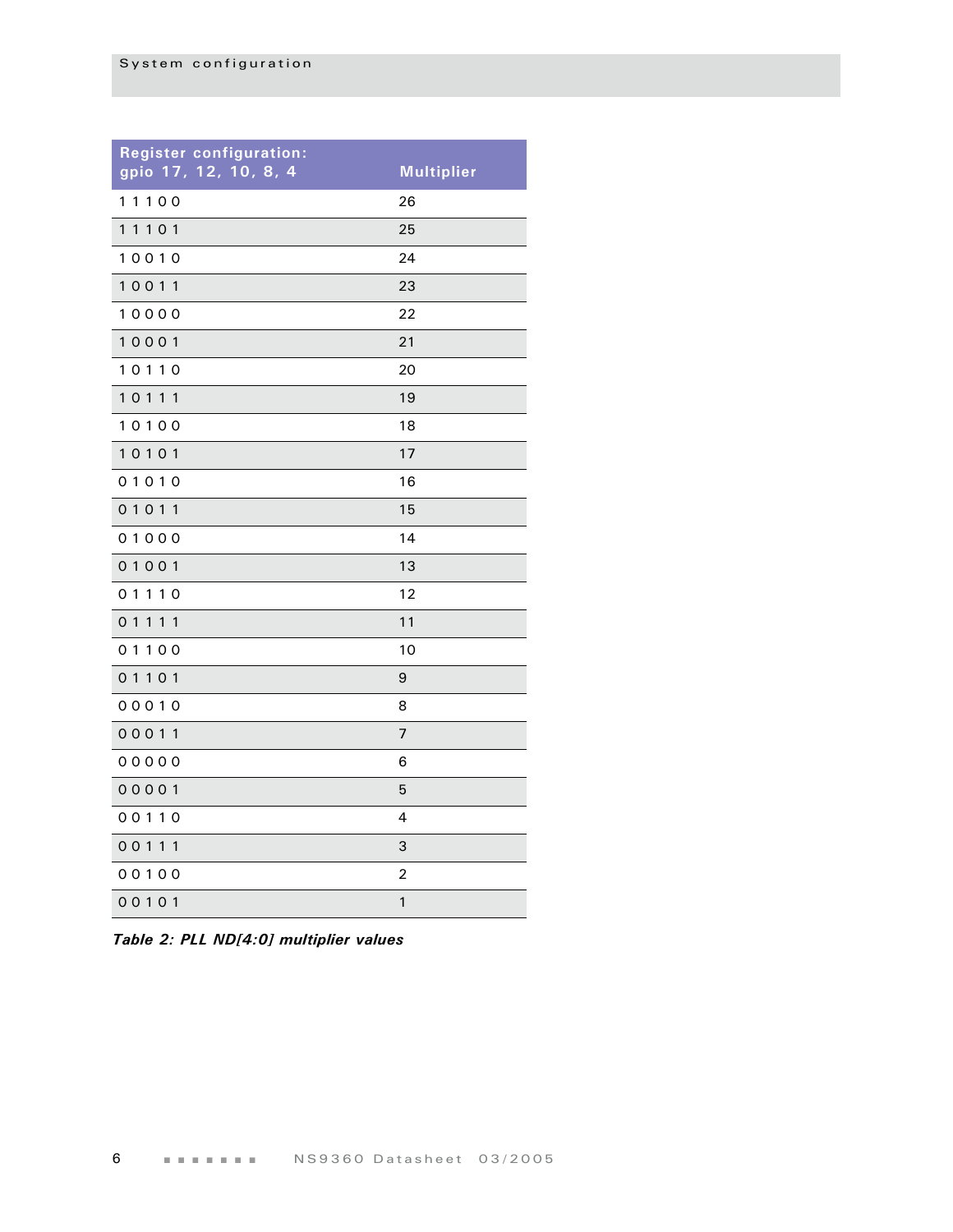| <b>Register configuration:</b><br>gpio 17, 12, 10, 8, 4 | <b>Multiplier</b> |
|---------------------------------------------------------|-------------------|
| 11100                                                   | 26                |
| 11101                                                   | 25                |
| 10010                                                   | 24                |
| 10011                                                   | 23                |
| 10000                                                   | 22                |
| 10001                                                   | 21                |
| 10110                                                   | 20                |
| 10111                                                   | 19                |
| 10100                                                   | 18                |
| 10101                                                   | 17                |
| 01010                                                   | 16                |
| 01011                                                   | 15                |
| 01000                                                   | 14                |
| 01001                                                   | 13                |
| 01110                                                   | 12                |
| 01111                                                   | 11                |
| 01100                                                   | 10                |
| 01101                                                   | 9                 |
| 00010                                                   | 8                 |
| 00011                                                   | 7                 |
| 00000                                                   | 6                 |
| 00001                                                   | 5                 |
| 00110                                                   | 4                 |
| 00111                                                   | 3                 |
| 00100                                                   | 2                 |
| 00101                                                   | $\mathbf{1}$      |

*Table 2: PLL ND[4:0] multiplier values*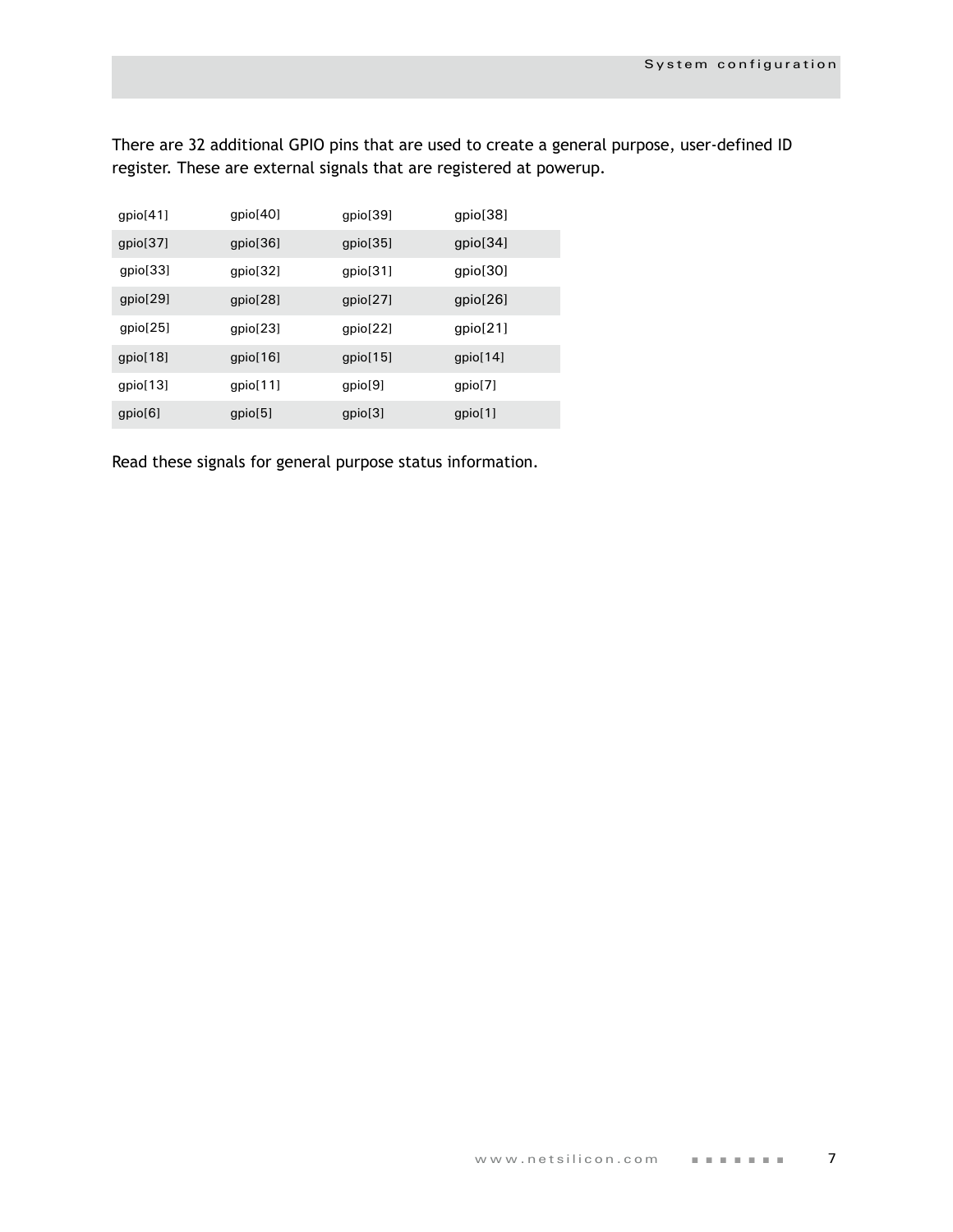There are 32 additional GPIO pins that are used to create a general purpose, user-defined ID register. These are external signals that are registered at powerup.

| gpio[41] | gpio[40] | gpio[39] | gpio[38] |
|----------|----------|----------|----------|
| gpio[37] | gpio[36] | gpio[35] | gpio[34] |
| gpio[33] | gpio[32] | gpio[31] | gpio[30] |
| gpio[29] | gpio[28] | gpio[27] | gpio[26] |
| gpio[25] | gpio[23] | gpio[22] | gpio[21] |
| gpio[18] | gpio[16] | gpio[15] | gpio[14] |
| gpio[13] | gpio[11] | gpio[9]  | gpio[7]  |
| gpio[6]  | gpio[5]  | gpio[3]  | gpio[1]  |

Read these signals for general purpose status information.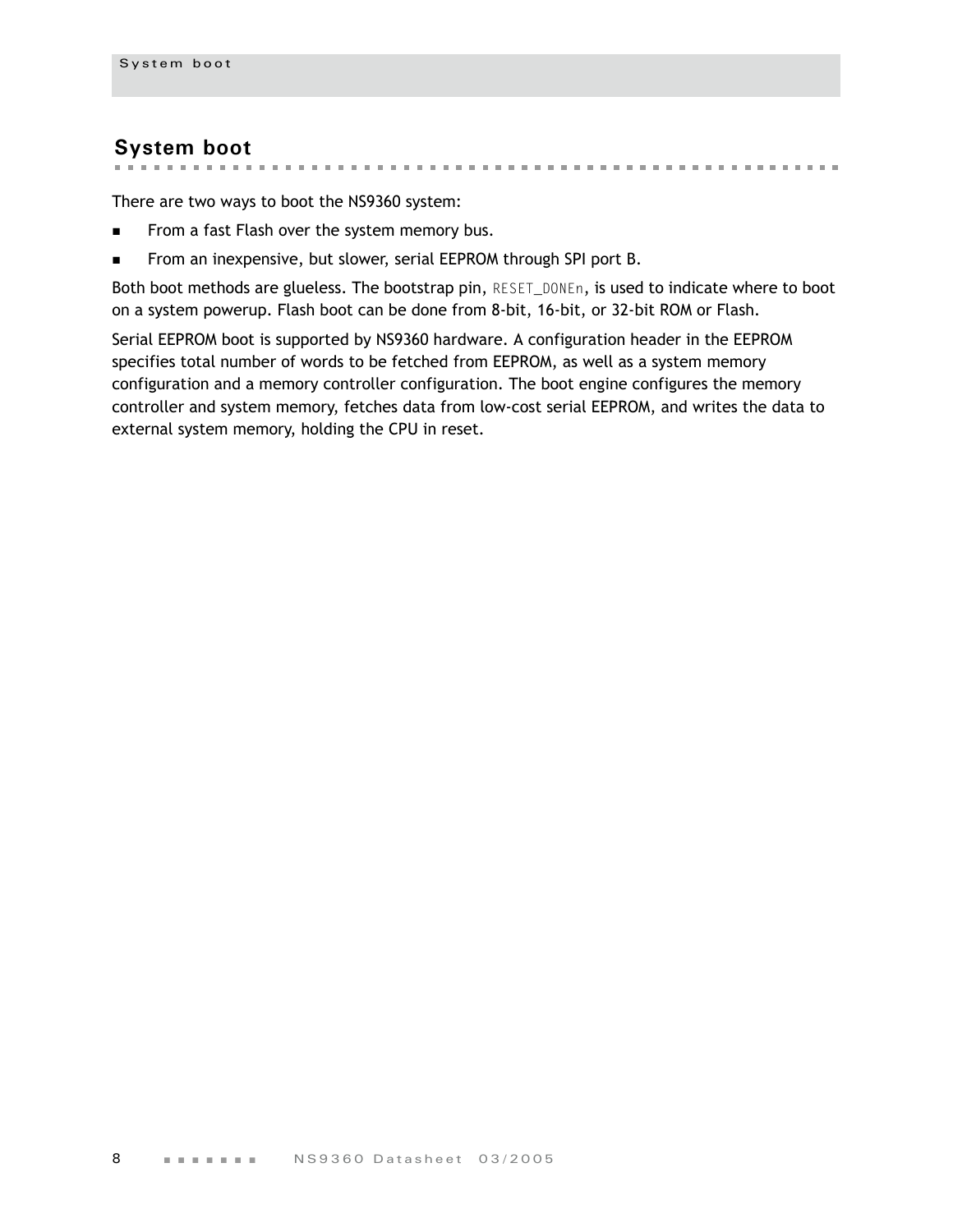### <span id="page-11-0"></span>**System boot**

. . . . . . . . . . . . . . . .

There are two ways to boot the NS9360 system:

- From a fast Flash over the system memory bus.
- **From an inexpensive, but slower, serial EEPROM through SPI port B.**

Both boot methods are glueless. The bootstrap pin, RESET\_DONEn, is used to indicate where to boot on a system powerup. Flash boot can be done from 8-bit, 16-bit, or 32-bit ROM or Flash.

. . . . . . . . . . . . . . . . . . . .

m.

Serial EEPROM boot is supported by NS9360 hardware. A configuration header in the EEPROM specifies total number of words to be fetched from EEPROM, as well as a system memory configuration and a memory controller configuration. The boot engine configures the memory controller and system memory, fetches data from low-cost serial EEPROM, and writes the data to external system memory, holding the CPU in reset.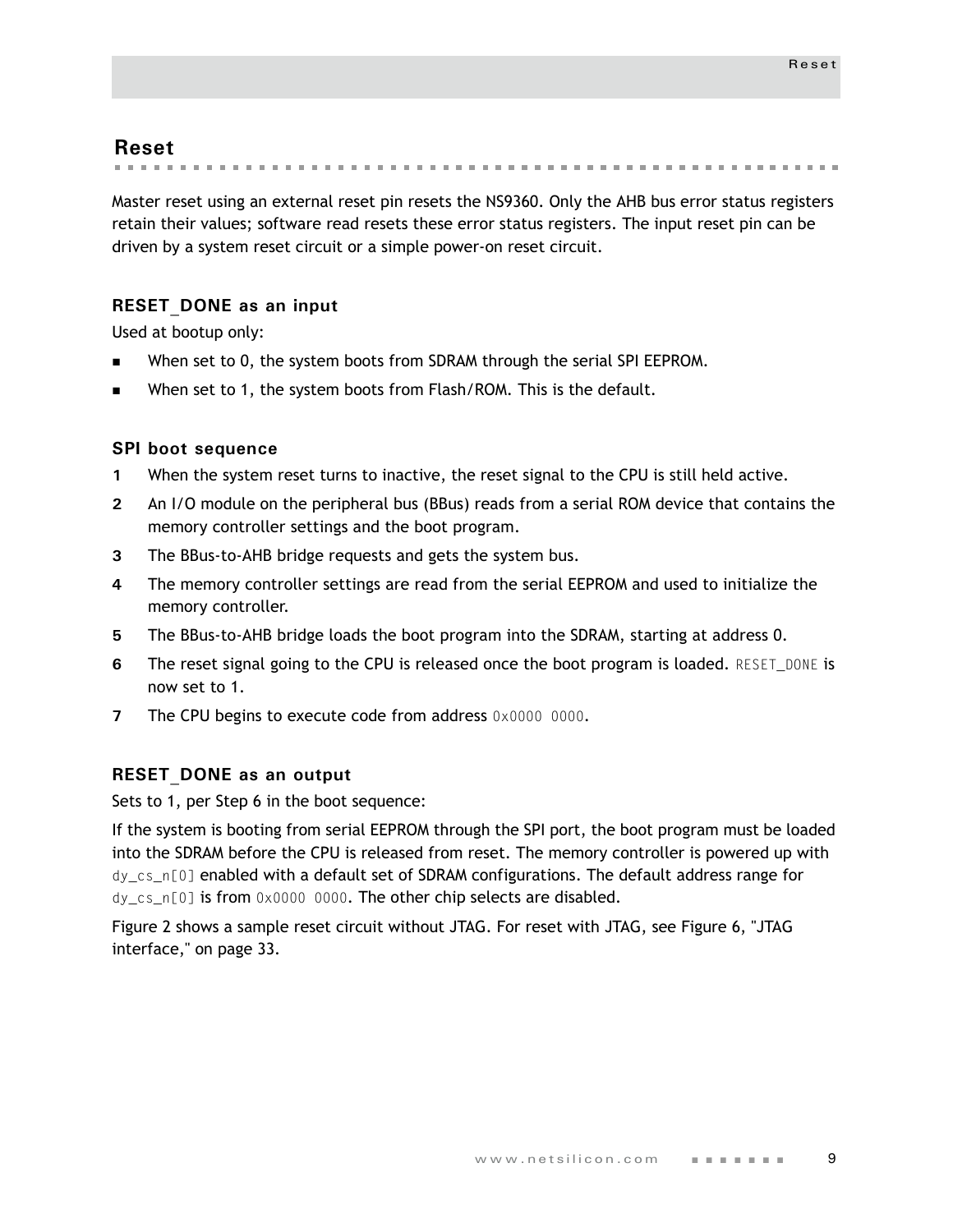### <span id="page-12-0"></span>**Reset**

. . . . . . . . . . . . . . . . the company of the company

Master reset using an external reset pin resets the NS9360. Only the AHB bus error status registers retain their values; software read resets these error status registers. The input reset pin can be driven by a system reset circuit or a simple power-on reset circuit.

#### <span id="page-12-1"></span>**RESET\_DONE as an input**

Used at bootup only:

- When set to 0, the system boots from SDRAM through the serial SPI EEPROM.
- When set to 1, the system boots from Flash/ROM. This is the default.

#### <span id="page-12-2"></span>**SPI boot sequence**

- **1** When the system reset turns to inactive, the reset signal to the CPU is still held active.
- **2** An I/O module on the peripheral bus (BBus) reads from a serial ROM device that contains the memory controller settings and the boot program.
- **3** The BBus-to-AHB bridge requests and gets the system bus.
- **4** The memory controller settings are read from the serial EEPROM and used to initialize the memory controller.
- **5** The BBus-to-AHB bridge loads the boot program into the SDRAM, starting at address 0.
- **6** The reset signal going to the CPU is released once the boot program is loaded. RESET DONE is now set to 1.
- **7** The CPU begins to execute code from address 0x0000 0000.

#### <span id="page-12-3"></span>**RESET\_DONE as an output**

Sets to 1, per Step 6 in the boot sequence:

If the system is booting from serial EEPROM through the SPI port, the boot program must be loaded into the SDRAM before the CPU is released from reset. The memory controller is powered up with dy\_cs\_n[0] enabled with a default set of SDRAM configurations. The default address range for dy\_cs\_n[0] is from 0x0000 0000. The other chip selects are disabled.

Figure 2 shows a sample reset circuit without JTAG. For reset with JTAG, see [Figure 6, "JTAG](#page-36-1)  [interface," on page 33](#page-36-1).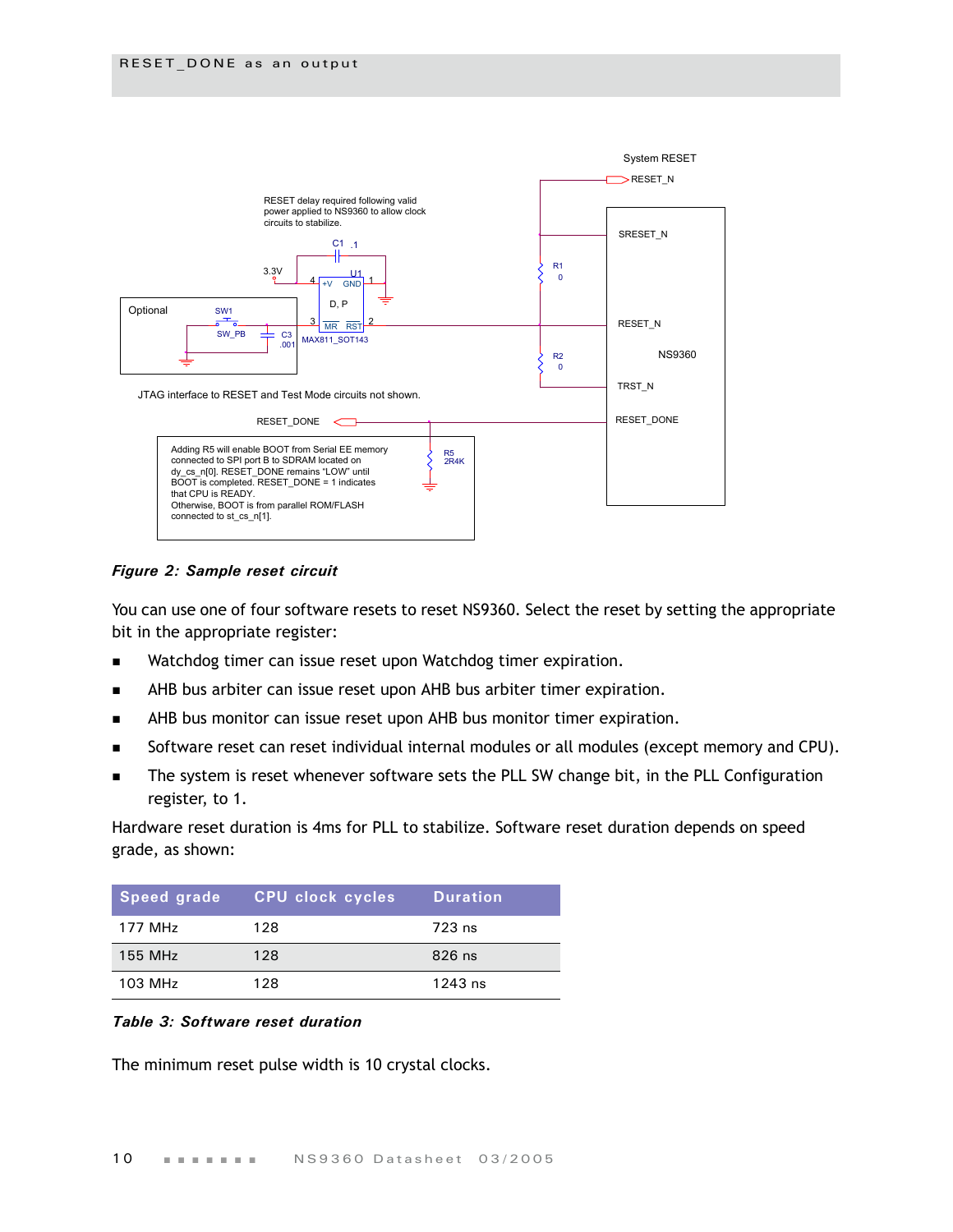

*Figure 2: Sample reset circuit*

You can use one of four software resets to reset NS9360. Select the reset by setting the appropriate bit in the appropriate register:

- Watchdog timer can issue reset upon Watchdog timer expiration.
- AHB bus arbiter can issue reset upon AHB bus arbiter timer expiration.
- **AHB** bus monitor can issue reset upon AHB bus monitor timer expiration.
- Software reset can reset individual internal modules or all modules (except memory and CPU).
- The system is reset whenever software sets the PLL SW change bit, in the PLL Configuration register, to 1.

Hardware reset duration is 4ms for PLL to stabilize. Software reset duration depends on speed grade, as shown:

| Speed grade' | <b>CPU clock cycles</b> | <b>Duration</b> |
|--------------|-------------------------|-----------------|
| 177 MHz      | 128                     | 723 ns          |
| 155 MHz      | 128                     | 826 ns          |
| 103 MHz      | 128                     | $1243$ ns       |

#### *Table 3: Software reset duration*

The minimum reset pulse width is 10 crystal clocks.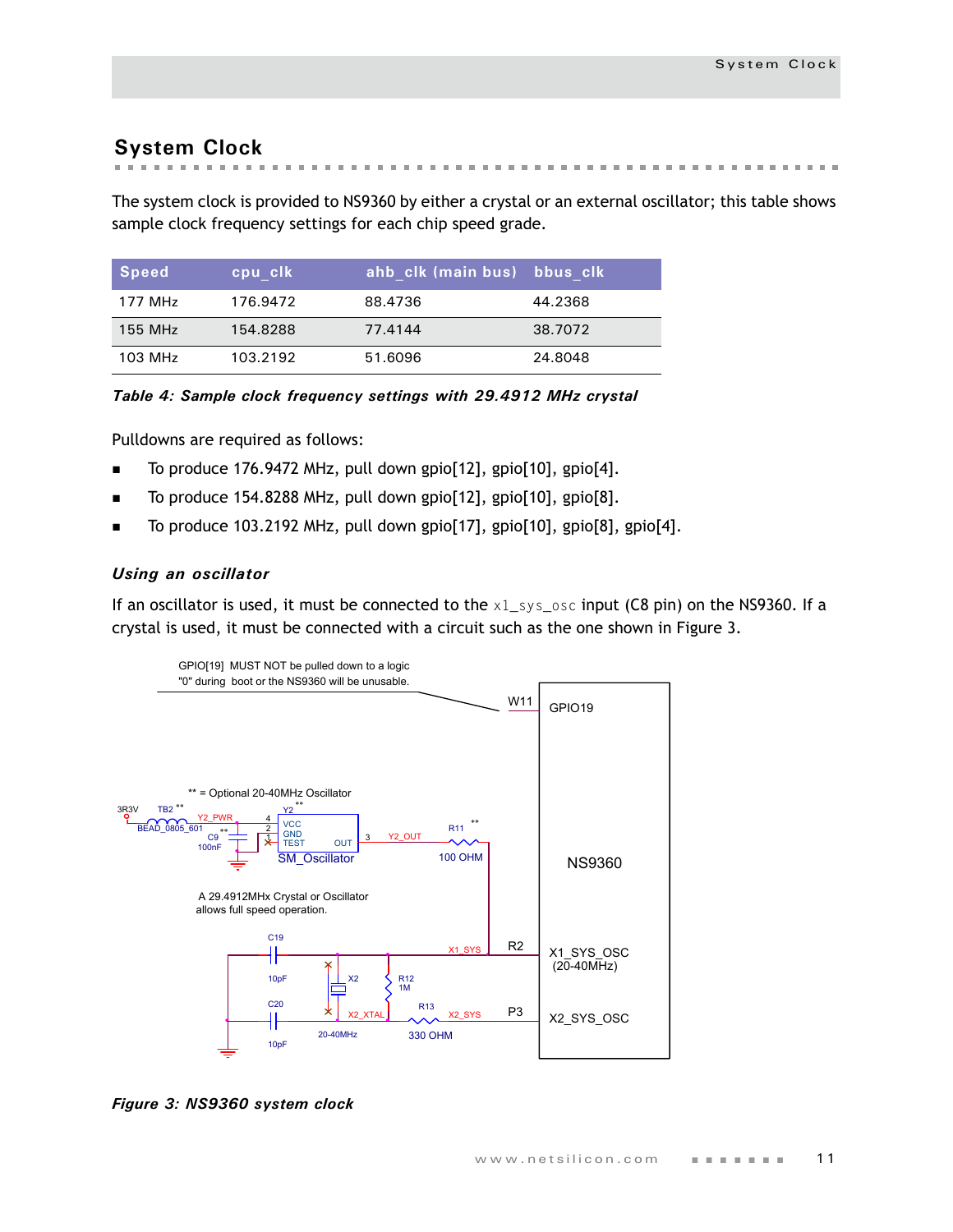# <span id="page-14-0"></span>**System Clock**

**Street Advised Association**  $\mathbf{m}$  $\mathcal{M} \rightarrow \mathcal{M}$  .  $\mathbb{R}^n$  $\mathbf{m}$  $\sim$  $\sim$  $\sim$  $\pm 0$  $\mathbf{m}$  $\mathbf{m}$  . the first time.

The system clock is provided to NS9360 by either a crystal or an external oscillator; this table shows sample clock frequency settings for each chip speed grade.

| $\sqrt{3}$ Speed | cpu clk  | ahb clk (main bus) bbus clk |         |
|------------------|----------|-----------------------------|---------|
| 177 MHz          | 176.9472 | 88.4736                     | 44.2368 |
| 155 MHz          | 154.8288 | 77.4144                     | 38.7072 |
| 103 MHz          | 103.2192 | 51.6096                     | 24.8048 |

*Table 4: Sample clock frequency settings with 29.4912 MHz crystal*

Pulldowns are required as follows:

- To produce 176.9472 MHz, pull down gpio[12], gpio[10], gpio[4].
- To produce 154.8288 MHz, pull down gpio[12], gpio[10], gpio[8].
- To produce 103.2192 MHz, pull down gpio[17], gpio[10], gpio[8], gpio[4].

#### *Using an oscillator*

If an oscillator is used, it must be connected to the  $x1$ \_sys\_osc input (C8 pin) on the NS9360. If a crystal is used, it must be connected with a circuit such as the one shown in [Figure 3.](#page-14-1)



<span id="page-14-1"></span>*Figure 3: NS9360 system clock*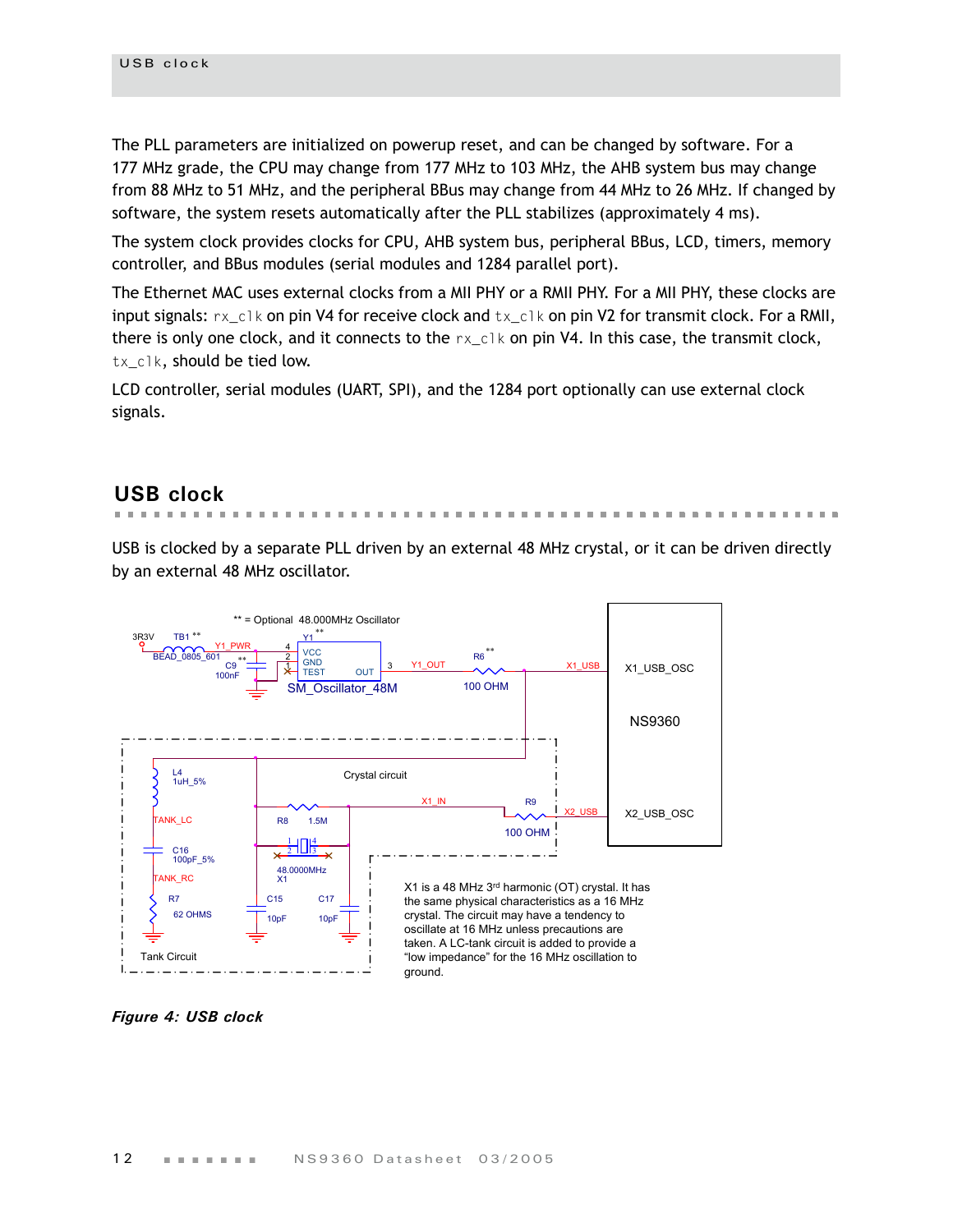The PLL parameters are initialized on powerup reset, and can be changed by software. For a 177 MHz grade, the CPU may change from 177 MHz to 103 MHz, the AHB system bus may change from 88 MHz to 51 MHz, and the peripheral BBus may change from 44 MHz to 26 MHz. If changed by software, the system resets automatically after the PLL stabilizes (approximately 4 ms).

The system clock provides clocks for CPU, AHB system bus, peripheral BBus, LCD, timers, memory controller, and BBus modules (serial modules and 1284 parallel port).

The Ethernet MAC uses external clocks from a MII PHY or a RMII PHY. For a MII PHY, these clocks are input signals:  $rx_c \nc 1k$  on pin V4 for receive clock and  $tx_c \nc 1k$  on pin V2 for transmit clock. For a RMII, there is only one clock, and it connects to the  $rx\_c1k$  on pin V4. In this case, the transmit clock, tx\_clk, should be tied low.

LCD controller, serial modules (UART, SPI), and the 1284 port optionally can use external clock signals.

# <span id="page-15-0"></span>**USB clock**

USB is clocked by a separate PLL driven by an external 48 MHz crystal, or it can be driven directly by an external 48 MHz oscillator.

. . . . . . . . . . .



*Figure 4: USB clock*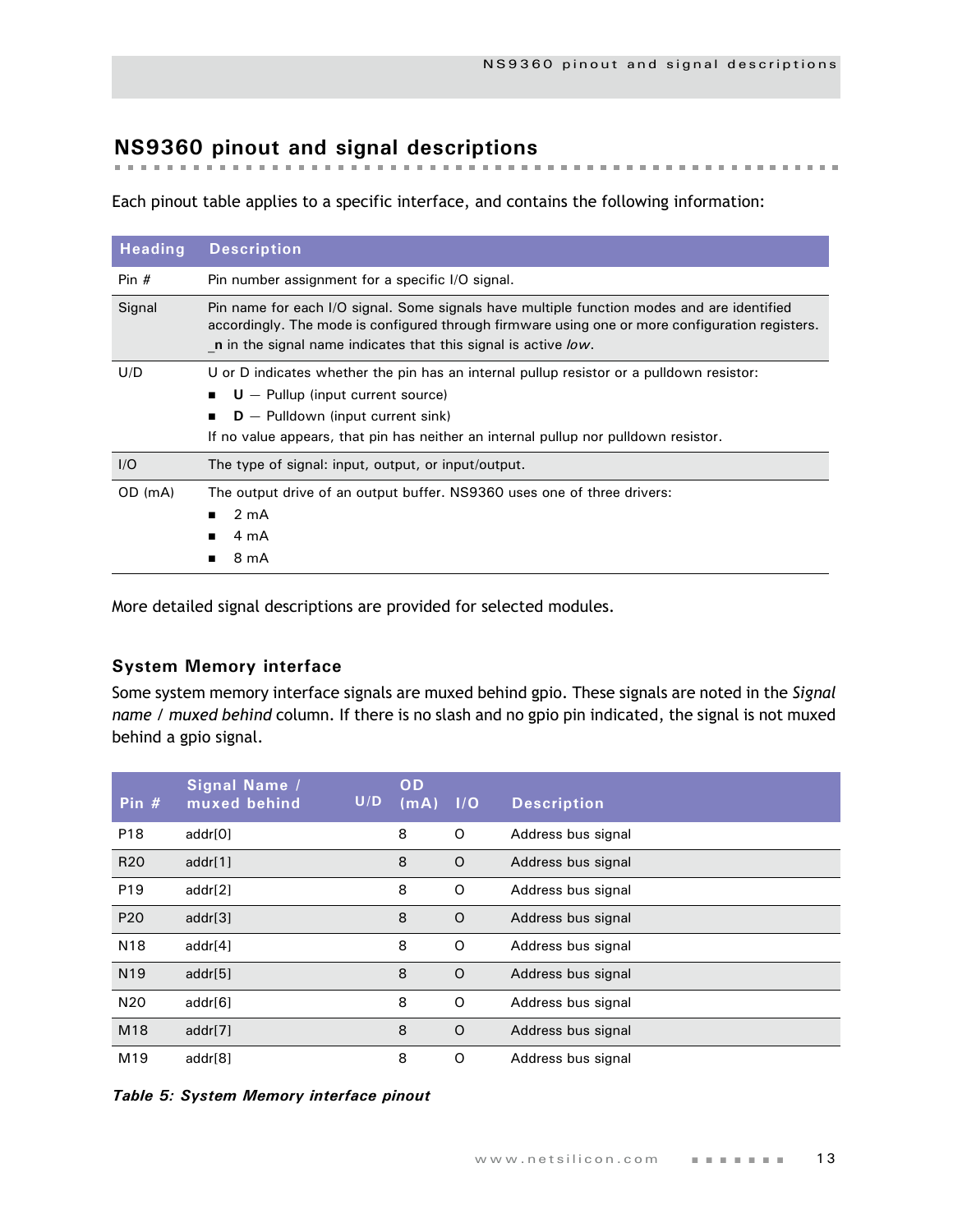# <span id="page-16-0"></span>**NS9360 pinout and signal descriptions**

Each pinout table applies to a specific interface, and contains the following information:

| <b>Heading</b> | <b>Description</b>                                                                                                                                                                                                                                              |
|----------------|-----------------------------------------------------------------------------------------------------------------------------------------------------------------------------------------------------------------------------------------------------------------|
| Pin $#$        | Pin number assignment for a specific I/O signal.                                                                                                                                                                                                                |
| Signal         | Pin name for each I/O signal. Some signals have multiple function modes and are identified<br>accordingly. The mode is configured through firmware using one or more configuration registers.<br>n in the signal name indicates that this signal is active low. |
| U/D            | U or D indicates whether the pin has an internal pullup resistor or a pulldown resistor:<br>$U -$ Pullup (input current source)<br>$D -$ Pulldown (input current sink)<br>If no value appears, that pin has neither an internal pullup nor pulldown resistor.   |
| I/O            | The type of signal: input, output, or input/output.                                                                                                                                                                                                             |
| OD (mA)        | The output drive of an output buffer. NS9360 uses one of three drivers:<br>2 <sub>m</sub> A<br>4 mA<br>■<br>8 mA                                                                                                                                                |

More detailed signal descriptions are provided for selected modules.

#### <span id="page-16-1"></span>**System Memory interface**

Some system memory interface signals are muxed behind gpio. These signals are noted in the *Signal name / muxed behind* column. If there is no slash and no gpio pin indicated, the signal is not muxed behind a gpio signal.

| Pin $#$         | Signal Name /<br>muxed behind | U/D | OD<br>(mA) | 1/O      | <b>Description</b> |
|-----------------|-------------------------------|-----|------------|----------|--------------------|
| P <sub>18</sub> | addr[0]                       |     | 8          | O        | Address bus signal |
| R <sub>20</sub> | addr $[1]$                    |     | 8          | O        | Address bus signal |
| P <sub>19</sub> | addr[2]                       |     | 8          | O        | Address bus signal |
| P <sub>20</sub> | addr[3]                       |     | 8          | $\Omega$ | Address bus signal |
| N <sub>18</sub> | addr[4]                       |     | 8          | O        | Address bus signal |
| N <sub>19</sub> | addr[5]                       |     | 8          | $\circ$  | Address bus signal |
| N <sub>20</sub> | addr[6]                       |     | 8          | O        | Address bus signal |
| M18             | addr[7]                       |     | 8          | $\circ$  | Address bus signal |
| M <sub>19</sub> | addr[8]                       |     | 8          | O        | Address bus signal |

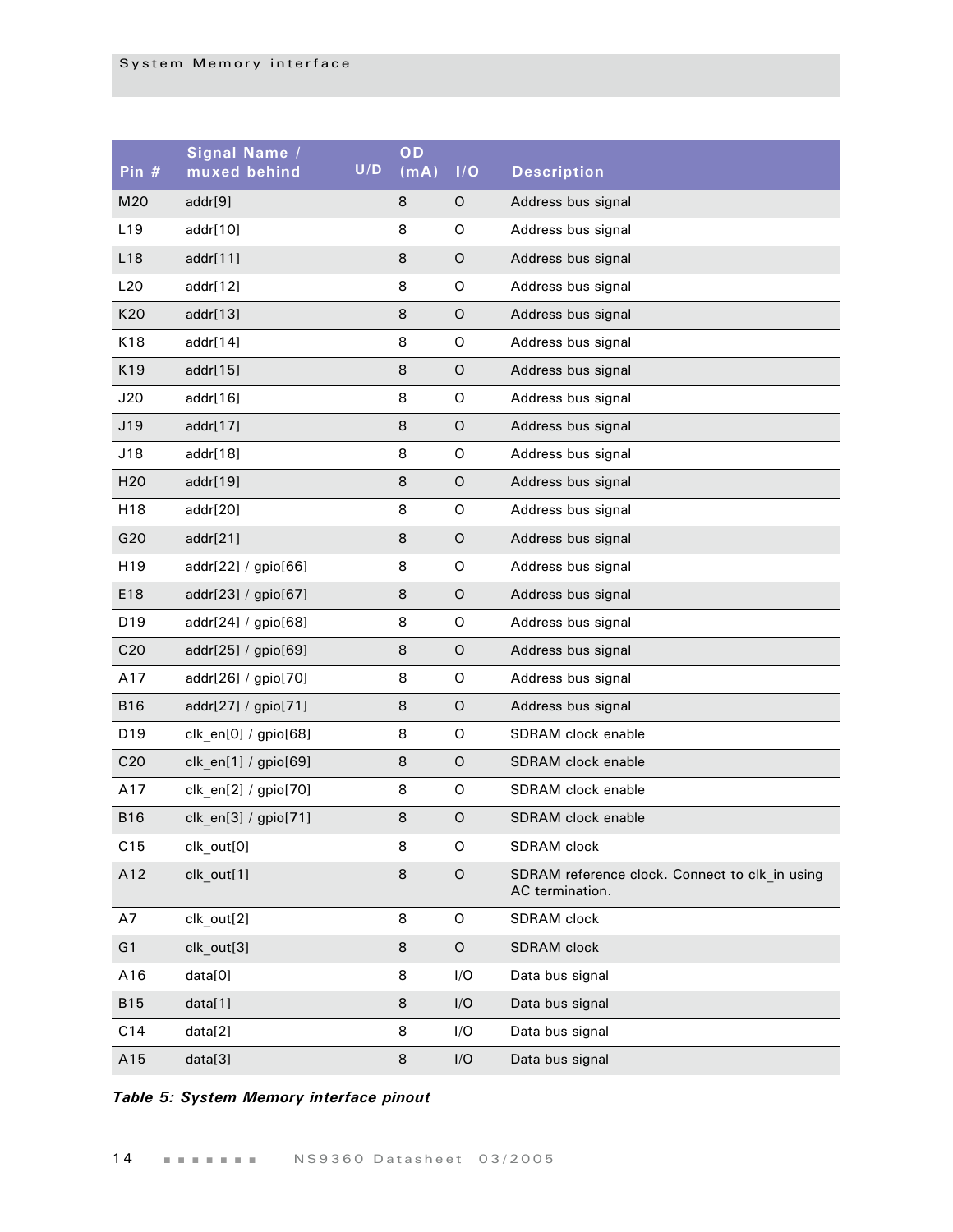| Pin #           | Signal Name /<br>muxed behind | U/D | OD<br>(mA) | I/O         | <b>Description</b>                                                |
|-----------------|-------------------------------|-----|------------|-------------|-------------------------------------------------------------------|
| M20             | addr[9]                       |     | 8          | O           | Address bus signal                                                |
| L <sub>19</sub> | addr[10]                      |     | 8          | O           | Address bus signal                                                |
| L18             | addr[11]                      |     | 8          | $\mathsf O$ | Address bus signal                                                |
| L20             | addr[12]                      |     | 8          | $\mathsf O$ | Address bus signal                                                |
| K20             | addr[13]                      |     | 8          | $\mathsf O$ | Address bus signal                                                |
| K18             | addr[14]                      |     | 8          | $\mathsf O$ | Address bus signal                                                |
| K19             | addr[15]                      |     | 8          | $\mathsf O$ | Address bus signal                                                |
| J20             | addr[16]                      |     | 8          | $\mathsf O$ | Address bus signal                                                |
| J19             | addr[17]                      |     | 8          | $\mathsf O$ | Address bus signal                                                |
| J18             | addr[18]                      |     | 8          | $\mathsf O$ | Address bus signal                                                |
| H <sub>20</sub> | addr[19]                      |     | 8          | $\mathsf O$ | Address bus signal                                                |
| H <sub>18</sub> | addr[20]                      |     | 8          | $\mathsf O$ | Address bus signal                                                |
| G20             | addr[21]                      |     | 8          | $\mathsf O$ | Address bus signal                                                |
| H <sub>19</sub> | addr[22] / gpio[66]           |     | 8          | $\mathsf O$ | Address bus signal                                                |
| E18             | addr[23] / gpio[67]           |     | 8          | $\mathsf O$ | Address bus signal                                                |
| D <sub>19</sub> | addr[24] / gpio[68]           |     | 8          | $\mathsf O$ | Address bus signal                                                |
| C <sub>20</sub> | addr[25] / gpio[69]           |     | 8          | $\mathsf O$ | Address bus signal                                                |
| A17             | addr[26] / gpio[70]           |     | 8          | $\mathsf O$ | Address bus signal                                                |
| <b>B16</b>      | addr[27] / gpio[71]           |     | 8          | $\mathsf O$ | Address bus signal                                                |
| D <sub>19</sub> | clk_en[0] / gpio[68]          |     | 8          | O           | SDRAM clock enable                                                |
| C <sub>20</sub> | clk_en[1] / gpio[69]          |     | 8          | $\mathsf O$ | <b>SDRAM</b> clock enable                                         |
| A17             | clk_en[2] / gpio[70]          |     | 8          | $\mathsf O$ | SDRAM clock enable                                                |
| <b>B16</b>      | clk_en[3] / gpio[71]          |     | 8          | $\mathsf O$ | SDRAM clock enable                                                |
| C15             | clk out[0]                    |     | 8          | $\mathsf O$ | SDRAM clock                                                       |
| A12             | clk_out[1]                    |     | 8          | $\mathsf O$ | SDRAM reference clock. Connect to clk in using<br>AC termination. |
| A7              | clk_out[2]                    |     | 8          | 0           | SDRAM clock                                                       |
| G <sub>1</sub>  | clk_out[3]                    |     | 8          | O           | SDRAM clock                                                       |
| A16             | data[0]                       |     | 8          | I/O         | Data bus signal                                                   |
| <b>B15</b>      | data[1]                       |     | 8          | I/O         | Data bus signal                                                   |
| C14             | data[2]                       |     | 8          | I/O         | Data bus signal                                                   |
| A15             | data[3]                       |     | 8          | I/O         | Data bus signal                                                   |

*Table 5: System Memory interface pinout*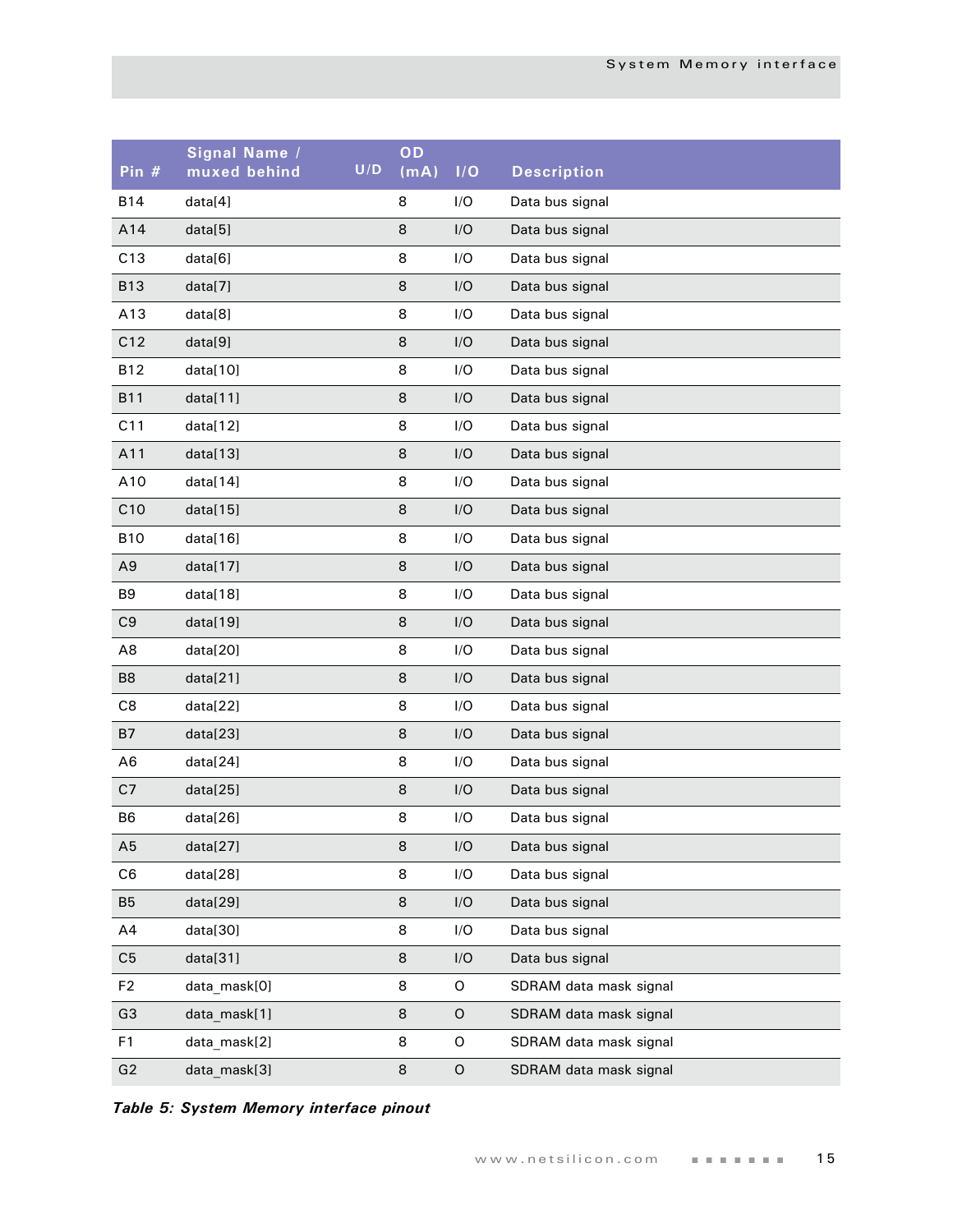| Pin #          | Signal Name /<br>muxed behind | U/D | OD<br>(mA) | I/O | <b>Description</b>     |
|----------------|-------------------------------|-----|------------|-----|------------------------|
| <b>B14</b>     | data[4]                       |     | 8          | I/O | Data bus signal        |
| A14            | data[5]                       |     | 8          | I/O | Data bus signal        |
| C13            | data[6]                       |     | 8          | I/O | Data bus signal        |
| <b>B13</b>     | data[7]                       |     | 8          | I/O | Data bus signal        |
| A13            | data[8]                       |     | 8          | I/O | Data bus signal        |
| C12            | data[9]                       |     | 8          | I/O | Data bus signal        |
| <b>B12</b>     | data[10]                      |     | 8          | I/O | Data bus signal        |
| <b>B11</b>     | data[11]                      |     | 8          | I/O | Data bus signal        |
| C11            | data[12]                      |     | 8          | I/O | Data bus signal        |
| A11            | data[13]                      |     | 8          | I/O | Data bus signal        |
| A10            | data[14]                      |     | 8          | I/O | Data bus signal        |
| C10            | data[15]                      |     | 8          | I/O | Data bus signal        |
| <b>B10</b>     | data[16]                      |     | 8          | I/O | Data bus signal        |
| A <sub>9</sub> | data[17]                      |     | 8          | I/O | Data bus signal        |
| B9             | data[18]                      |     | 8          | I/O | Data bus signal        |
| C <sub>9</sub> | data[19]                      |     | 8          | I/O | Data bus signal        |
| A8             | data[20]                      |     | 8          | I/O | Data bus signal        |
| B <sub>8</sub> | data[21]                      |     | 8          | I/O | Data bus signal        |
| C8             | data[22]                      |     | 8          | I/O | Data bus signal        |
| <b>B7</b>      | data[23]                      |     | 8          | I/O | Data bus signal        |
| A <sub>6</sub> | data[24]                      |     | 8          | I/O | Data bus signal        |
| C7             | data[25]                      |     | 8          | I/O | Data bus signal        |
| B <sub>6</sub> | data[26]                      |     | 8          | I/O | Data bus signal        |
| A5             | data[27]                      |     | 8          | I/O | Data bus signal        |
| C <sub>6</sub> | data[28]                      |     | 8          | I/O | Data bus signal        |
| B <sub>5</sub> | data[29]                      |     | 8          | I/O | Data bus signal        |
| A4             | data[30]                      |     | 8          | I/O | Data bus signal        |
| C <sub>5</sub> | data[31]                      |     | 8          | I/O | Data bus signal        |
| F <sub>2</sub> | data_mask[0]                  |     | 8          | O   | SDRAM data mask signal |
| G <sub>3</sub> | data_mask[1]                  |     | 8          | O   | SDRAM data mask signal |
| F1             | data_mask[2]                  |     | 8          | O   | SDRAM data mask signal |
| G2             | data_mask[3]                  |     | 8          | O   | SDRAM data mask signal |

*Table 5: System Memory interface pinout*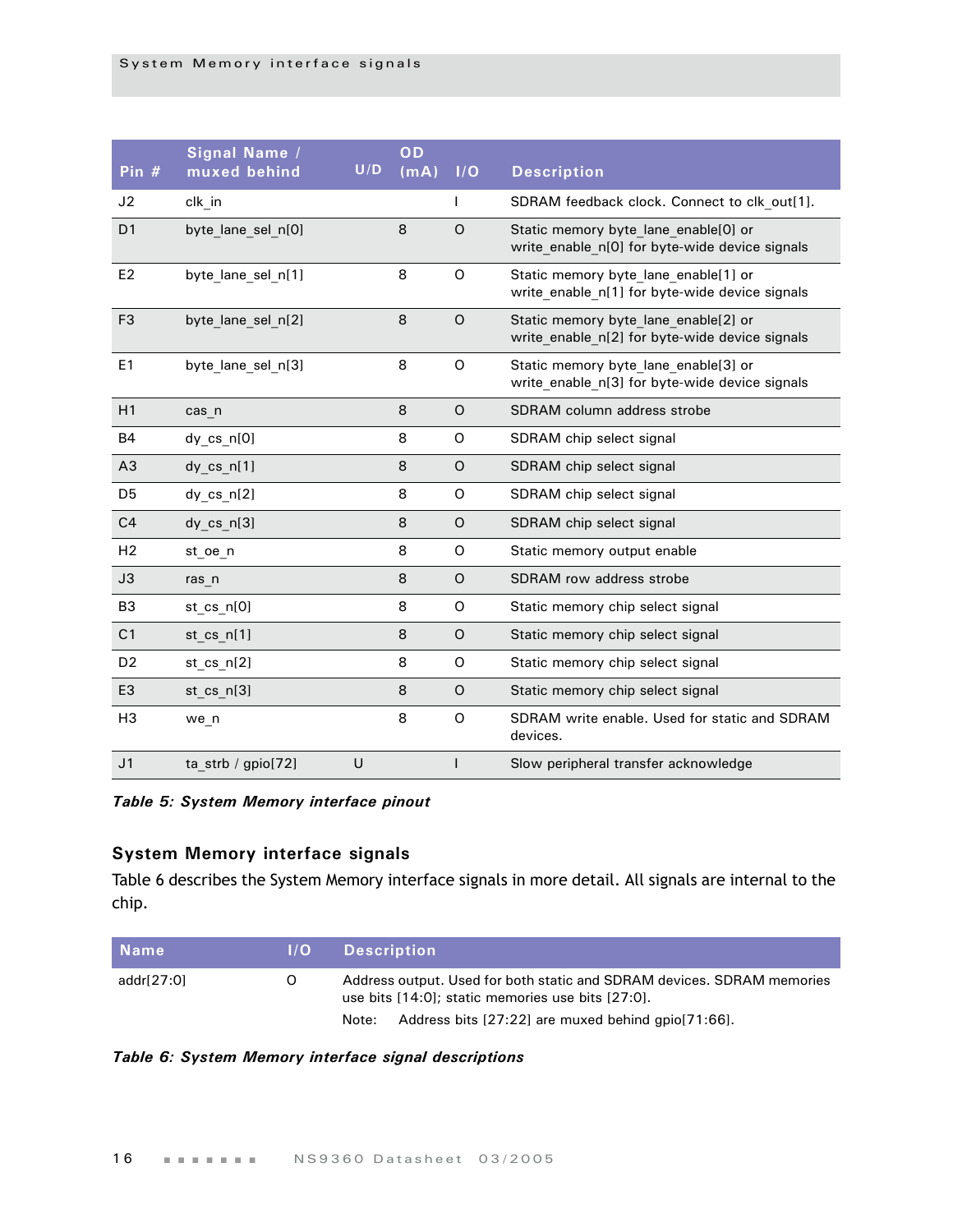| Pin #          | Signal Name /<br>muxed behind | U/D | OD<br>(mA) | I/O     | <b>Description</b>                                                                     |
|----------------|-------------------------------|-----|------------|---------|----------------------------------------------------------------------------------------|
| J2             | clk_in                        |     |            |         | SDRAM feedback clock. Connect to clk_out[1].                                           |
| D <sub>1</sub> | byte lane sel n[0]            |     | 8          | $\circ$ | Static memory byte lane enable[0] or<br>write enable n[0] for byte-wide device signals |
| E <sub>2</sub> | byte lane sel n[1]            |     | 8          | O       | Static memory byte lane enable[1] or<br>write_enable_n[1] for byte-wide device signals |
| F <sub>3</sub> | byte lane sel n[2]            |     | 8          | $\circ$ | Static memory byte lane enable[2] or<br>write enable n[2] for byte-wide device signals |
| E <sub>1</sub> | byte lane sel n[3]            |     | 8          | O       | Static memory byte lane enable[3] or<br>write_enable_n[3] for byte-wide device signals |
| H1             | cas n                         |     | 8          | $\circ$ | SDRAM column address strobe                                                            |
| <b>B4</b>      | dy cs n[0]                    |     | 8          | O       | SDRAM chip select signal                                                               |
| A <sub>3</sub> | dy $cs$ $n[1]$                |     | 8          | O       | SDRAM chip select signal                                                               |
| D <sub>5</sub> | dy cs n[2]                    |     | 8          | O       | SDRAM chip select signal                                                               |
| C <sub>4</sub> | dy $cs$ $n[3]$                |     | 8          | $\circ$ | SDRAM chip select signal                                                               |
| H <sub>2</sub> | st oe n                       |     | 8          | O       | Static memory output enable                                                            |
| J3             | ras n                         |     | 8          | $\circ$ | SDRAM row address strobe                                                               |
| B <sub>3</sub> | st cs n[0]                    |     | 8          | O       | Static memory chip select signal                                                       |
| C <sub>1</sub> | st_cs_n[1]                    |     | 8          | $\circ$ | Static memory chip select signal                                                       |
| D <sub>2</sub> | st $cs$ $n[2]$                |     | 8          | O       | Static memory chip select signal                                                       |
| E <sub>3</sub> | st cs n[3]                    |     | 8          | $\circ$ | Static memory chip select signal                                                       |
| H <sub>3</sub> | we n                          |     | 8          | O       | SDRAM write enable. Used for static and SDRAM<br>devices.                              |
| J <sub>1</sub> | ta strb / gpio[72]            | U   |            | I       | Slow peripheral transfer acknowledge                                                   |

*Table 5: System Memory interface pinout*

#### <span id="page-19-0"></span>**System Memory interface signals**

Table 6 describes the System Memory interface signals in more detail. All signals are internal to the chip.

| <b>Name</b> | 1/O | <b>Description</b>                                                                                                          |
|-------------|-----|-----------------------------------------------------------------------------------------------------------------------------|
| addr[27:0]  | O   | Address output. Used for both static and SDRAM devices. SDRAM memories<br>use bits [14:0]; static memories use bits [27:0]. |
|             |     | Address bits [27:22] are muxed behind gpio [71:66].<br>Note:                                                                |

#### *Table 6: System Memory interface signal descriptions*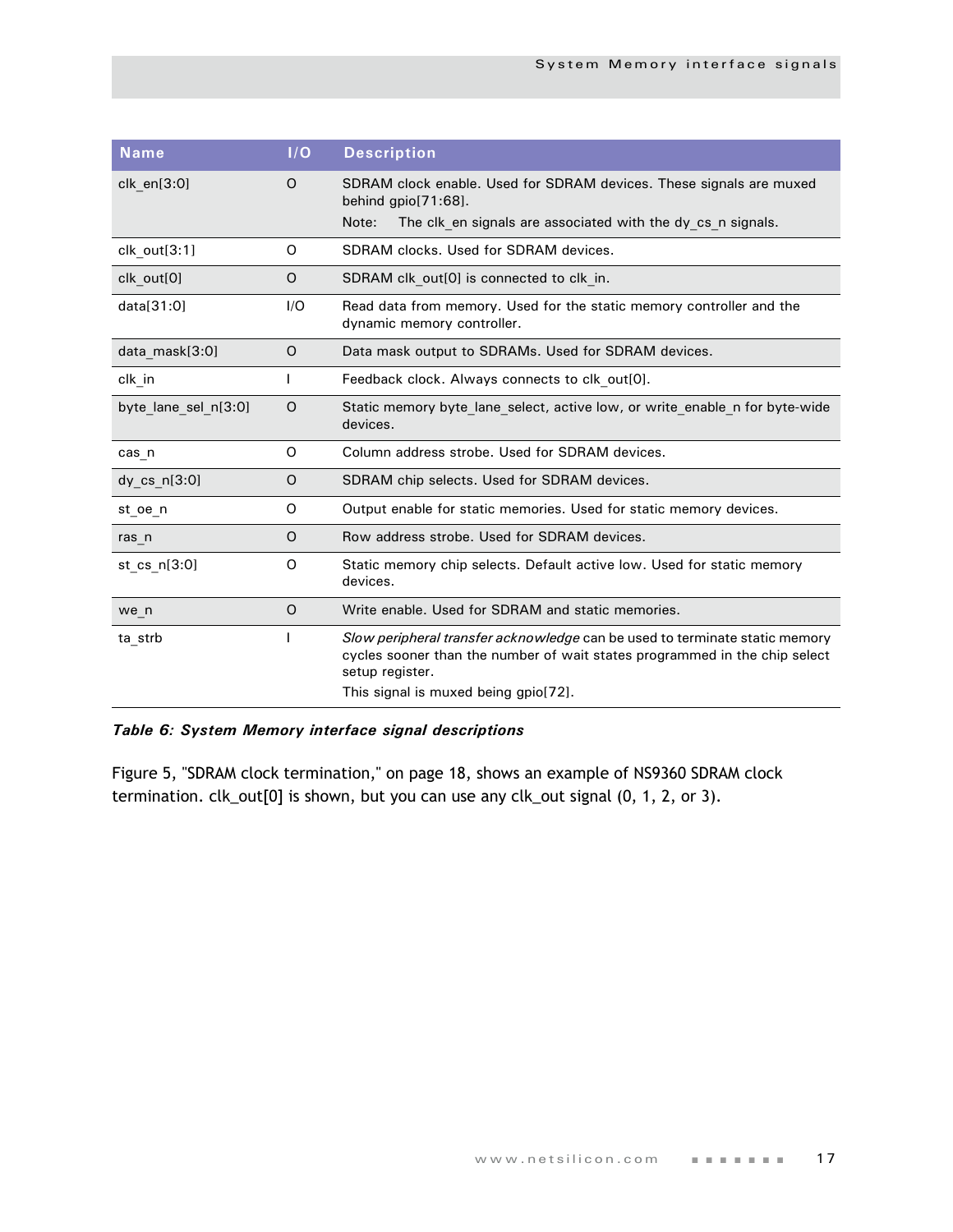| <b>Name</b>          | I/O     | <b>Description</b>                                                                                                                                                                                                   |
|----------------------|---------|----------------------------------------------------------------------------------------------------------------------------------------------------------------------------------------------------------------------|
| $clk$ en $[3:0]$     | O       | SDRAM clock enable. Used for SDRAM devices. These signals are muxed<br>behind $qpi[71:68]$ .<br>Note:<br>The clk en signals are associated with the dy cs n signals.                                                 |
|                      |         |                                                                                                                                                                                                                      |
| clk out[3:1]         | O       | SDRAM clocks. Used for SDRAM devices.                                                                                                                                                                                |
| clk out[0]           | O       | SDRAM clk_out[0] is connected to clk_in.                                                                                                                                                                             |
| data[31:0]           | I/O     | Read data from memory. Used for the static memory controller and the<br>dynamic memory controller.                                                                                                                   |
| data mask[3:0]       | 0       | Data mask output to SDRAMs. Used for SDRAM devices.                                                                                                                                                                  |
| clk in               | I       | Feedback clock. Always connects to clk out[0].                                                                                                                                                                       |
| byte lane sel n[3:0] | $\circ$ | Static memory byte_lane_select, active low, or write_enable_n for byte-wide<br>devices.                                                                                                                              |
| cas n                | O       | Column address strobe. Used for SDRAM devices.                                                                                                                                                                       |
| dy cs n[3:0]         | O       | SDRAM chip selects. Used for SDRAM devices.                                                                                                                                                                          |
| st oe n              | O       | Output enable for static memories. Used for static memory devices.                                                                                                                                                   |
| ras n                | O       | Row address strobe. Used for SDRAM devices.                                                                                                                                                                          |
| st cs $n[3:0]$       | O       | Static memory chip selects. Default active low. Used for static memory<br>devices.                                                                                                                                   |
| we n                 | O       | Write enable. Used for SDRAM and static memories.                                                                                                                                                                    |
| ta strb              |         | Slow peripheral transfer acknowledge can be used to terminate static memory<br>cycles sooner than the number of wait states programmed in the chip select<br>setup register.<br>This signal is muxed being gpio[72]. |

#### *Table 6: System Memory interface signal descriptions*

[Figure 5, "SDRAM clock termination," on page 18,](#page-21-1) shows an example of NS9360 SDRAM clock termination. clk\_out[0] is shown, but you can use any clk\_out signal (0, 1, 2, or 3).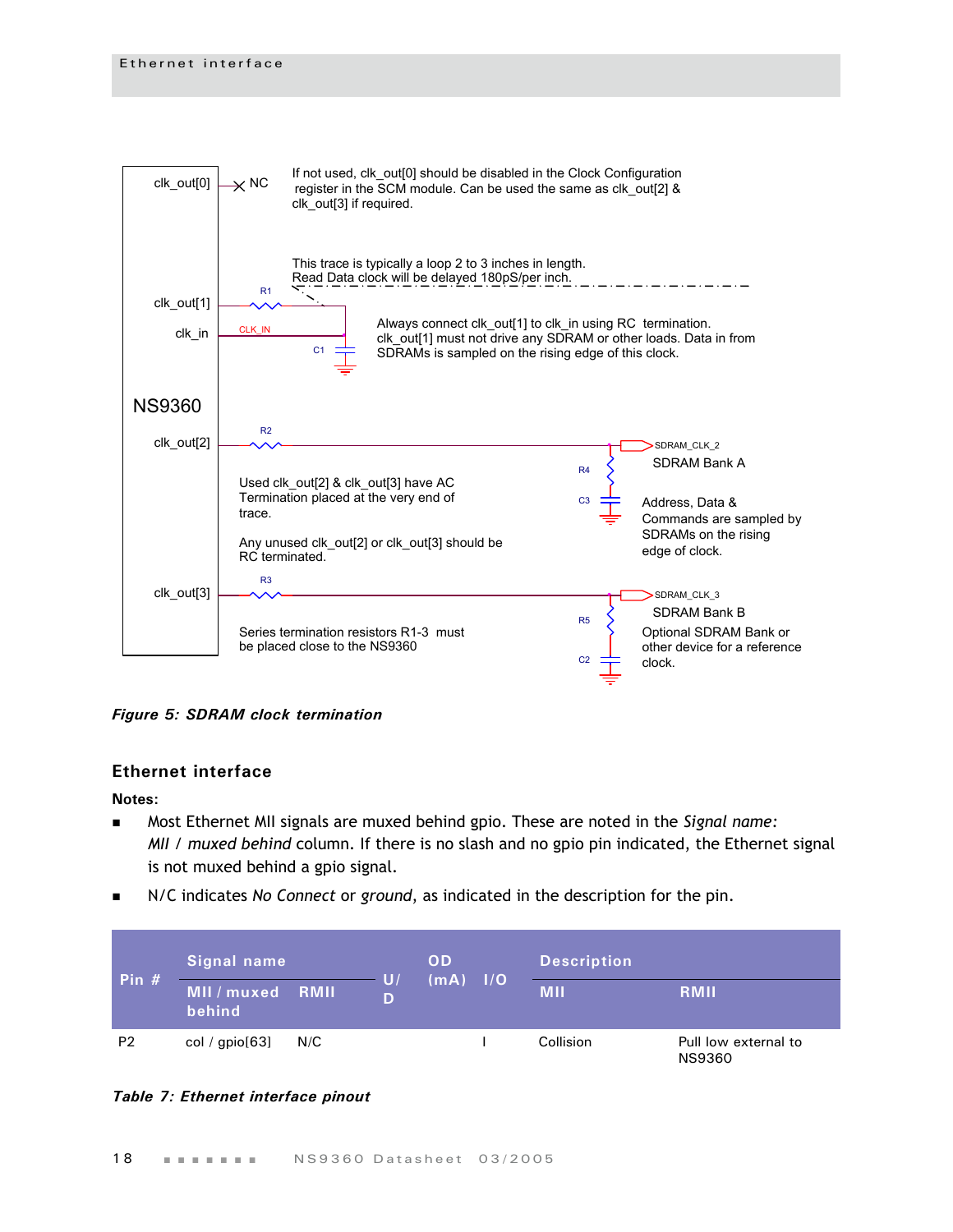

<span id="page-21-1"></span>*Figure 5: SDRAM clock termination*

#### <span id="page-21-0"></span>**Ethernet interface**

#### **Notes:**

- Most Ethernet MII signals are muxed behind gpio. These are noted in the *Signal name: MII / muxed behind* column. If there is no slash and no gpio pin indicated, the Ethernet signal is not muxed behind a gpio signal.
- N/C indicates *No Connect* or *ground*, as indicated in the description for the pin.

| Pin $#$        | Signal name           |      | U/ | <b>OD</b> |       | <b>Description</b> |                                       |
|----------------|-----------------------|------|----|-----------|-------|--------------------|---------------------------------------|
|                | MII / muxed<br>behind | RMII | D  | (mA)      | Z1/07 | <b>MII</b>         | <b>RMIL</b>                           |
| P <sub>2</sub> | col / $gpio[63]$      | N/C  |    |           |       | Collision          | Pull low external to<br><b>NS9360</b> |

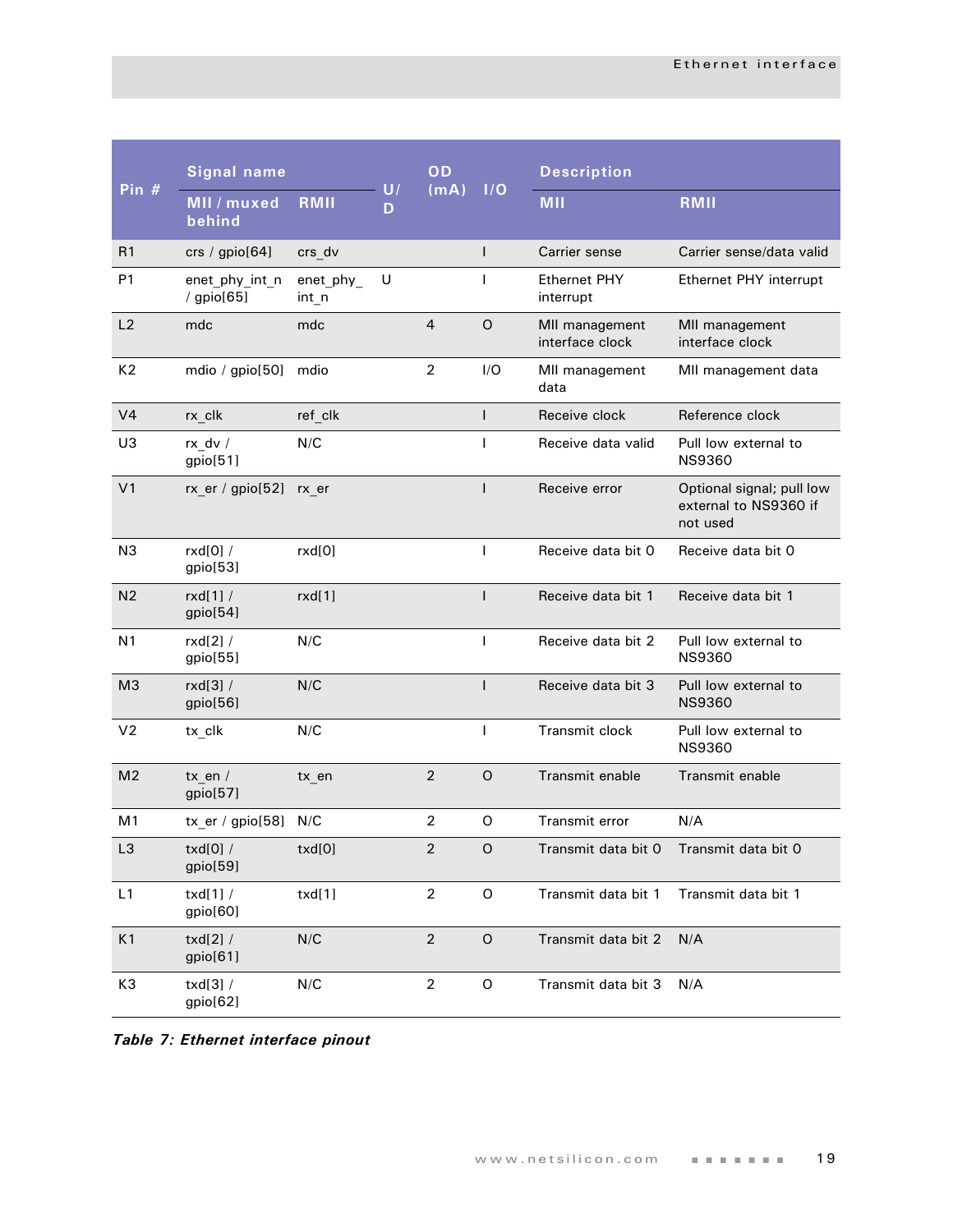|                | <b>Signal name</b>                |                      |         | OD             |              | <b>Description</b>                |                                                                |
|----------------|-----------------------------------|----------------------|---------|----------------|--------------|-----------------------------------|----------------------------------------------------------------|
| Pin #          | MII / muxed<br>behind             | RMII                 | U/<br>D | (mA)           | 1/O          | <b>MII</b>                        | RMII                                                           |
| R1             | crs / $gpio[64]$                  | crs_dv               |         |                | $\mathsf{I}$ | Carrier sense                     | Carrier sense/data valid                                       |
| P <sub>1</sub> | enet_phy_int_n<br>/ gpio[65]      | enet_phy_<br>$int_n$ | U       |                | $\mathbf{I}$ | <b>Ethernet PHY</b><br>interrupt  | Ethernet PHY interrupt                                         |
| L2             | mdc                               | mdc                  |         | $\overline{4}$ | $\circ$      | MII management<br>interface clock | MII management<br>interface clock                              |
| K <sub>2</sub> | mdio / gpio[50]                   | mdio                 |         | $\overline{2}$ | I/O          | MII management<br>data            | MII management data                                            |
| V <sub>4</sub> | $rx$ _clk                         | ref_clk              |         |                | $\mathbf{I}$ | Receive clock                     | Reference clock                                                |
| U3             | rx_dv /<br>gpio[51]               | N/C                  |         |                | $\mathbf{I}$ | Receive data valid                | Pull low external to<br><b>NS9360</b>                          |
| V <sub>1</sub> | $rx$ er / gpio[52]                | rx er                |         |                | $\mathbf{I}$ | Receive error                     | Optional signal; pull low<br>external to NS9360 if<br>not used |
| N <sub>3</sub> | rxd[0] /<br>gpio[53]              | rxd[0]               |         |                | T            | Receive data bit 0                | Receive data bit 0                                             |
| N <sub>2</sub> | rxd[1]/<br>gpio[54]               | rxd[1]               |         |                | $\mathbf{I}$ | Receive data bit 1                | Receive data bit 1                                             |
| N <sub>1</sub> | $rxd[2]$ /<br>gpio[55]            | N/C                  |         |                | $\mathbf{I}$ | Receive data bit 2                | Pull low external to<br><b>NS9360</b>                          |
| M <sub>3</sub> | $rxd[3]$ /<br>gpio[56]            | N/C                  |         |                | $\mathsf{I}$ | Receive data bit 3                | Pull low external to<br><b>NS9360</b>                          |
| V <sub>2</sub> | tx_clk                            | N/C                  |         |                | $\mathbf{I}$ | Transmit clock                    | Pull low external to<br><b>NS9360</b>                          |
| M <sub>2</sub> | $tx$ en /<br>gpio[57]             | $tx_{en}$            |         | $\overline{2}$ | $\circ$      | Transmit enable                   | Transmit enable                                                |
| M <sub>1</sub> | $tx$ <sub>_er</sub> / gpio $[58]$ | N/C                  |         | $\overline{2}$ | O            | Transmit error                    | N/A                                                            |
| L3             | $txd[0]$ /<br>gpio[59]            | txd[0]               |         | $\overline{2}$ | O            | Transmit data bit 0               | Transmit data bit 0                                            |
| L1             | txd[1]/<br>gpio[60]               | txd[1]               |         | $\overline{2}$ | $\circ$      | Transmit data bit 1               | Transmit data bit 1                                            |
| K1             | txd $[2]$ /<br>gpio[61]           | N/C                  |         | $\overline{2}$ | $\circ$      | Transmit data bit 2               | N/A                                                            |
| K3             | $txd[3]$ /<br>gpio[62]            | N/C                  |         | $\sqrt{2}$     | $\mathsf O$  | Transmit data bit 3               | N/A                                                            |

*Table 7: Ethernet interface pinout*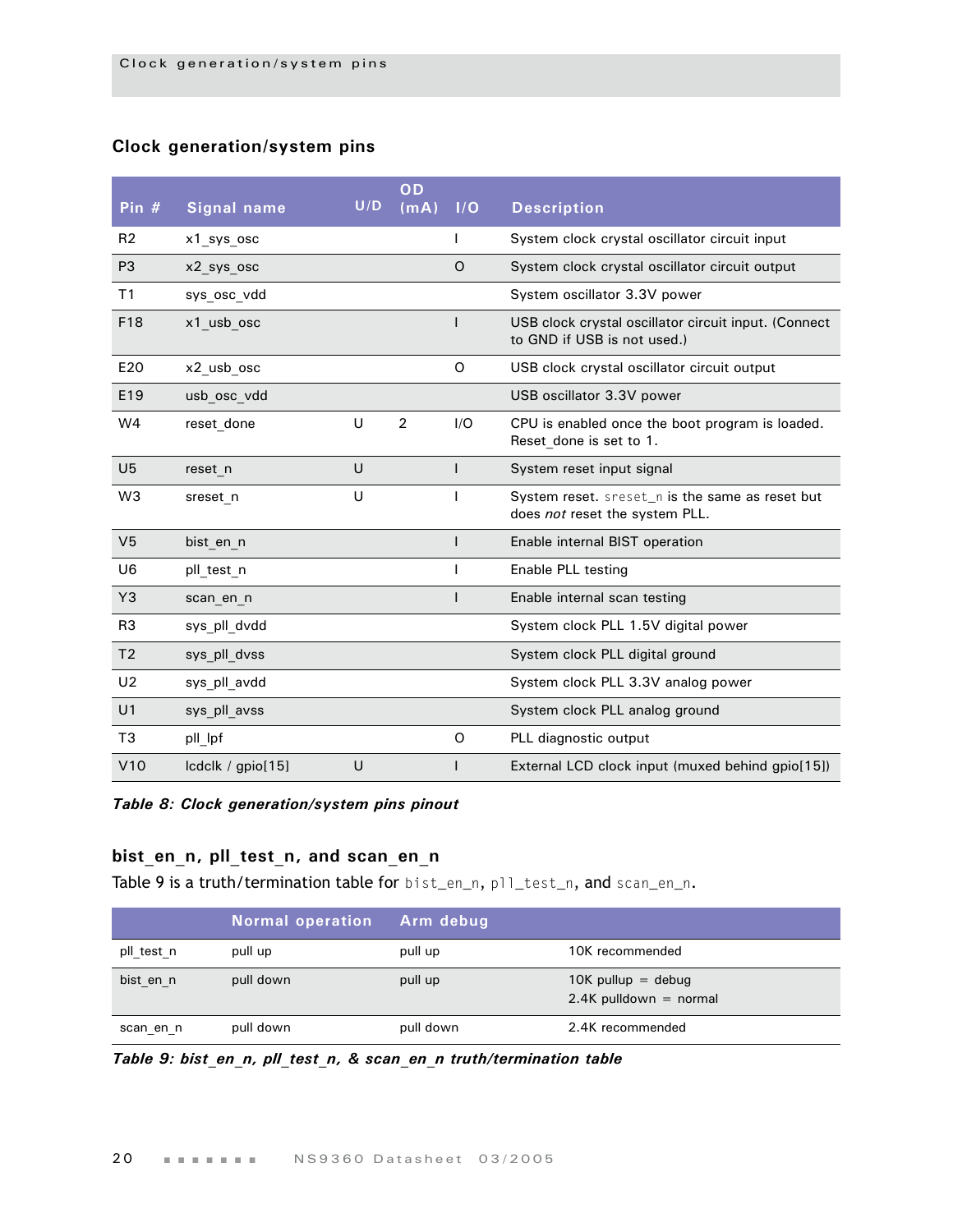#### <span id="page-23-0"></span>**Clock generation/system pins**

| Pin $#$        | <b>Signal name</b> | U/D | OD<br>(mA)     | I/O          | <b>Description</b>                                                                  |
|----------------|--------------------|-----|----------------|--------------|-------------------------------------------------------------------------------------|
| R <sub>2</sub> | x1 sys osc         |     |                |              | System clock crystal oscillator circuit input                                       |
| P <sub>3</sub> | x2_sys_osc         |     |                | O            | System clock crystal oscillator circuit output                                      |
| T <sub>1</sub> | sys osc vdd        |     |                |              | System oscillator 3.3V power                                                        |
| F18            | x1 usb osc         |     |                |              | USB clock crystal oscillator circuit input. (Connect<br>to GND if USB is not used.) |
| E20            | x2_usb_osc         |     |                | O            | USB clock crystal oscillator circuit output                                         |
| E19            | usb osc vdd        |     |                |              | USB oscillator 3.3V power                                                           |
| W <sub>4</sub> | reset done         | U   | $\overline{2}$ | I/O          | CPU is enabled once the boot program is loaded.<br>Reset done is set to 1.          |
| U <sub>5</sub> | reset n            | U   |                | $\mathsf{I}$ | System reset input signal                                                           |
| W <sub>3</sub> | sreset n           | U   |                |              | System reset. sreset_n is the same as reset but<br>does not reset the system PLL.   |
| V <sub>5</sub> | bist_en_n          |     |                |              | Enable internal BIST operation                                                      |
| U <sub>6</sub> | pll test n         |     |                |              | Enable PLL testing                                                                  |
| Y <sub>3</sub> | scan en n          |     |                | ı            | Enable internal scan testing                                                        |
| R <sub>3</sub> | sys pll dvdd       |     |                |              | System clock PLL 1.5V digital power                                                 |
| T <sub>2</sub> | sys_pll_dvss       |     |                |              | System clock PLL digital ground                                                     |
| U <sub>2</sub> | sys pll avdd       |     |                |              | System clock PLL 3.3V analog power                                                  |
| U <sub>1</sub> | sys pll avss       |     |                |              | System clock PLL analog ground                                                      |
| T <sub>3</sub> | pll_lpf            |     |                | O            | PLL diagnostic output                                                               |
| V10            | Icdclk / gpio[15]  | U   |                |              | External LCD clock input (muxed behind gpio[15])                                    |

*Table 8: Clock generation/system pins pinout*

#### <span id="page-23-1"></span>**bist\_en\_n, pll\_test\_n, and scan\_en\_n**

[Table 9 i](#page-23-2)s a truth/termination table for bist\_en\_n, pll\_test\_n, and scan\_en\_n.

|            | <b>Normal operation</b> | Arm debug |                                                  |
|------------|-------------------------|-----------|--------------------------------------------------|
| pll test n | pull up                 | pull up   | 10K recommended                                  |
| bist_en_n  | pull down               | pull up   | $10K$ pullup = debug<br>$2.4K$ pulldown = normal |
| scan en n  | pull down               | pull down | 2.4K recommended                                 |

<span id="page-23-2"></span>*Table 9: bist\_en\_n, pll\_test\_n, & scan\_en\_n truth/termination table*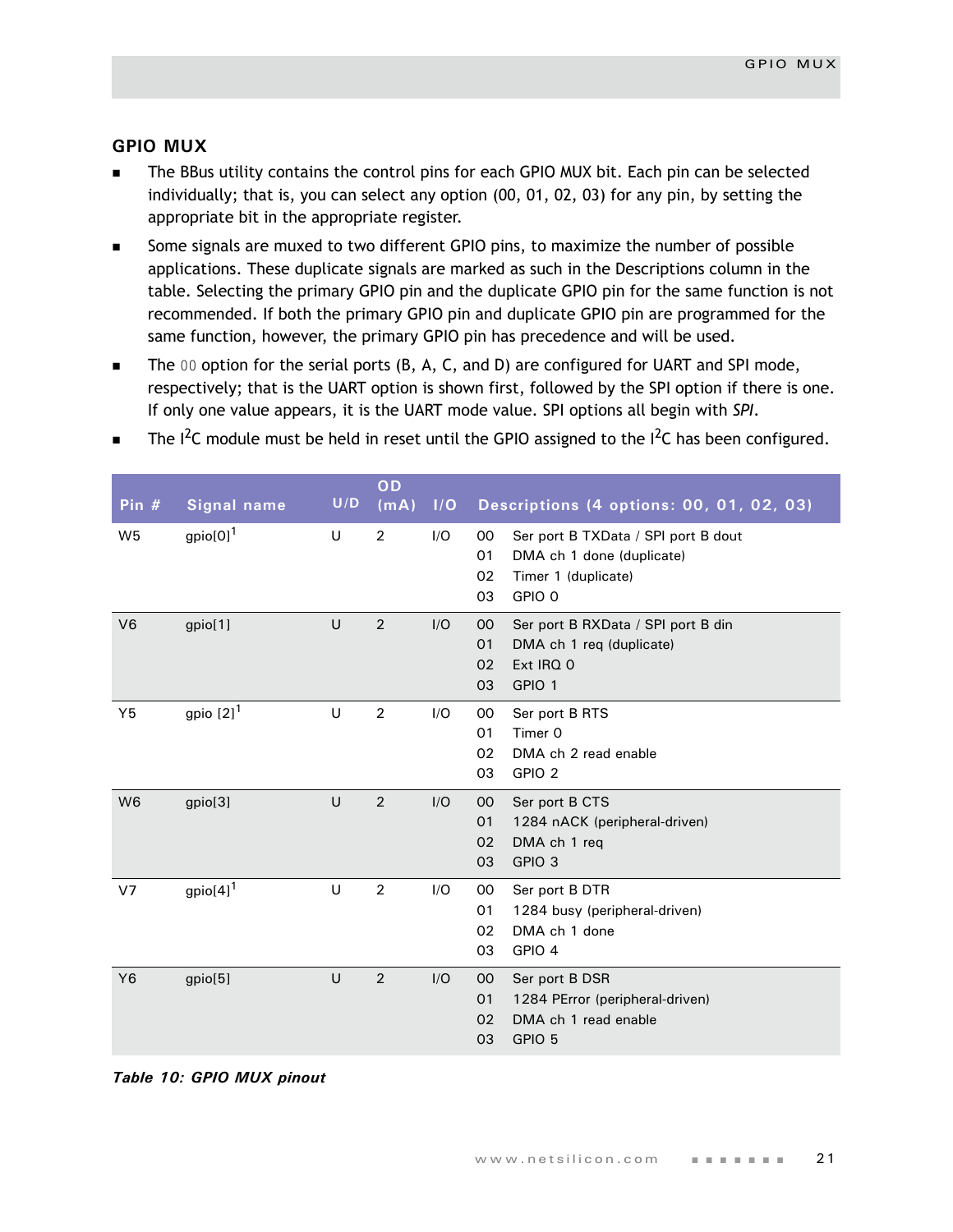#### <span id="page-24-0"></span>**GPIO MUX**

- The BBus utility contains the control pins for each GPIO MUX bit. Each pin can be selected individually; that is, you can select any option (00, 01, 02, 03) for any pin, by setting the appropriate bit in the appropriate register.
- Some signals are muxed to two different GPIO pins, to maximize the number of possible applications. These duplicate signals are marked as such in the Descriptions column in the table. Selecting the primary GPIO pin and the duplicate GPIO pin for the same function is not recommended. If both the primary GPIO pin and duplicate GPIO pin are programmed for the same function, however, the primary GPIO pin has precedence and will be used.
- $\blacksquare$  The 00 option for the serial ports (B, A, C, and D) are configured for UART and SPI mode, respectively; that is the UART option is shown first, followed by the SPI option if there is one. If only one value appears, it is the UART mode value. SPI options all begin with *SPI*.

| Pin $#$        | <b>Signal name</b>      | U/D    | OD<br>(mA)     | I/O | Descriptions (4 options: 00, 01, 02, 03)                                                                                  |
|----------------|-------------------------|--------|----------------|-----|---------------------------------------------------------------------------------------------------------------------------|
| W <sub>5</sub> | $gpio[0]$ <sup>1</sup>  | U      | $\overline{2}$ | I/O | Ser port B TXData / SPI port B dout<br>00<br>01<br>DMA ch 1 done (duplicate)<br>02<br>Timer 1 (duplicate)<br>GPIO 0<br>03 |
| V <sub>6</sub> | gpio[1]                 | U      | $\overline{2}$ | I/O | 00<br>Ser port B RXData / SPI port B din<br>DMA ch 1 req (duplicate)<br>01<br>02<br>Ext IRQ 0<br>GPIO 1<br>03             |
| Y5             | gpio $[2]$ <sup>1</sup> | $\cup$ | $\overline{2}$ | I/O | Ser port B RTS<br>00<br>Timer 0<br>01<br>02<br>DMA ch 2 read enable<br>03<br>GPIO <sub>2</sub>                            |
| W <sub>6</sub> | gpio[3]                 | U      | $\overline{2}$ | I/O | 00<br>Ser port B CTS<br>1284 nACK (peripheral-driven)<br>01<br>DMA ch 1 req<br>02<br>GPIO <sub>3</sub><br>03              |
| V <sub>7</sub> | $gpio[4]$ <sup>1</sup>  | U      | $\overline{2}$ | I/O | 00<br>Ser port B DTR<br>01<br>1284 busy (peripheral-driven)<br>02<br>DMA ch 1 done<br>03<br>GPIO 4                        |
| <b>Y6</b>      | gpio[5]                 | U      | $\overline{2}$ | I/O | 00<br>Ser port B DSR<br>01<br>1284 PError (peripheral-driven)<br>DMA ch 1 read enable<br>02<br>GPIO 5<br>03               |

The  $I^2C$  module must be held in reset until the GPIO assigned to the  $I^2C$  has been configured.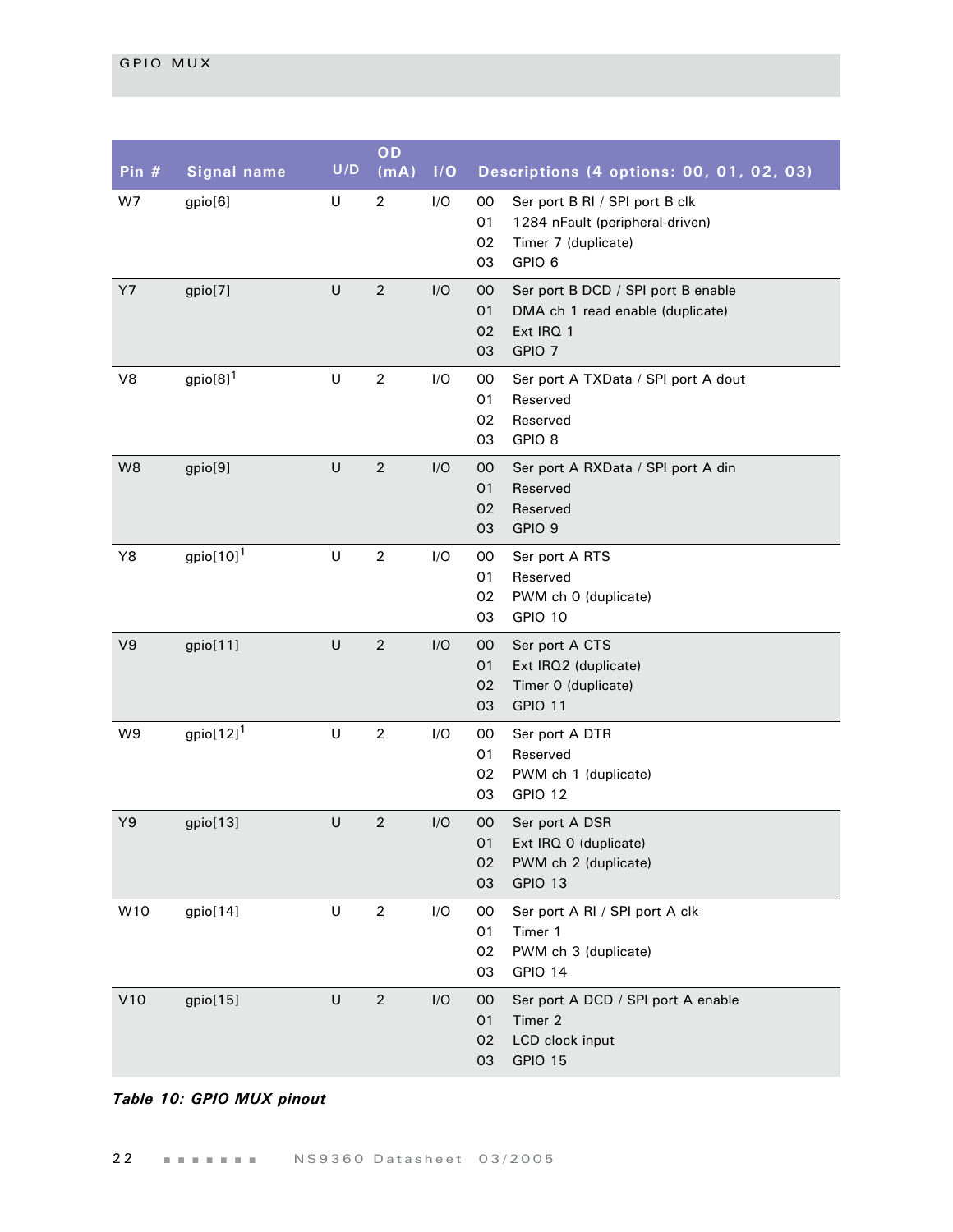| Pin# | <b>Signal name</b>       | U/D     | OD<br>(mA)     | I/O | Descriptions (4 options: 00, 01, 02, 03)                                                                                         |
|------|--------------------------|---------|----------------|-----|----------------------------------------------------------------------------------------------------------------------------------|
| W7   | gpio[6]                  | U       | $\overline{2}$ | I/O | 00<br>Ser port B RI / SPI port B clk<br>01<br>1284 nFault (peripheral-driven)<br>02<br>Timer 7 (duplicate)<br>GPIO 6<br>03       |
| Y7   | gpio[7]                  | U       | $\overline{2}$ | I/O | 00<br>Ser port B DCD / SPI port B enable<br>01<br>DMA ch 1 read enable (duplicate)<br>Ext IRQ 1<br>02<br>GPIO <sub>7</sub><br>03 |
| V8   | gpio $[8]$ <sup>1</sup>  | U       | $\overline{2}$ | I/O | 00<br>Ser port A TXData / SPI port A dout<br>01<br>Reserved<br>02<br>Reserved<br>03<br>GPIO <sub>8</sub>                         |
| W8   | gpio[9]                  | U       | $\overline{2}$ | I/O | 00<br>Ser port A RXData / SPI port A din<br>01<br>Reserved<br>02<br>Reserved<br>GPIO 9<br>03                                     |
| Y8   | gpio $[10]$ <sup>1</sup> | $\cup$  | $\overline{2}$ | I/O | 00<br>Ser port A RTS<br>01<br>Reserved<br>02<br>PWM ch 0 (duplicate)<br>GPIO 10<br>03                                            |
| V9   | gpio[11]                 | U       | $\overline{2}$ | I/O | 00<br>Ser port A CTS<br>01<br>Ext IRQ2 (duplicate)<br>Timer 0 (duplicate)<br>02<br><b>GPIO 11</b><br>03                          |
| W9   | gpio $[12]$ <sup>1</sup> | U       | $\overline{2}$ | I/O | 00<br>Ser port A DTR<br>01<br>Reserved<br>02<br>PWM ch 1 (duplicate)<br>03<br>GPIO 12                                            |
| Y9   | gpio[13]                 | U       | $\overline{2}$ | I/O | $00\,$<br>Ser port A DSR<br>01<br>Ext IRQ 0 (duplicate)<br>02<br>PWM ch 2 (duplicate)<br>03<br>GPIO 13                           |
| W10  | gpio[14]                 | $\sf U$ | $\overline{2}$ | I/O | 00<br>Ser port A RI / SPI port A clk<br>01<br>Timer 1<br>PWM ch 3 (duplicate)<br>02<br>03<br>GPIO 14                             |
| V10  | gpio[15]                 | U       | $\overline{2}$ | I/O | Ser port A DCD / SPI port A enable<br>00<br>Timer 2<br>01<br>LCD clock input<br>02<br>GPIO 15<br>03                              |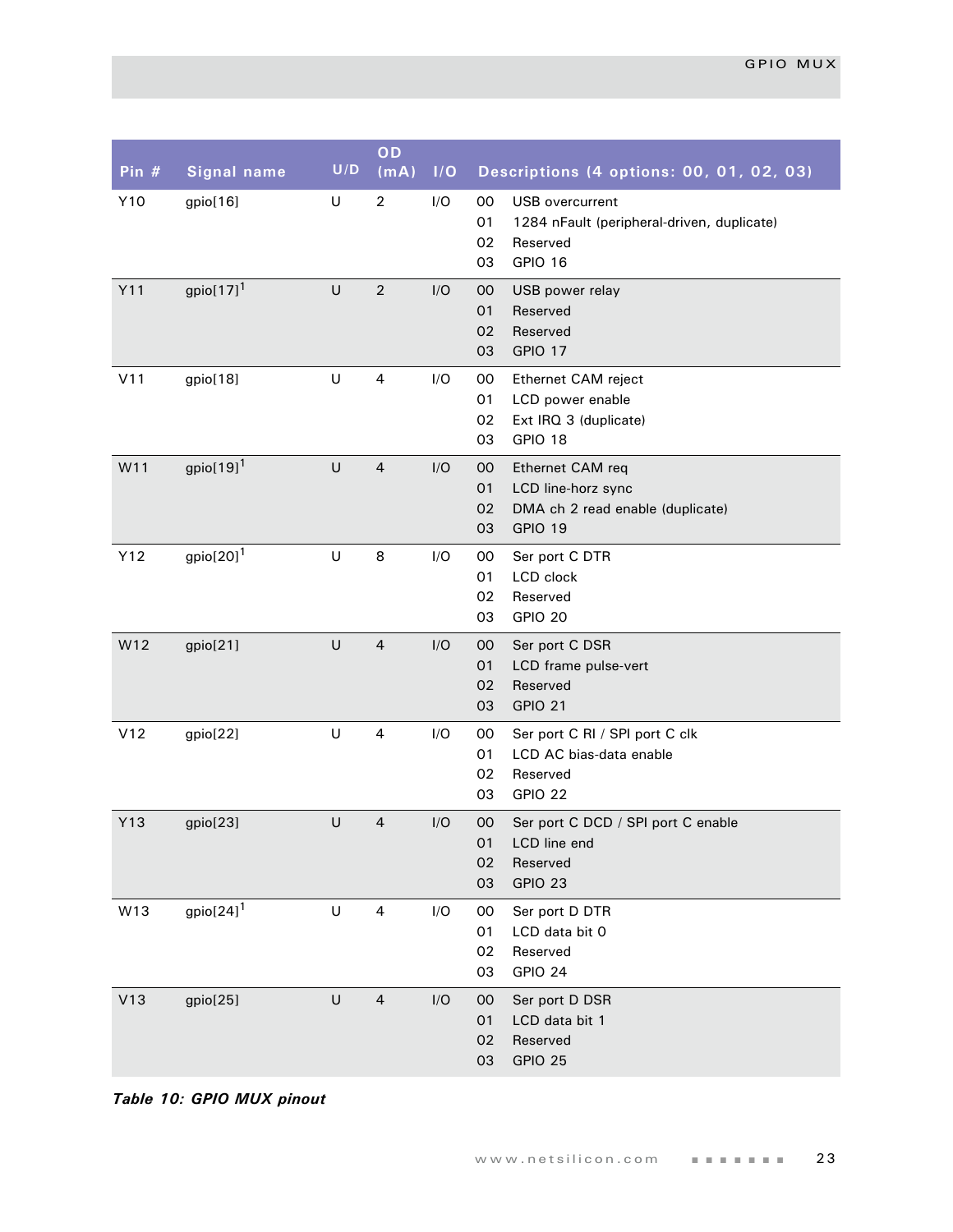| Pin $#$ | <b>Signal name</b>       | U/D     | OD<br>(mA)              | I/O | Descriptions (4 options: 00, 01, 02, 03)                                                                            |
|---------|--------------------------|---------|-------------------------|-----|---------------------------------------------------------------------------------------------------------------------|
| Y10     | gpio[16]                 | U       | $\overline{2}$          | I/O | 00<br><b>USB</b> overcurrent<br>01<br>1284 nFault (peripheral-driven, duplicate)<br>02<br>Reserved<br>GPIO 16<br>03 |
| Y11     | gpio $[17]$ <sup>1</sup> | U       | $\overline{2}$          | I/O | 00<br>USB power relay<br>01<br>Reserved<br>Reserved<br>02<br>GPIO 17<br>03                                          |
| V11     | gpio[18]                 | U       | 4                       | I/O | 00<br>Ethernet CAM reject<br>01<br>LCD power enable<br>02<br>Ext IRQ 3 (duplicate)<br>03<br>GPIO 18                 |
| W11     | gpio $[19]$ <sup>1</sup> | U       | $\overline{4}$          | I/O | 00<br>Ethernet CAM req<br>01<br>LCD line-horz sync<br>DMA ch 2 read enable (duplicate)<br>02<br>GPIO 19<br>03       |
| Y12     | gpio $[20]$ <sup>1</sup> | U       | 8                       | I/O | 00<br>Ser port C DTR<br>01<br>LCD clock<br>02<br>Reserved<br>GPIO 20<br>03                                          |
| W12     | gpio[21]                 | U       | $\overline{4}$          | I/O | 00<br>Ser port C DSR<br>01<br>LCD frame pulse-vert<br>Reserved<br>02<br><b>GPIO 21</b><br>03                        |
| V12     | gpio[22]                 | U       | 4                       | I/O | Ser port C RI / SPI port C clk<br>00<br>01<br>LCD AC bias-data enable<br>02<br>Reserved<br>GPIO 22<br>03            |
| Y13     | gpio[23]                 | U       | $\overline{4}$          | I/O | 00<br>Ser port C DCD / SPI port C enable<br>01<br>LCD line end<br>02<br>Reserved<br>03<br>GPIO 23                   |
| W13     | gpio $[24]$ <sup>1</sup> | $\sf U$ | $\overline{\mathbf{4}}$ | I/O | 00<br>Ser port D DTR<br>01<br>LCD data bit 0<br>02<br>Reserved<br>03<br>GPIO 24                                     |
| V13     | gpio[25]                 | $\sf U$ | $\overline{4}$          | I/O | 00<br>Ser port D DSR<br>01<br>LCD data bit 1<br>Reserved<br>02<br>GPIO 25<br>03                                     |

*Table 10: GPIO MUX pinout*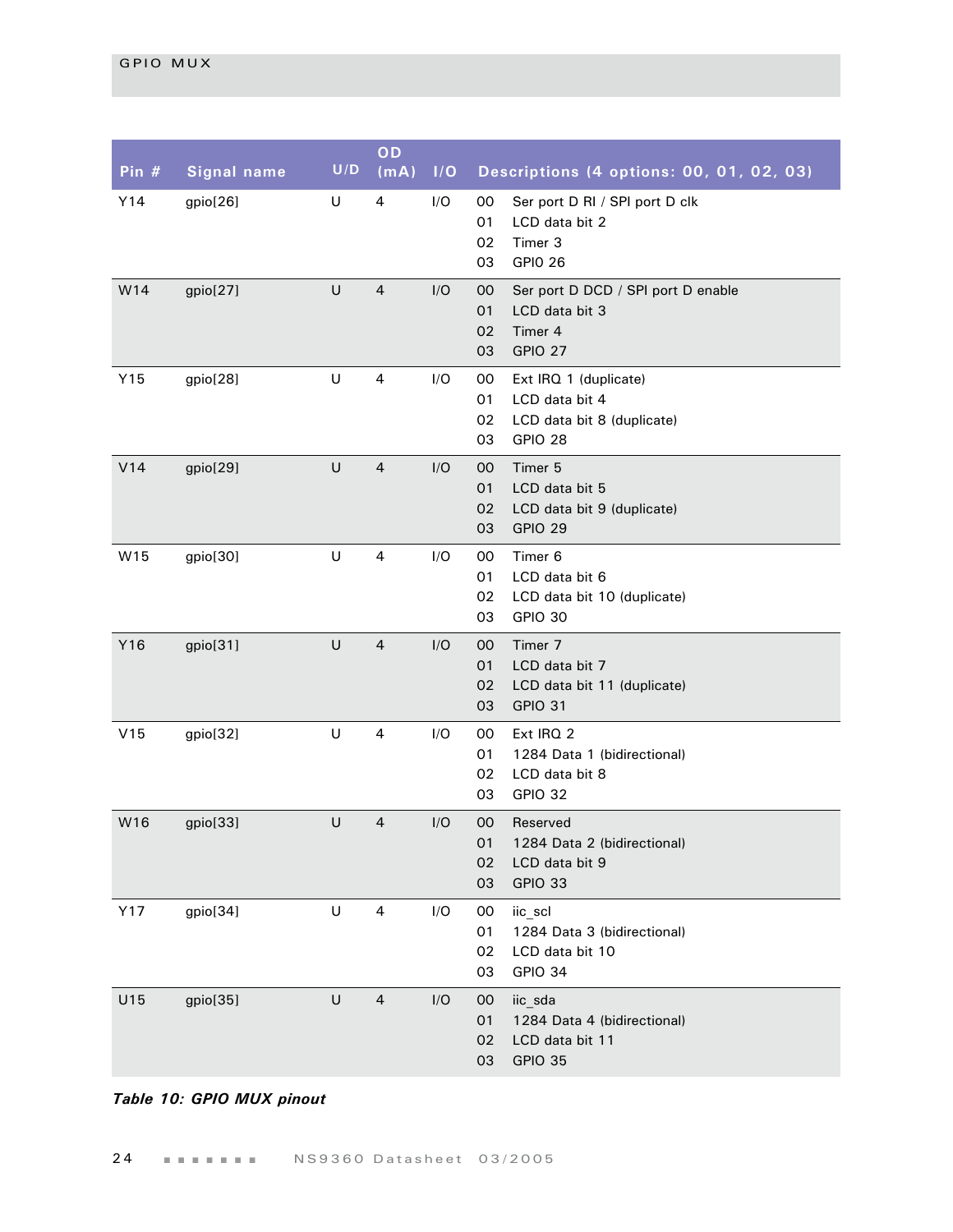| Pin $#$ | <b>Signal name</b> | U/D     | OD<br>(mA)     | I/O | Descriptions (4 options: 00, 01, 02, 03)                                                                      |
|---------|--------------------|---------|----------------|-----|---------------------------------------------------------------------------------------------------------------|
| Y14     | gpio[26]           | U       | 4              | I/O | Ser port D RI / SPI port D clk<br>00<br>01<br>LCD data bit 2<br>Timer 3<br>02<br><b>GPIO 26</b><br>03         |
| W14     | gpio[27]           | U       | $\overline{4}$ | I/O | 00<br>Ser port D DCD / SPI port D enable<br>01<br>LCD data bit 3<br>Timer 4<br>02<br>GPIO 27<br>03            |
| Y15     | gpio[28]           | U       | 4              | I/O | 00<br>Ext IRQ 1 (duplicate)<br>01<br>LCD data bit 4<br>02<br>LCD data bit 8 (duplicate)<br>GPIO 28<br>03      |
| V14     | gpio[29]           | U       | $\overline{4}$ | I/O | Timer <sub>5</sub><br>$00\,$<br>01<br>LCD data bit 5<br>LCD data bit 9 (duplicate)<br>02<br>GPIO 29<br>03     |
| W15     | gpio[30]           | U       | 4              | I/O | Timer <sub>6</sub><br>00<br>01<br>LCD data bit 6<br>02<br>LCD data bit 10 (duplicate)<br><b>GPIO 30</b><br>03 |
| Y16     | gpio[31]           | U       | $\overline{4}$ | I/O | Timer 7<br>$00\,$<br>01<br>LCD data bit 7<br>02<br>LCD data bit 11 (duplicate)<br>GPIO 31<br>03               |
| V15     | gpio[32]           | $\sf U$ | 4              | I/O | Ext IRQ 2<br>00<br>1284 Data 1 (bidirectional)<br>01<br>02<br>LCD data bit 8<br>GPIO 32<br>03                 |
| W16     | gpio[33]           | U       | $\overline{4}$ | I/O | 00<br>Reserved<br>01<br>1284 Data 2 (bidirectional)<br>02<br>LCD data bit 9<br>03<br>GPIO 33                  |
| Y17     | gpio[34]           | U       | 4              | I/O | 00<br>iic_scl<br>01<br>1284 Data 3 (bidirectional)<br>02<br>LCD data bit 10<br>03<br>GPIO 34                  |
| U15     | gpio[35]           | U       | $\overline{4}$ | I/O | iic_sda<br>$00\,$<br>01<br>1284 Data 4 (bidirectional)<br>02<br>LCD data bit 11<br>GPIO 35<br>03              |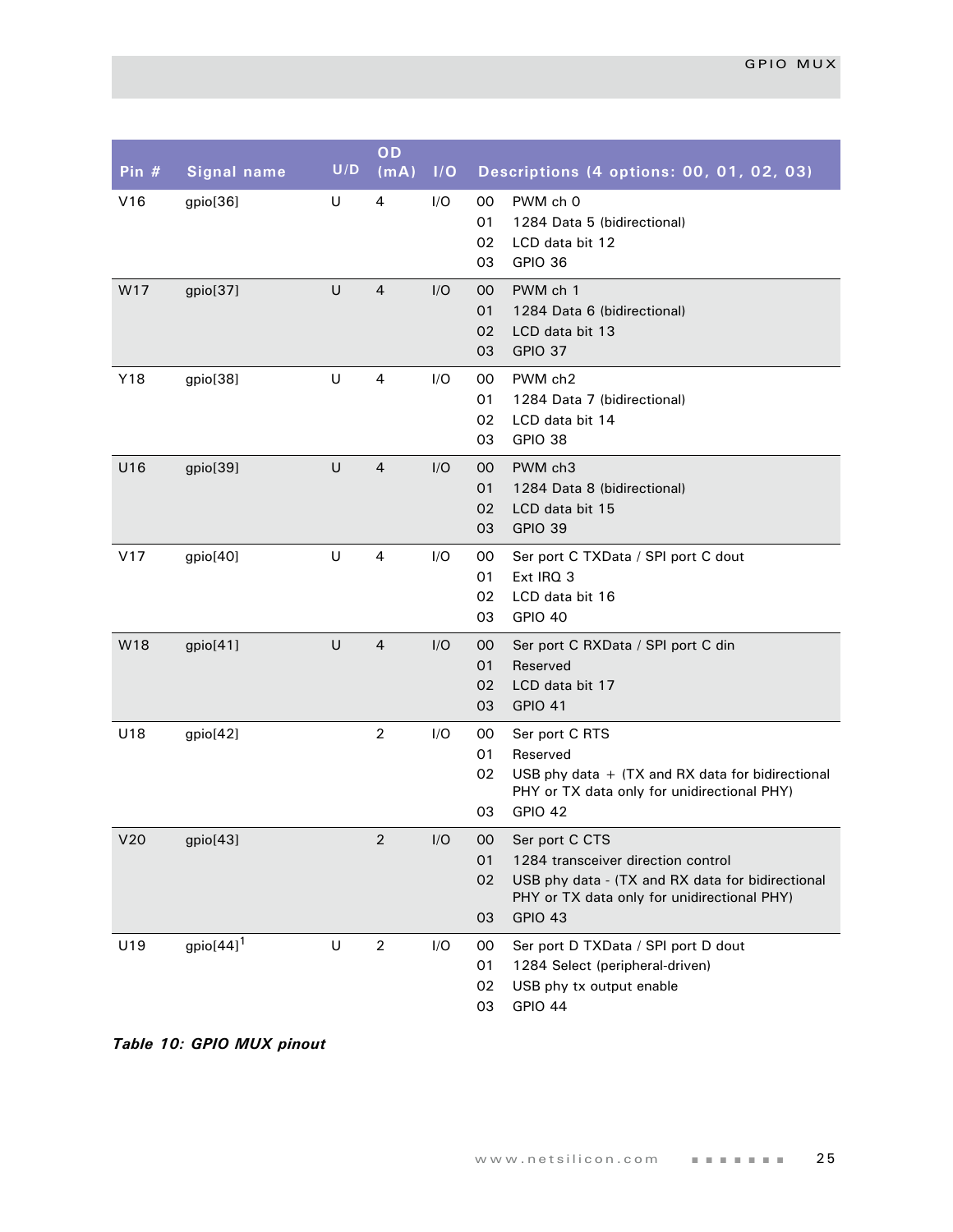| Pin $#$ | <b>Signal name</b>       | U/D     | OD<br>(mA)     | 1/O | Descriptions (4 options: 00, 01, 02, 03)                                                                                                                                                    |
|---------|--------------------------|---------|----------------|-----|---------------------------------------------------------------------------------------------------------------------------------------------------------------------------------------------|
| V16     | gpio[36]                 | U       | 4              | I/O | 00<br>PWM ch 0<br>01<br>1284 Data 5 (bidirectional)<br>02<br>LCD data bit 12<br>03<br>GPIO 36                                                                                               |
| W17     | gpio[37]                 | U       | $\overline{4}$ | I/O | PWM ch 1<br>00<br>01<br>1284 Data 6 (bidirectional)<br>02<br>LCD data bit 13<br><b>GPIO 37</b><br>03                                                                                        |
| Y18     | gpio[38]                 | U       | 4              | I/O | PWM ch2<br>00<br>01<br>1284 Data 7 (bidirectional)<br>02<br>LCD data bit 14<br>03<br>GPIO 38                                                                                                |
| U16     | gpio[39]                 | $\cup$  | $\overline{4}$ | I/O | PWM ch3<br>$00\,$<br>01<br>1284 Data 8 (bidirectional)<br>02<br>LCD data bit 15<br>GPIO 39<br>03                                                                                            |
| V17     | gpio[40]                 | $\sf U$ | $\overline{4}$ | I/O | 00<br>Ser port C TXData / SPI port C dout<br>Ext IRQ 3<br>01<br>02<br>LCD data bit 16<br>GPIO 40<br>03                                                                                      |
| W18     | gpio[41]                 | $\cup$  | $\overline{4}$ | I/O | 00<br>Ser port C RXData / SPI port C din<br>01<br>Reserved<br>LCD data bit 17<br>02<br><b>GPIO 41</b><br>03                                                                                 |
| U18     | gpio[42]                 |         | $\overline{2}$ | I/O | $00\,$<br>Ser port C RTS<br>01<br>Reserved<br>02<br>USB phy data $+$ (TX and RX data for bidirectional<br>PHY or TX data only for unidirectional PHY)<br>GPIO 42<br>03                      |
| V20     | gpio[43]                 |         | $\overline{2}$ | I/O | OO.<br>Ser port C CTS<br>1284 transceiver direction control<br>01<br>02<br>USB phy data - (TX and RX data for bidirectional<br>PHY or TX data only for unidirectional PHY)<br>03<br>GPIO 43 |
| U19     | gpio $[44]$ <sup>1</sup> | U       | $\overline{2}$ | I/O | 00<br>Ser port D TXData / SPI port D dout<br>01<br>1284 Select (peripheral-driven)<br>02<br>USB phy tx output enable<br>03<br>GPIO 44                                                       |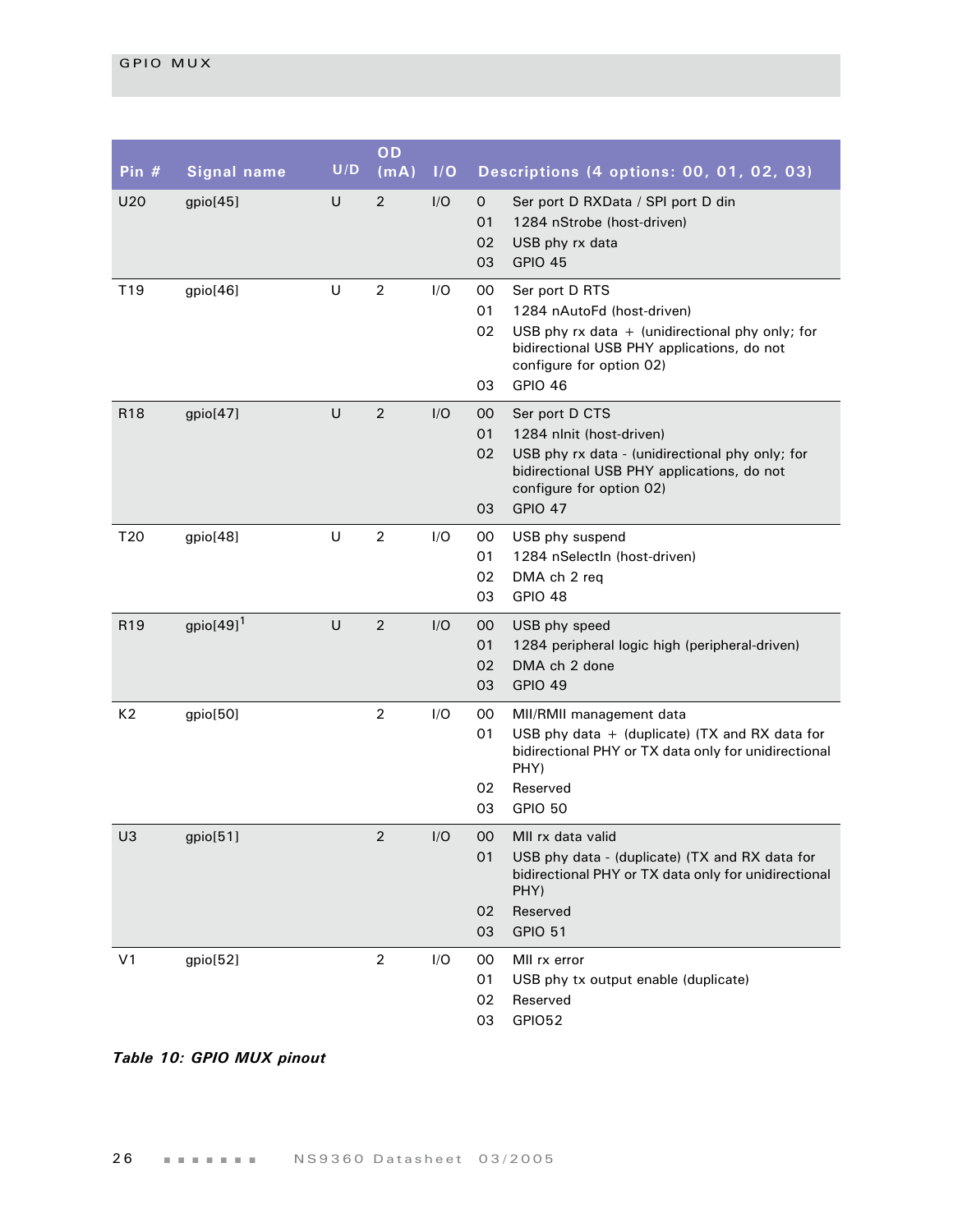| Pin $#$         | <b>Signal name</b>       | U/D    | OD<br>(mA)     | 1/O |                                | Descriptions (4 options: 00, 01, 02, 03)                                                                                                                                                        |
|-----------------|--------------------------|--------|----------------|-----|--------------------------------|-------------------------------------------------------------------------------------------------------------------------------------------------------------------------------------------------|
| U20             | gpio[45]                 | U      | $\overline{2}$ | I/O | $\mathsf{O}$<br>01<br>02<br>03 | Ser port D RXData / SPI port D din<br>1284 nStrobe (host-driven)<br>USB phy rx data<br>GPIO 45                                                                                                  |
| T19             | gpio[46]                 | $\cup$ | $\overline{2}$ | I/O | 00<br>01<br>02<br>03           | Ser port D RTS<br>1284 nAutoFd (host-driven)<br>USB phy $rx$ data $+$ (unidirectional phy only; for<br>bidirectional USB PHY applications, do not<br>configure for option 02)<br><b>GPIO 46</b> |
| R <sub>18</sub> | gpio[47]                 | U      | 2              | I/O | 00<br>01<br>02<br>03           | Ser port D CTS<br>1284 nlnit (host-driven)<br>USB phy rx data - (unidirectional phy only; for<br>bidirectional USB PHY applications, do not<br>configure for option 02)<br><b>GPIO 47</b>       |
| T <sub>20</sub> | gpio[48]                 | $\cup$ | $\overline{2}$ | I/O | 00<br>01<br>02<br>03           | USB phy suspend<br>1284 nSelectIn (host-driven)<br>DMA ch 2 req<br>GPIO 48                                                                                                                      |
| R <sub>19</sub> | gpio $[49]$ <sup>1</sup> | U      | $\overline{2}$ | I/O | 00<br>01<br>02<br>03           | USB phy speed<br>1284 peripheral logic high (peripheral-driven)<br>DMA ch 2 done<br><b>GPIO 49</b>                                                                                              |
| K2              | gpio[50]                 |        | $\overline{2}$ | I/O | $00\,$<br>01<br>02<br>03       | MII/RMII management data<br>USB phy data $+$ (duplicate) (TX and RX data for<br>bidirectional PHY or TX data only for unidirectional<br>PHY)<br>Reserved<br>GPIO 50                             |
| U3              | gpio[51]                 |        | $\overline{2}$ | I/O | 00<br>01<br>02<br>03           | MII rx data valid<br>USB phy data - (duplicate) (TX and RX data for<br>bidirectional PHY or TX data only for unidirectional<br>PHY)<br>Reserved<br><b>GPIO 51</b>                               |
| V <sub>1</sub>  | gpio[52]                 |        | $\overline{2}$ | I/O | 00<br>01<br>02<br>03           | MII rx error<br>USB phy tx output enable (duplicate)<br>Reserved<br>GPIO52                                                                                                                      |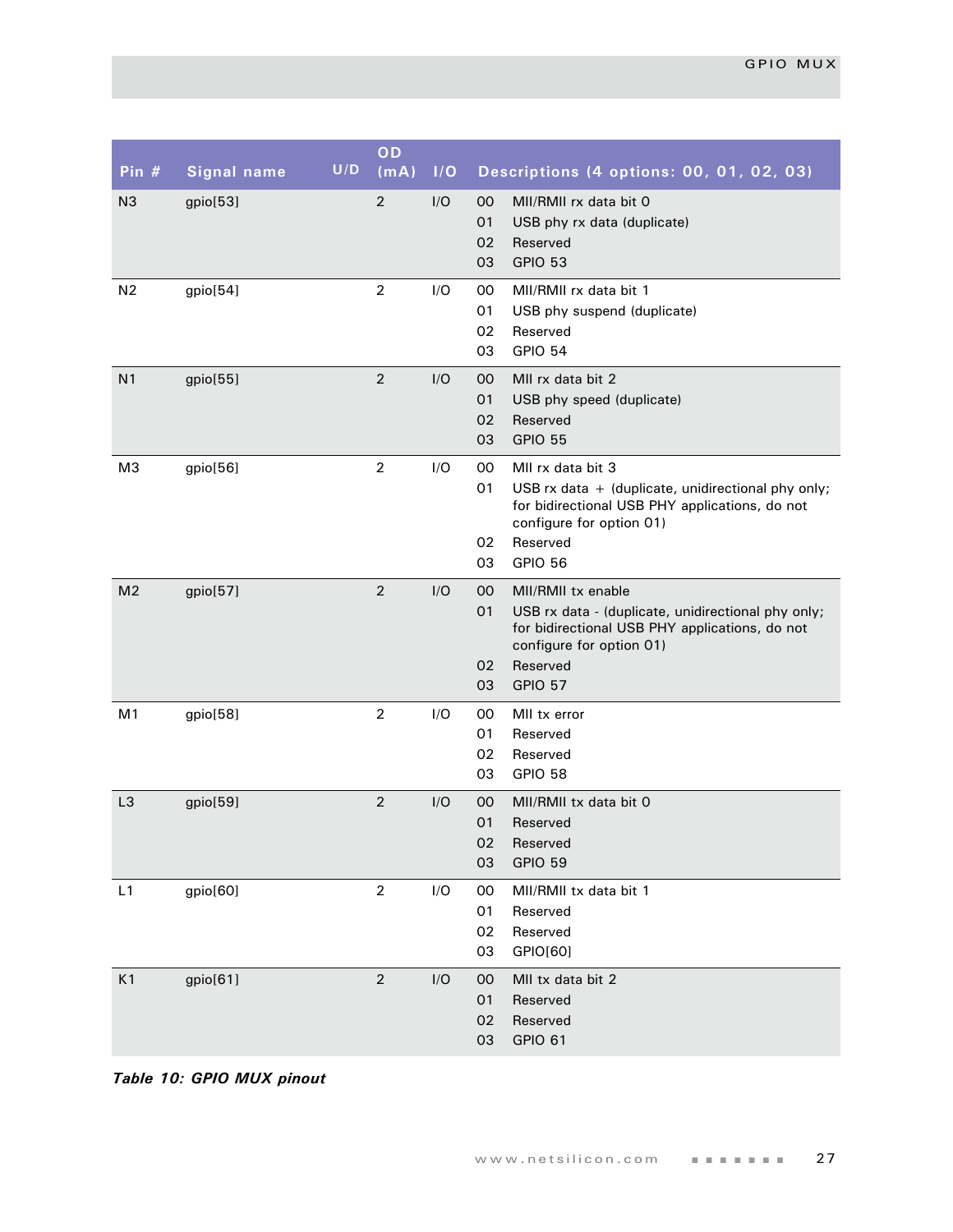| Pin $#$        | <b>Signal name</b> | U/D | OD<br>(mA)     | I/O |                      | Descriptions (4 options: 00, 01, 02, 03)                                                                                                                                                |
|----------------|--------------------|-----|----------------|-----|----------------------|-----------------------------------------------------------------------------------------------------------------------------------------------------------------------------------------|
| N <sub>3</sub> | gpio[53]           |     | $\overline{2}$ | I/O | 00<br>01<br>02<br>03 | MII/RMII rx data bit 0<br>USB phy rx data (duplicate)<br>Reserved<br>GPIO 53                                                                                                            |
| N <sub>2</sub> | gpio[54]           |     | $\overline{2}$ | I/O | 00<br>01<br>02<br>03 | MII/RMII rx data bit 1<br>USB phy suspend (duplicate)<br>Reserved<br><b>GPIO 54</b>                                                                                                     |
| N <sub>1</sub> | gpio[55]           |     | $\overline{2}$ | I/O | 00<br>01<br>02<br>03 | MII rx data bit 2<br>USB phy speed (duplicate)<br>Reserved<br><b>GPIO 55</b>                                                                                                            |
| M <sub>3</sub> | gpio[56]           |     | $\overline{2}$ | I/O | 00<br>01<br>02<br>03 | MII rx data bit 3<br>USB $rx$ data $+$ (duplicate, unidirectional phy only;<br>for bidirectional USB PHY applications, do not<br>configure for option 01)<br>Reserved<br><b>GPIO 56</b> |
| M <sub>2</sub> | gpio[57]           |     | $\overline{2}$ | I/O | 00<br>01<br>02<br>03 | MII/RMII tx enable<br>USB rx data - (duplicate, unidirectional phy only;<br>for bidirectional USB PHY applications, do not<br>configure for option 01)<br>Reserved<br><b>GPIO 57</b>    |
| M <sub>1</sub> | gpio[58]           |     | $\overline{2}$ | I/O | 00<br>01<br>02<br>03 | MII tx error<br>Reserved<br>Reserved<br>GPIO 58                                                                                                                                         |
| L <sub>3</sub> | gpio[59]           |     | $\overline{2}$ | I/O | 00<br>01<br>02<br>03 | MII/RMII tx data bit 0<br>Reserved<br>Reserved<br><b>GPIO 59</b>                                                                                                                        |
| L1             | gpio[60]           |     | $\overline{2}$ | I/O | 00<br>01<br>02<br>03 | MII/RMII tx data bit 1<br>Reserved<br>Reserved<br>GPIO[60]                                                                                                                              |
| K1             | gpio[61]           |     | $\overline{2}$ | I/O | 00<br>01<br>02<br>03 | MII tx data bit 2<br>Reserved<br>Reserved<br>GPIO 61                                                                                                                                    |

*Table 10: GPIO MUX pinout*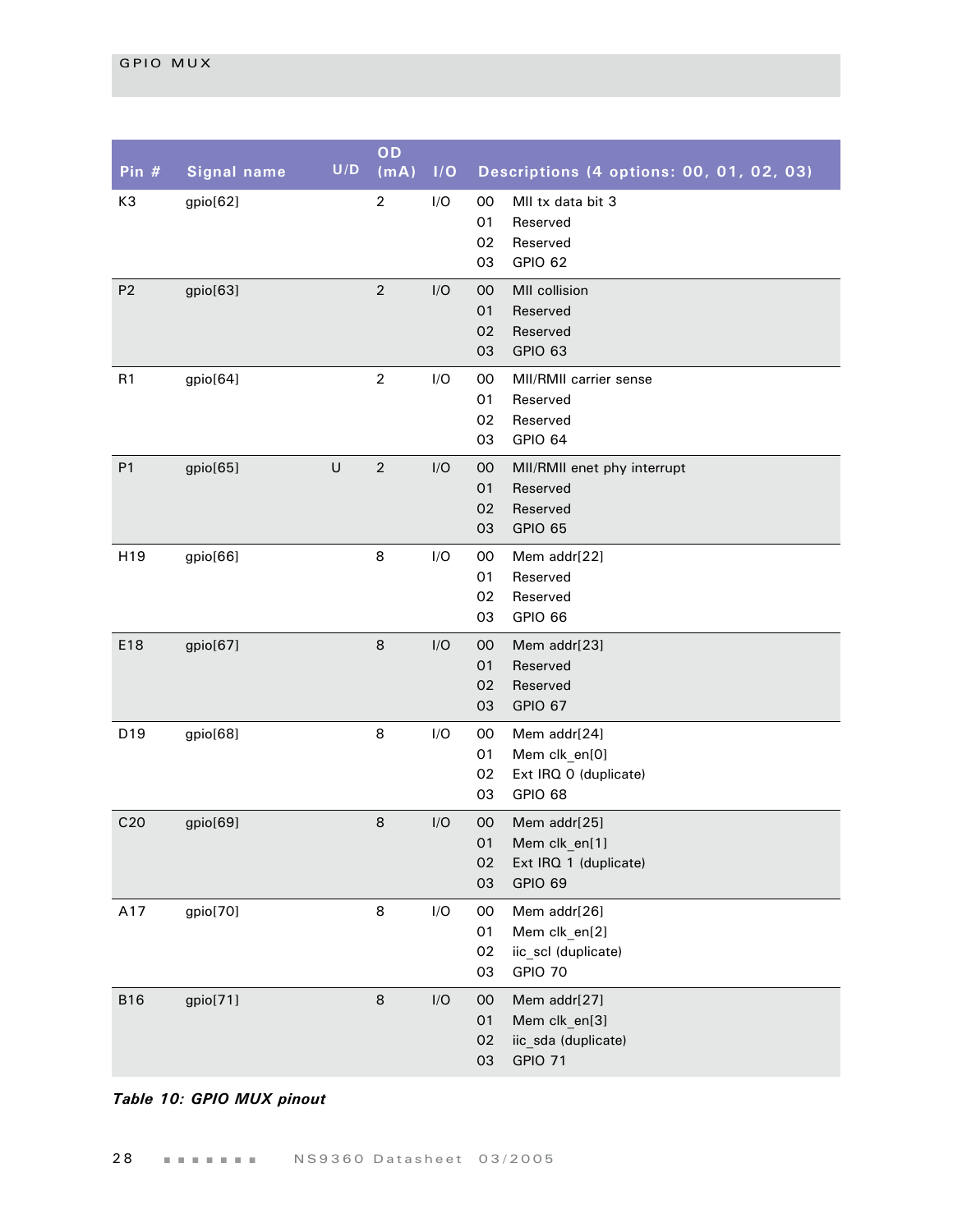| Pin $#$         | <b>Signal name</b> | U/D    | OD<br>(mA)       | 1/O | Descriptions (4 options: 00, 01, 02, 03)                                                  |
|-----------------|--------------------|--------|------------------|-----|-------------------------------------------------------------------------------------------|
| K3              | gpio[62]           |        | $\boldsymbol{2}$ | I/O | MII tx data bit 3<br>00<br>01<br>Reserved<br>02<br>Reserved<br>03<br>GPIO 62              |
| P <sub>2</sub>  | gpio[63]           |        | $\overline{2}$   | I/O | MII collision<br>00<br>01<br>Reserved<br>02<br>Reserved<br>03<br>GPIO 63                  |
| R1              | gpio[64]           |        | $\overline{2}$   | I/O | 00<br>MII/RMII carrier sense<br>01<br>Reserved<br>02<br>Reserved<br>03<br>GPIO 64         |
| P1              | gpio[65]           | $\cup$ | $\overline{2}$   | I/O | 00<br>MII/RMII enet phy interrupt<br>01<br>Reserved<br>02<br>Reserved<br>03<br>GPIO 65    |
| H19             | gpio[66]           |        | 8                | I/O | $00\,$<br>Mem addr[22]<br>01<br>Reserved<br>02<br>Reserved<br>03<br>GPIO 66               |
| E18             | gpio[67]           |        | $\,8\,$          | I/O | 00<br>Mem addr[23]<br>01<br>Reserved<br>02<br>Reserved<br>03<br>GPIO 67                   |
| D19             | gpio[68]           |        | 8                | I/O | 00<br>Mem addr[24]<br>Mem clk_en[0]<br>01<br>Ext IRQ 0 (duplicate)<br>02<br>03<br>GPIO 68 |
| C <sub>20</sub> | gpio[69]           |        | 8                | I/O | 00<br>Mem addr[25]<br>Mem clk_en[1]<br>01<br>02<br>Ext IRQ 1 (duplicate)<br>03<br>GPIO 69 |
| A17             | gpio[70]           |        | 8                | I/O | 00<br>Mem addr[26]<br>01<br>Mem clk_en[2]<br>iic_scl (duplicate)<br>02<br>GPIO 70<br>03   |
| <b>B16</b>      | gpio[71]           |        | $\,8\,$          | I/O | Mem addr[27]<br>00<br>01<br>Mem clk_en[3]<br>02<br>iic_sda (duplicate)<br>03<br>GPIO 71   |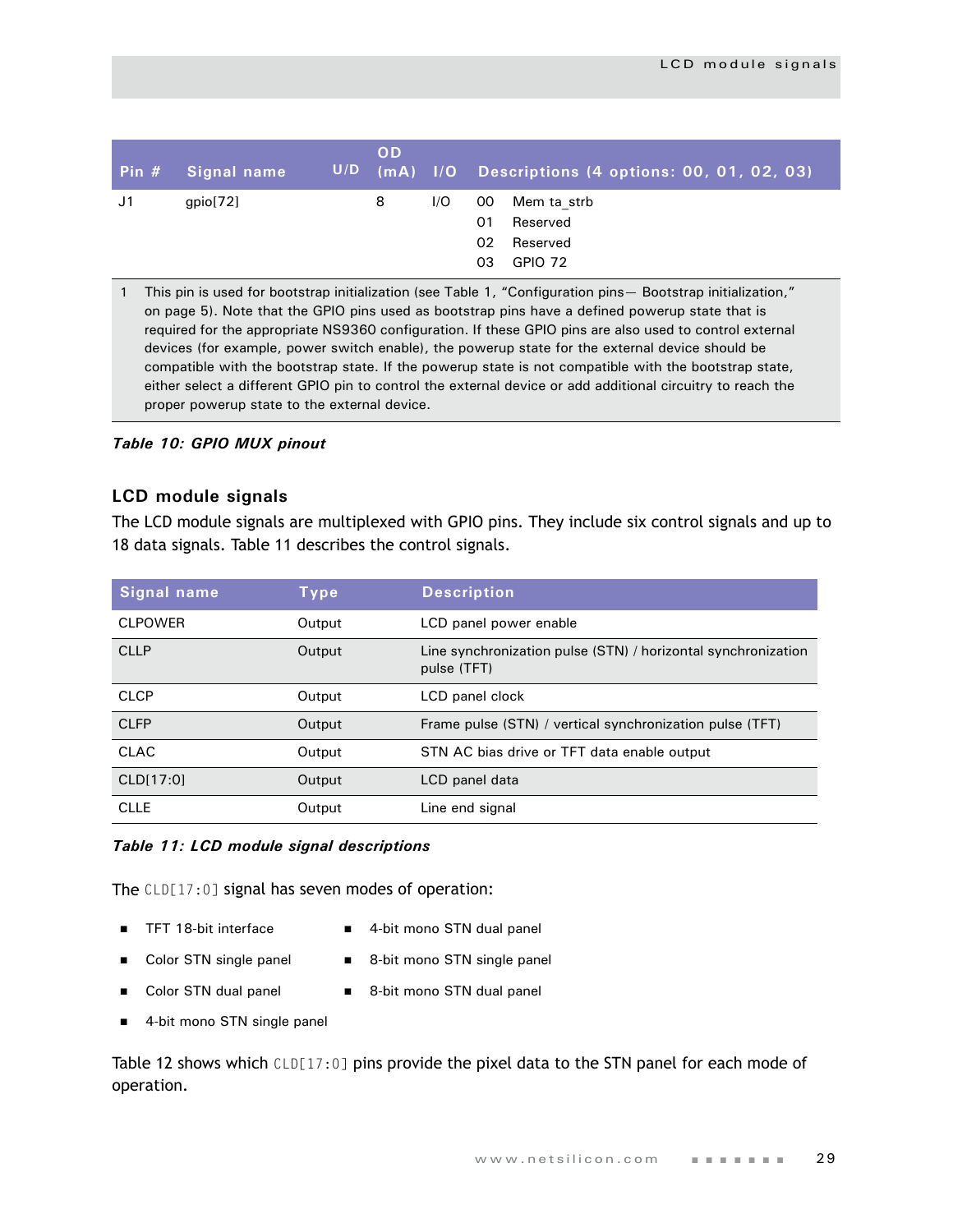|    | <b>Pin # Signal name</b> | U/D | <b>OD</b> |     | $\mid$ (mA) $\mid$ I/O Descriptions (4 options: 00, 01, 02, 03)                |
|----|--------------------------|-----|-----------|-----|--------------------------------------------------------------------------------|
| J1 | gpio[72]                 |     | 8         | 1/O | OO.<br>Mem ta strb<br>Reserved<br>01<br>02<br>Reserved<br><b>GPIO 72</b><br>03 |

1 This pin is used for bootstrap initialization (see Table 1, "Configuration pins— Bootstrap initialization," on page 5). Note that the GPIO pins used as bootstrap pins have a defined powerup state that is required for the appropriate NS9360 configuration. If these GPIO pins are also used to control external devices (for example, power switch enable), the powerup state for the external device should be compatible with the bootstrap state. If the powerup state is not compatible with the bootstrap state, either select a different GPIO pin to control the external device or add additional circuitry to reach the proper powerup state to the external device.

*Table 10: GPIO MUX pinout*

#### <span id="page-32-0"></span>**LCD module signals**

The LCD module signals are multiplexed with GPIO pins. They include six control signals and up to 18 data signals. Table 11 describes the control signals.

| Signal name    | Type   | <b>Description</b>                                                           |
|----------------|--------|------------------------------------------------------------------------------|
| <b>CLPOWER</b> | Output | LCD panel power enable                                                       |
| <b>CLLP</b>    | Output | Line synchronization pulse (STN) / horizontal synchronization<br>pulse (TFT) |
| <b>CLCP</b>    | Output | LCD panel clock                                                              |
| <b>CLFP</b>    | Output | Frame pulse (STN) / vertical synchronization pulse (TFT)                     |
| <b>CLAC</b>    | Output | STN AC bias drive or TFT data enable output                                  |
| CLD[17:0]      | Output | LCD panel data                                                               |
| <b>CLLE</b>    | Output | Line end signal                                                              |

#### *Table 11: LCD module signal descriptions*

The CLD[17:0] signal has seven modes of operation:

- 
- TFT 18-bit interface 4-bit mono STN dual panel
- Color STN single panel 8-bit mono STN single panel
- 
- - Color STN dual panel 8-bit mono STN dual panel
- 4-bit mono STN single panel

[Table 12](#page-33-0) shows which CLD[17:0] pins provide the pixel data to the STN panel for each mode of operation.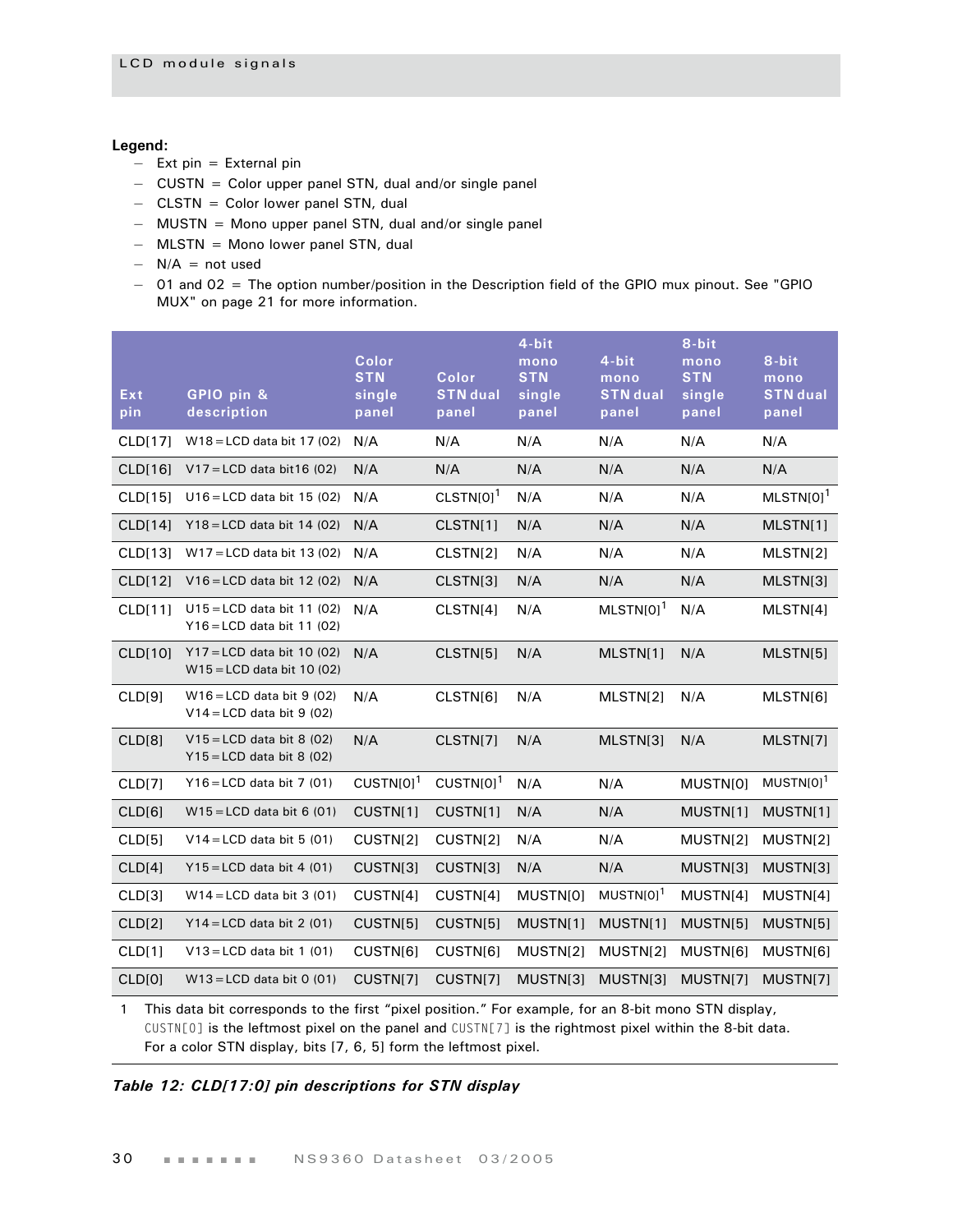#### **Legend:**

- $-$  Ext pin = External pin
- CUSTN = Color upper panel STN, dual and/or single panel
- CLSTN = Color lower panel STN, dual
- MUSTN = Mono upper panel STN, dual and/or single panel
- MLSTN = Mono lower panel STN, dual
- $-$  N/A = not used
- 01 and 02 = The option number/position in the Description field of the GPIO mux pinout. See ["GPIO](#page-24-0)  [MUX" on page 21](#page-24-0) for more information.

| Ext<br>pin     | GPIO pin &<br>description                                    | Color<br><b>STN</b><br>single<br>panel | Color<br><b>STN</b> dual<br>panel | 4-bit<br>mono<br><b>STN</b><br>single<br>panel | 4-bit<br>mono<br><b>STN</b> dual<br>panel | 8-bit<br>mono<br><b>STN</b><br>single<br>panel | 8-bit<br>mono<br><b>STN</b> dual<br>panel |
|----------------|--------------------------------------------------------------|----------------------------------------|-----------------------------------|------------------------------------------------|-------------------------------------------|------------------------------------------------|-------------------------------------------|
| <b>CLD[17]</b> | $W18 = LCD$ data bit 17 (02)                                 | N/A                                    | N/A                               | N/A                                            | N/A                                       | N/A                                            | N/A                                       |
| CLD[16]        | $V17 = LCD$ data bit 16 (02)                                 | N/A                                    | N/A                               | N/A                                            | N/A                                       | N/A                                            | N/A                                       |
| CLD[15]        | $U16 = LCD$ data bit 15 (02)                                 | N/A                                    | $CLSTN[0]$ <sup>1</sup>           | N/A                                            | N/A                                       | N/A                                            | $MLSTN[0]$ <sup>1</sup>                   |
| <b>CLD[14]</b> | $Y18 = LCD$ data bit 14 (02)                                 | N/A                                    | CLSTN[1]                          | N/A                                            | N/A                                       | N/A                                            | MLSTN[1]                                  |
| CLD[13]        | $W17 = LCD$ data bit 13 (02)                                 | N/A                                    | CLSTN[2]                          | N/A                                            | N/A                                       | N/A                                            | MLSTN[2]                                  |
| <b>CLD[12]</b> | $V16 = LCD$ data bit 12 (02)                                 | N/A                                    | CLSTN[3]                          | N/A                                            | N/A                                       | N/A                                            | MLSTN[3]                                  |
| CLD[11]        | $U15 = LCD$ data bit 11 (02)<br>$Y16 = LCD$ data bit 11 (02) | N/A                                    | CLSTN[4]                          | N/A                                            | $MLSTM[0]$ <sup>1</sup>                   | N/A                                            | MLSTN[4]                                  |
| <b>CLD[10]</b> | $Y17 = LCD$ data bit 10 (02)<br>$W15 = LCD$ data bit 10 (02) | N/A                                    | CLSTN[5]                          | N/A                                            | MLSTN[1]                                  | N/A                                            | MLSTN[5]                                  |
| CLD[9]         | $W16 = LCD$ data bit 9 (02)<br>$V14 = LCD$ data bit 9 (02)   | N/A                                    | CLSTN[6]                          | N/A                                            | MLSTN[2]                                  | N/A                                            | MLSTN[6]                                  |
| CLD[8]         | $V15 = LCD$ data bit 8 (02)<br>$Y15 = LCD$ data bit 8 (02)   | N/A                                    | CLSTN[7]                          | N/A                                            | MLSTN[3]                                  | N/A                                            | MLSTN[7]                                  |
| CLD[7]         | $Y16 = LCD$ data bit 7 (01)                                  | $CUSTN[0]$ <sup>1</sup>                | $CUSTN[0]$ <sup>1</sup>           | N/A                                            | N/A                                       | MUSTN[0]                                       | $MUSTN[0]$ <sup>1</sup>                   |
| CLD[6]         | $W15 = LCD$ data bit 6 (01)                                  | CUSTN[1]                               | CUSTN[1]                          | N/A                                            | N/A                                       | MUSTN[1]                                       | MUSTN[1]                                  |
| CLD[5]         | $V14 = LCD$ data bit 5 (01)                                  | CUSTN[2]                               | CUSTN[2]                          | N/A                                            | N/A                                       | MUSTN[2]                                       | MUSTN[2]                                  |
| CLD[4]         | $Y15 = LCD$ data bit 4 (01)                                  | CUSTN[3]                               | CUSTN[3]                          | N/A                                            | N/A                                       | MUSTN[3]                                       | MUSTN[3]                                  |
| CLD[3]         | $W14 = LCD$ data bit 3 (01)                                  | CUSTN[4]                               | CUSTN[4]                          | MUSTN[0]                                       | $MUSTN[0]$ <sup>1</sup>                   | MUSTN[4]                                       | MUSTN[4]                                  |
| CLD[2]         | $Y14 = LCD$ data bit 2 (01)                                  | CUSTN[5]                               | CUSTN[5]                          | MUSTN[1]                                       | MUSTN[1]                                  | MUSTN[5]                                       | MUSTN[5]                                  |
| CLD[1]         | $V13 = LCD$ data bit 1 (01)                                  | CUSTN[6]                               | CUSTN[6]                          | MUSTN[2]                                       | MUSTN[2]                                  | MUSTN[6]                                       | MUSTN[6]                                  |
| CLD[0]         | $W13 = LCD$ data bit 0 (01)                                  | CUSTN[7]                               | CUSTN[7]                          | MUSTN[3]                                       | MUSTN[3]                                  | MUSTN[7]                                       | MUSTN[7]                                  |

1 This data bit corresponds to the first "pixel position." For example, for an 8-bit mono STN display, CUSTN[0] is the leftmost pixel on the panel and CUSTN[7] is the rightmost pixel within the 8-bit data. For a color STN display, bits [7, 6, 5] form the leftmost pixel.

<span id="page-33-0"></span>*Table 12: CLD[17:0] pin descriptions for STN display*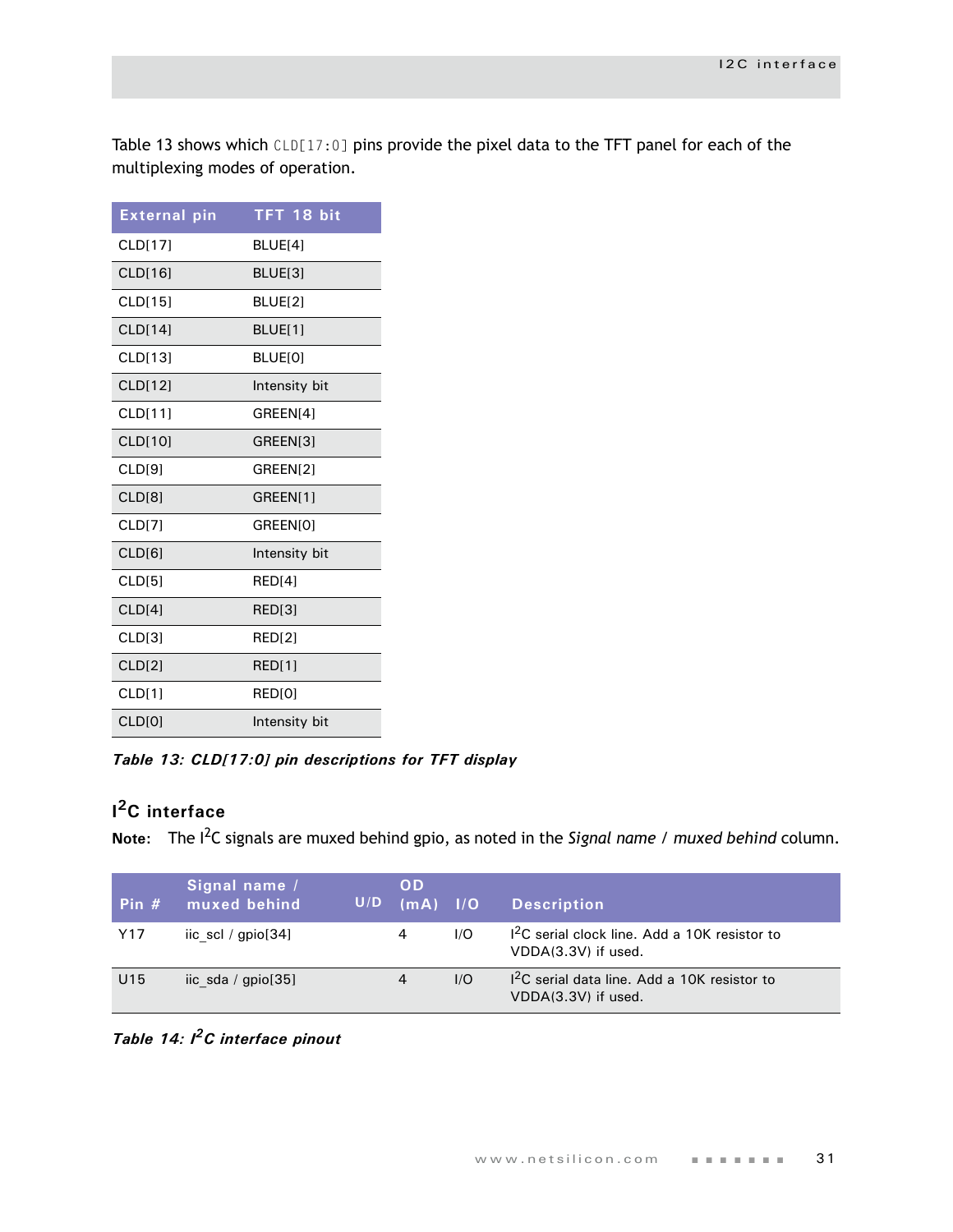Table 13 shows which CLD[17:0] pins provide the pixel data to the TFT panel for each of the multiplexing modes of operation.

| <b>External pin</b> | TFT 18 bit         |
|---------------------|--------------------|
| <b>CLD[17]</b>      | BLUE[4]            |
| CLD[16]             | BLUE[3]            |
| <b>CLD[15]</b>      | BLUE[2]            |
| CLD[14]             | BLUE[1]            |
| <b>CLD[13]</b>      | <b>BLUEIOI</b>     |
| CLD[12]             | Intensity bit      |
| <b>CLD[11]</b>      | GREEN[4]           |
| CLD[10]             | GREEN[3]           |
| CLD[9]              | GREEN[2]           |
| CLD[8]              | GREEN[1]           |
| CLD[7]              | GREEN[0]           |
| CLD[6]              | Intensity bit      |
| CLD <sub>[5]</sub>  | RED <sub>[4]</sub> |
| CLD[4]              | RED[3]             |
| CLD[3]              | RED[2]             |
| <b>CLD[2]</b>       | RED[1]             |
| CLD[1]              | RED[0]             |
| <b>CLD[0]</b>       | Intensity bit      |

*Table 13: CLD[17:0] pin descriptions for TFT display*

# <span id="page-34-0"></span>**I 2C interface**

**Note:** The I2C signals are muxed behind gpio, as noted in the *Signal name / muxed behind* column.

| Pin $#$         | Signal name /<br>muxed behind | U/D | <b>OD</b><br>$(mA)$ $1/O$ |     | <b>Description</b>                                                    |
|-----------------|-------------------------------|-----|---------------------------|-----|-----------------------------------------------------------------------|
| Y17             | iic scl / $gpio[34]$          |     | 4                         | 1/O | $12C$ serial clock line. Add a 10K resistor to<br>VDDA(3.3V) if used. |
| U <sub>15</sub> | iic sda / $gpio[35]$          |     | 4                         | 1/O | $12C$ serial data line. Add a 10K resistor to<br>VDDA(3.3V) if used.  |

*Table 14: I2C interface pinout*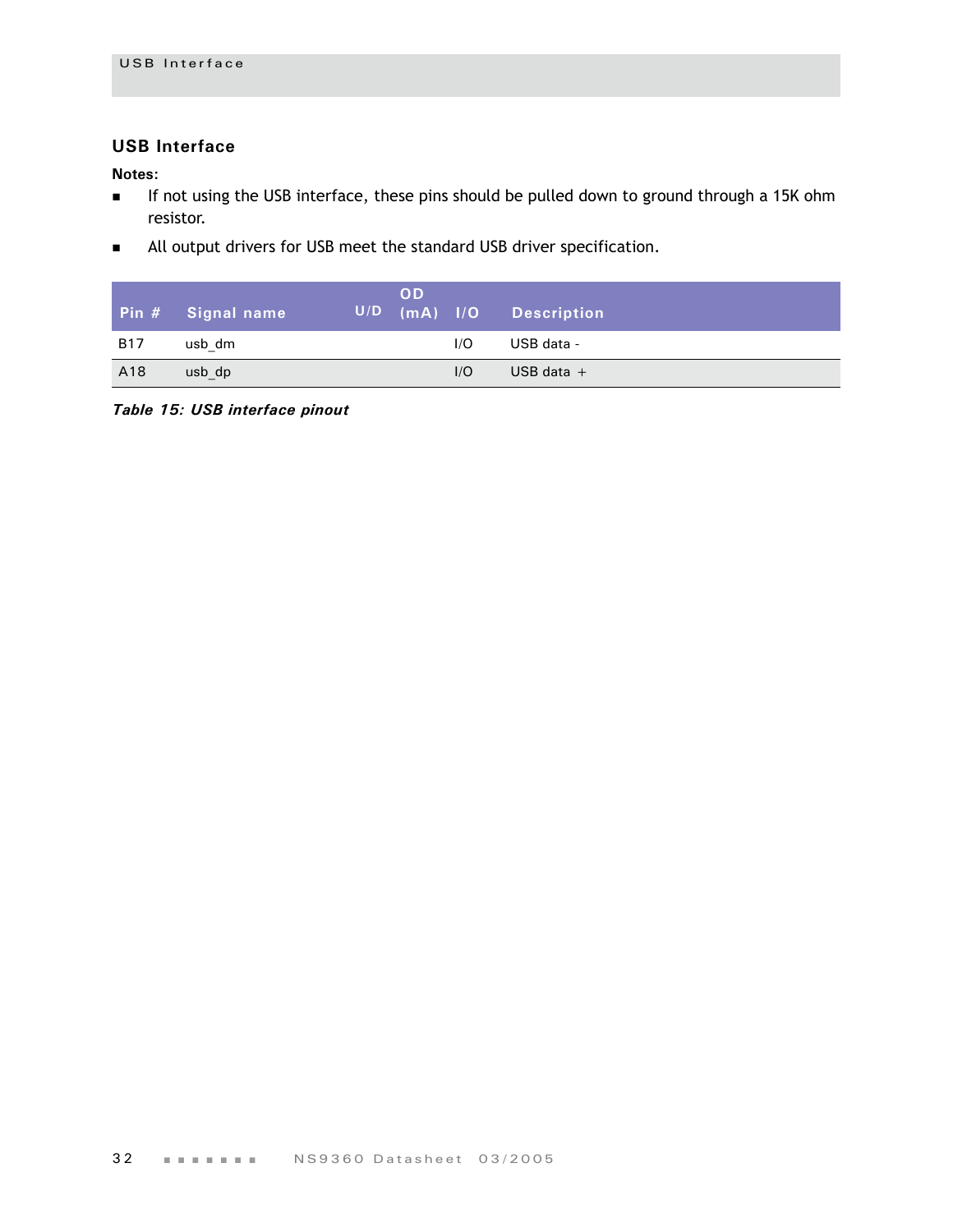#### <span id="page-35-0"></span>**USB Interface**

**Notes:**

- If not using the USB interface, these pins should be pulled down to ground through a 15K ohm resistor.
- All output drivers for USB meet the standard USB driver specification.

|            | Pin # Signal name | <b>OD</b> |     | U/D (mA) I/O Description |
|------------|-------------------|-----------|-----|--------------------------|
| <b>B17</b> | usb dm            |           | 1/O | USB data -               |
| A18        | usb dp            |           | I/O | USB data $+$             |

*Table 15: USB interface pinout*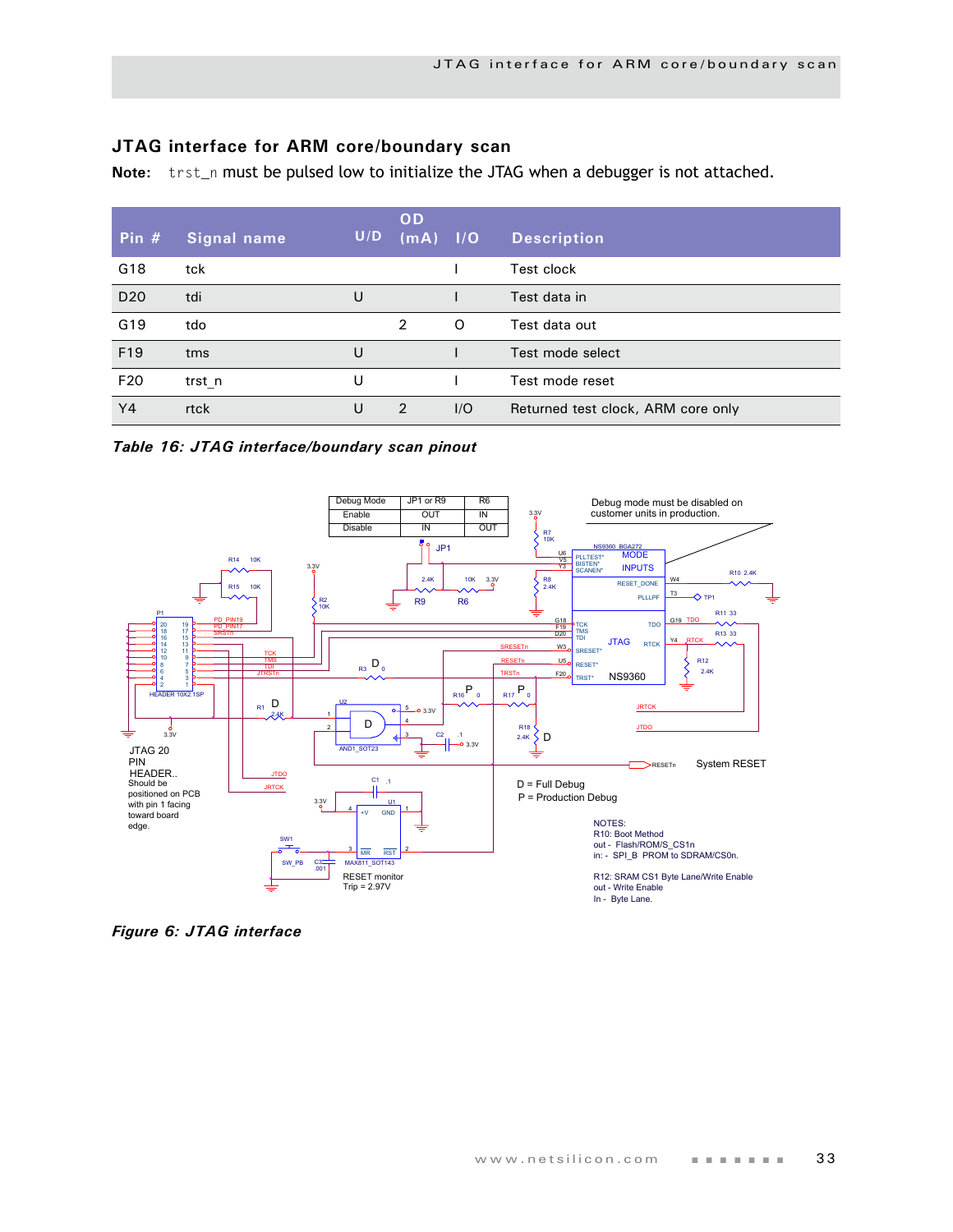# **JTAG interface for ARM core/boundary scan**

Note: trst\_n must be pulsed low to initialize the JTAG when a debugger is not attached.

| Pin $#$         | Signal name | U/D | <b>OD</b><br>$(mA)$ $1/O$ |     | <b>Description</b>                 |
|-----------------|-------------|-----|---------------------------|-----|------------------------------------|
| G <sub>18</sub> | tck         |     |                           |     | Test clock                         |
| D <sub>20</sub> | tdi         | U   |                           |     | Test data in                       |
| G19             | tdo         |     | 2                         | O   | Test data out                      |
| F <sub>19</sub> | tms         | U   |                           |     | Test mode select                   |
| F <sub>20</sub> | trst n      | U   |                           |     | Test mode reset                    |
| Y4              | rtck        | U   | 2                         | 1/O | Returned test clock, ARM core only |

*Table 16: JTAG interface/boundary scan pinout*



*Figure 6: JTAG interface*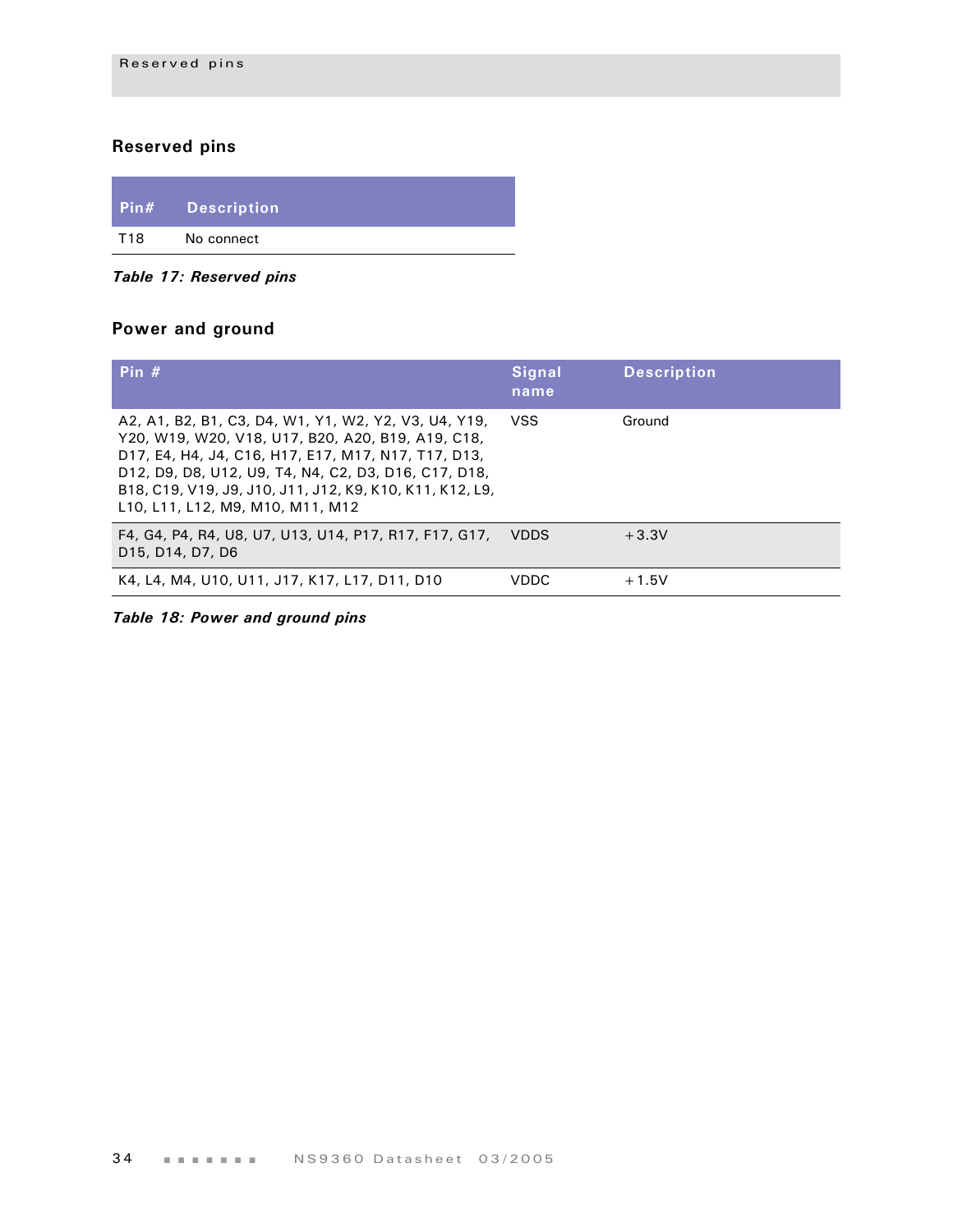# **Reserved pins**

|     | <b>Pin#</b> Description |  |
|-----|-------------------------|--|
| T18 | No connect              |  |

*Table 17: Reserved pins*

# **Power and ground**

| Pin $#$                                                                                                                                                                                                                                                                                                                  | Signal<br>name | <b>Description</b> |
|--------------------------------------------------------------------------------------------------------------------------------------------------------------------------------------------------------------------------------------------------------------------------------------------------------------------------|----------------|--------------------|
| A2, A1, B2, B1, C3, D4, W1, Y1, W2, Y2, V3, U4, Y19,<br>Y20, W19, W20, V18, U17, B20, A20, B19, A19, C18,<br>D17, E4, H4, J4, C16, H17, E17, M17, N17, T17, D13,<br>D12, D9, D8, U12, U9, T4, N4, C2, D3, D16, C17, D18,<br>B18, C19, V19, J9, J10, J11, J12, K9, K10, K11, K12, L9,<br>L10, L11, L12, M9, M10, M11, M12 | <b>VSS</b>     | Ground             |
| F4, G4, P4, R4, U8, U7, U13, U14, P17, R17, F17, G17,<br>D <sub>15</sub> , D <sub>14</sub> , D <sub>7</sub> , D <sub>6</sub>                                                                                                                                                                                             | <b>VDDS</b>    | $+3.3V$            |
| K4, L4, M4, U10, U11, J17, K17, L17, D11, D10                                                                                                                                                                                                                                                                            | <b>VDDC</b>    | $+1.5V$            |

*Table 18: Power and ground pins*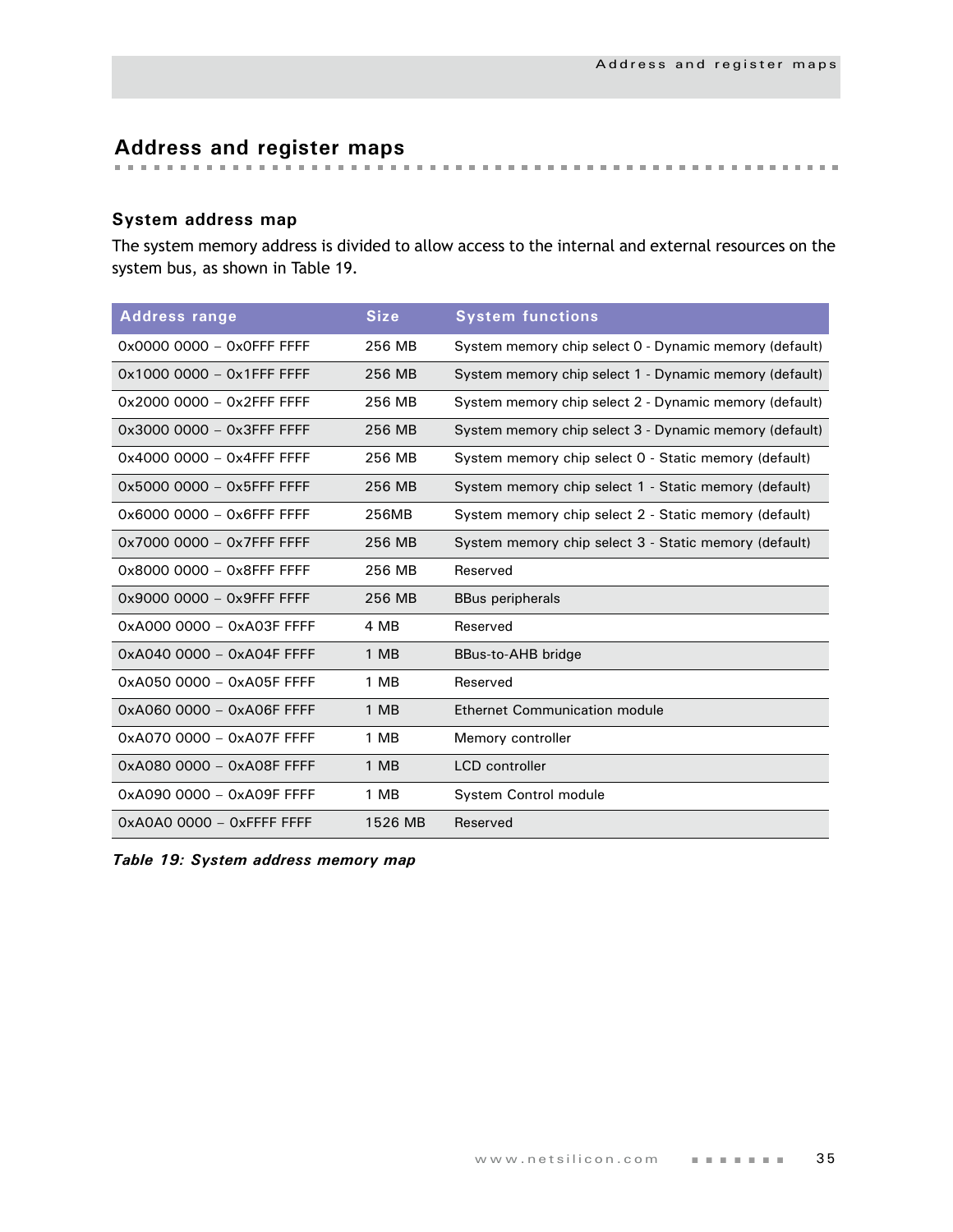# **Address and register maps**

# **System address map**

The system memory address is divided to allow access to the internal and external resources on the system bus, as shown in [Table 19](#page-38-0).

| <b>Address range</b>      | <b>Size</b> | <b>System functions</b>                                |
|---------------------------|-------------|--------------------------------------------------------|
| 0x0000 0000 - 0x0FFF FFFF | 256 MB      | System memory chip select 0 - Dynamic memory (default) |
| 0x1000 0000 - 0x1FFF FFFF | 256 MB      | System memory chip select 1 - Dynamic memory (default) |
| 0x2000 0000 - 0x2FFF FFFF | 256 MB      | System memory chip select 2 - Dynamic memory (default) |
| 0x3000 0000 - 0x3FFF FFFF | 256 MB      | System memory chip select 3 - Dynamic memory (default) |
| 0x4000 0000 - 0x4FFF FFFF | 256 MB      | System memory chip select 0 - Static memory (default)  |
| 0x5000 0000 - 0x5FFF FFFF | 256 MB      | System memory chip select 1 - Static memory (default)  |
| 0x6000 0000 - 0x6FFF FFFF | 256MB       | System memory chip select 2 - Static memory (default)  |
| 0x7000 0000 - 0x7FFF FFFF | 256 MB      | System memory chip select 3 - Static memory (default)  |
| 0x8000 0000 - 0x8FFF FFFF | 256 MB      | Reserved                                               |
| 0x9000 0000 - 0x9FFF FFFF | 256 MB      | <b>BBus peripherals</b>                                |
| 0xA000 0000 - 0xA03F FFFF | 4 MB        | Reserved                                               |
| 0xA040 0000 - 0xA04F FFFF | 1 MB        | BBus-to-AHB bridge                                     |
| 0xA050 0000 - 0xA05F FFFF | 1 MB        | Reserved                                               |
| 0xA060 0000 - 0xA06F FFFF | 1 MB        | <b>Ethernet Communication module</b>                   |
| 0xA070 0000 - 0xA07F FFFF | 1 MB        | Memory controller                                      |
| 0xA080 0000 - 0xA08F FFFF | 1 MB        | <b>LCD</b> controller                                  |
| 0xA090 0000 - 0xA09F FFFF | 1 MB        | System Control module                                  |
|                           | 1526 MB     | Reserved                                               |

<span id="page-38-0"></span>*Table 19: System address memory map*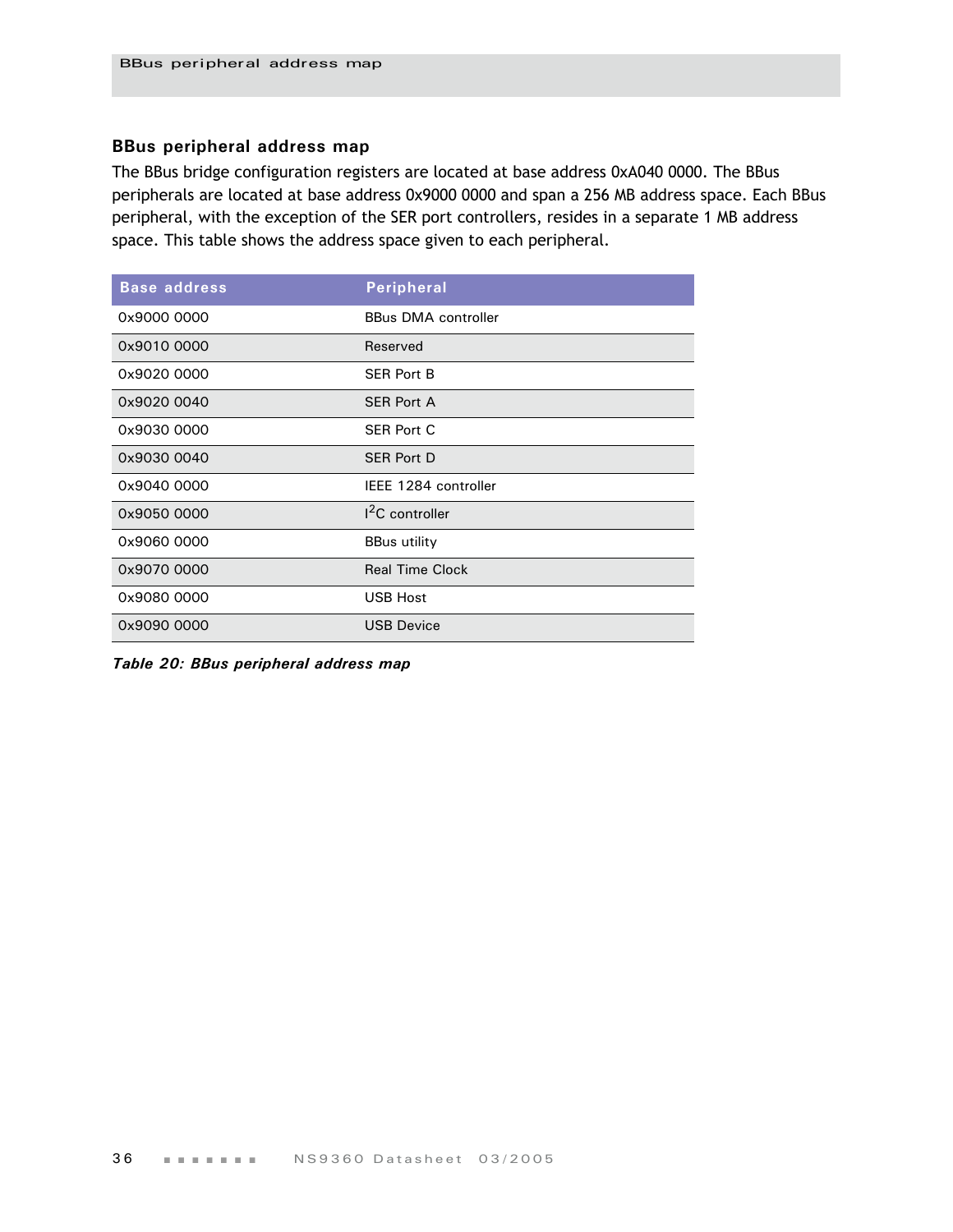# **BBus peripheral address map**

The BBus bridge configuration registers are located at base address 0xA040 0000. The BBus peripherals are located at base address 0x9000 0000 and span a 256 MB address space. Each BBus peripheral, with the exception of the SER port controllers, resides in a separate 1 MB address space. This table shows the address space given to each peripheral.

| <b>Base address</b> | <b>Peripheral</b>          |
|---------------------|----------------------------|
| 0x9000 0000         | <b>BBus DMA controller</b> |
| 0x9010 0000         | Reserved                   |
| 0x9020 0000         | <b>SER Port B</b>          |
| 0x9020 0040         | <b>SER Port A</b>          |
| 0x9030 0000         | <b>SER Port C</b>          |
| 0x9030 0040         | <b>SER Port D</b>          |
| 0x9040 0000         | IEEE 1284 controller       |
| 0x9050 0000         | $12C$ controller           |
| 0x9060 0000         | <b>BBus utility</b>        |
| 0x9070 0000         | <b>Real Time Clock</b>     |
| 0x9080 0000         | <b>USB Host</b>            |
| 0x9090 0000         | <b>USB Device</b>          |

*Table 20: BBus peripheral address map*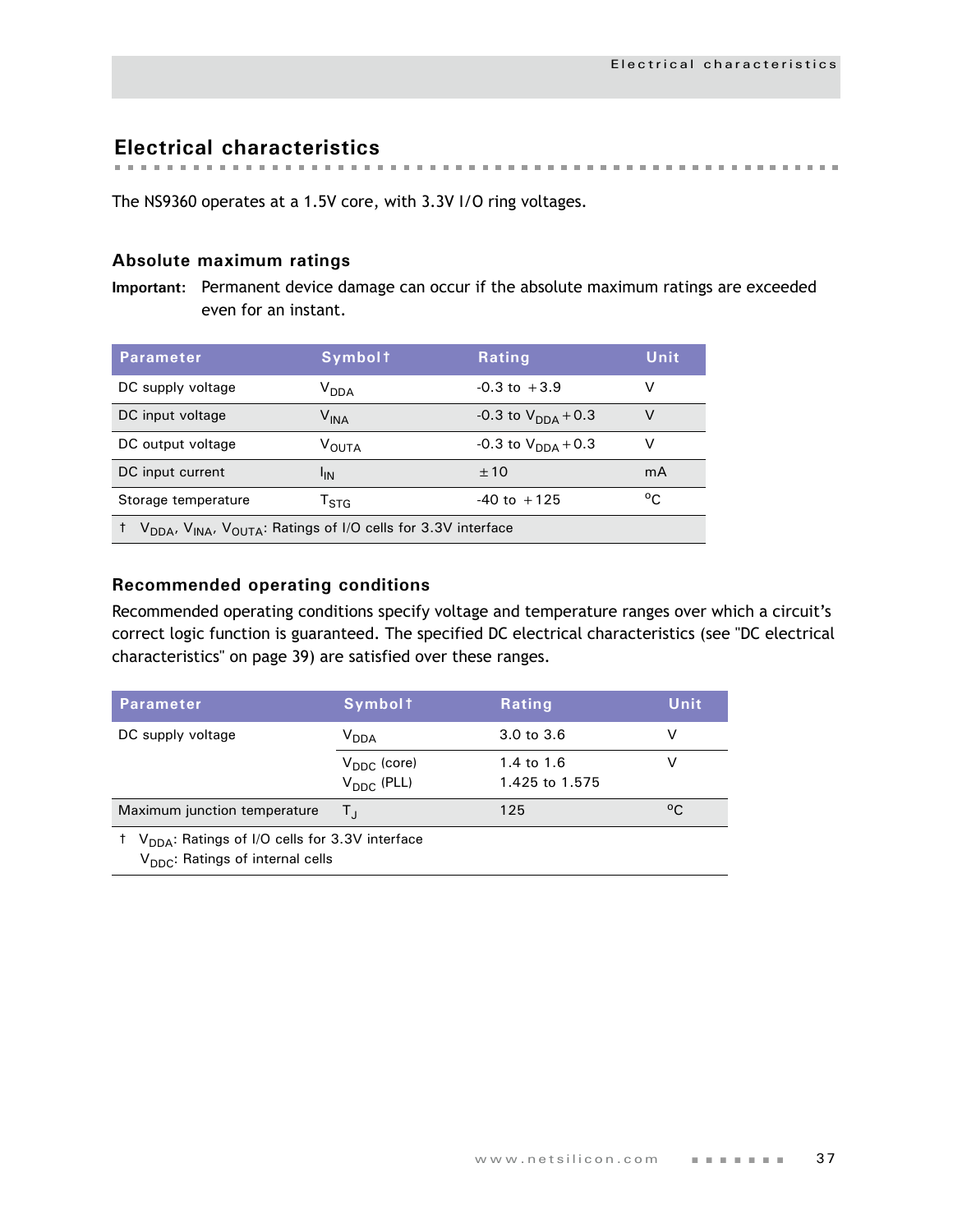**Electrical characteristics**

The NS9360 operates at a 1.5V core, with 3.3V I/O ring voltages.

# **Absolute maximum ratings**

**Important:** Permanent device damage can occur if the absolute maximum ratings are exceeded even for an instant.

| <b>Parameter</b>                                                                                  | <b>Symbolt</b>              | <b>Rating</b>                  | Unit         |  |  |
|---------------------------------------------------------------------------------------------------|-----------------------------|--------------------------------|--------------|--|--|
| DC supply voltage                                                                                 | V <sub>DDA</sub>            | $-0.3$ to $+3.9$               | v            |  |  |
| DC input voltage                                                                                  | $\mathsf{V}_{\mathsf{INA}}$ | -0.3 to $V_{\text{DNA}} + 0.3$ | V            |  |  |
| DC output voltage                                                                                 | V <sub>OUTA</sub>           | $-0.3$ to $V_{DDA}$ + 0.3      | v            |  |  |
| DC input current                                                                                  | <sup>I</sup> IN             | ±10                            | mA           |  |  |
| Storage temperature                                                                               | $\mathsf{T}_{\text{STA}}$   | $-40$ to $+125$                | $^{\circ}$ C |  |  |
| V <sub>DDA</sub> , V <sub>INA</sub> , V <sub>OUTA</sub> : Ratings of I/O cells for 3.3V interface |                             |                                |              |  |  |

# **Recommended operating conditions**

Recommended operating conditions specify voltage and temperature ranges over which a circuit's correct logic function is guaranteed. The specified DC electrical characteristics (see ["DC electrical](#page-42-0)  [characteristics" on page 39\)](#page-42-0) are satisfied over these ranges.

| <b>Parameter</b>                                                                                           | <b>Symbolt</b>                                    | Rating                       | Unit |  |  |
|------------------------------------------------------------------------------------------------------------|---------------------------------------------------|------------------------------|------|--|--|
| DC supply voltage                                                                                          | <b>V</b> <sub>DDA</sub>                           | 3.0 to 3.6                   | v    |  |  |
|                                                                                                            | $V_{\text{DDC}}$ (core)<br>$V_{\text{DDC}}$ (PLL) | 1.4 to 1.6<br>1.425 to 1.575 | V    |  |  |
| Maximum junction temperature                                                                               | Τı,                                               | 125                          | °C   |  |  |
| $V_{\text{DDA}}$ : Ratings of I/O cells for 3.3V interface<br>V <sub>DDC</sub> : Ratings of internal cells |                                                   |                              |      |  |  |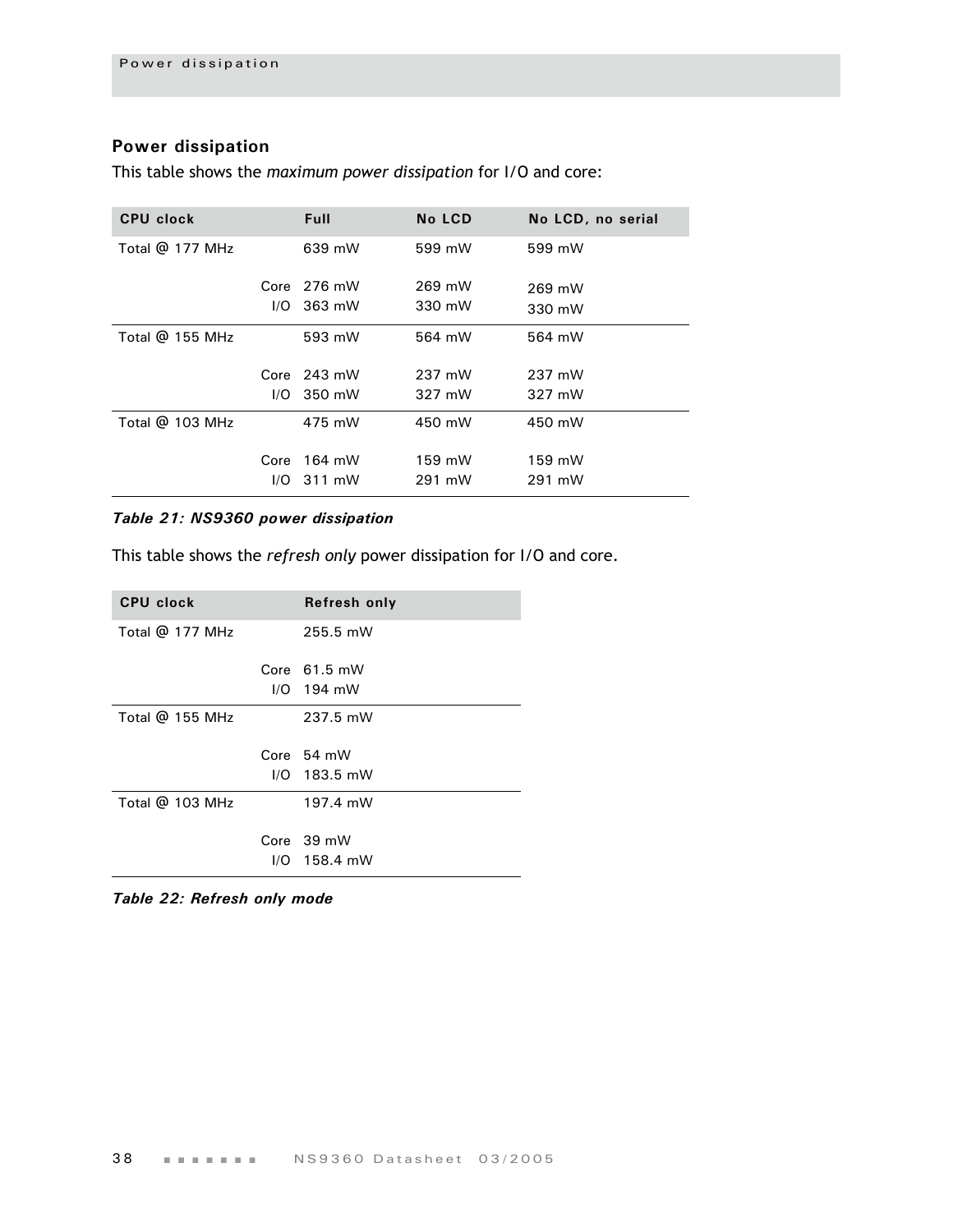# **Power dissipation**

This table shows the *maximum power dissipation* for I/O and core:

| CPU clock         |      | <b>Full</b>   | No LCD | No LCD, no serial |
|-------------------|------|---------------|--------|-------------------|
| Total @ 177 MHz   |      | 639 mW        | 599 mW | 599 mW            |
|                   |      | Core $276$ mW | 269 mW | 269 mW            |
|                   |      | $I/O$ 363 mW  | 330 mW | 330 mW            |
| Total $@$ 155 MHz |      | 593 mW        | 564 mW | 564 mW            |
|                   |      | Core $243$ mW | 237 mW | 237 mW            |
|                   |      | $1/O$ 350 mW  | 327 mW | 327 mW            |
| Total $@$ 103 MHz |      | 475 mW        | 450 mW | 450 mW            |
|                   | Core | 164 mW        | 159 mW | 159 mW            |
|                   |      | $I/O$ 311 mW  | 291 mW | 291 mW            |

### *Table 21: NS9360 power dissipation*

This table shows the *refresh only* power dissipation for I/O and core.

| <b>CPU clock</b> | Refresh only           |
|------------------|------------------------|
| Total @ 177 MHz  | 255.5 mW               |
|                  | Core $61.5 \text{ mW}$ |
|                  | $I/O$ 194 mW           |
| Total @ 155 MHz  | 237.5 mW               |
|                  | Core $54$ mW           |
|                  | $I/O$ 183.5 mW         |
| Total @ 103 MHz  | 197.4 mW               |
|                  | Core 39 mW             |
|                  |                        |

*Table 22: Refresh only mode*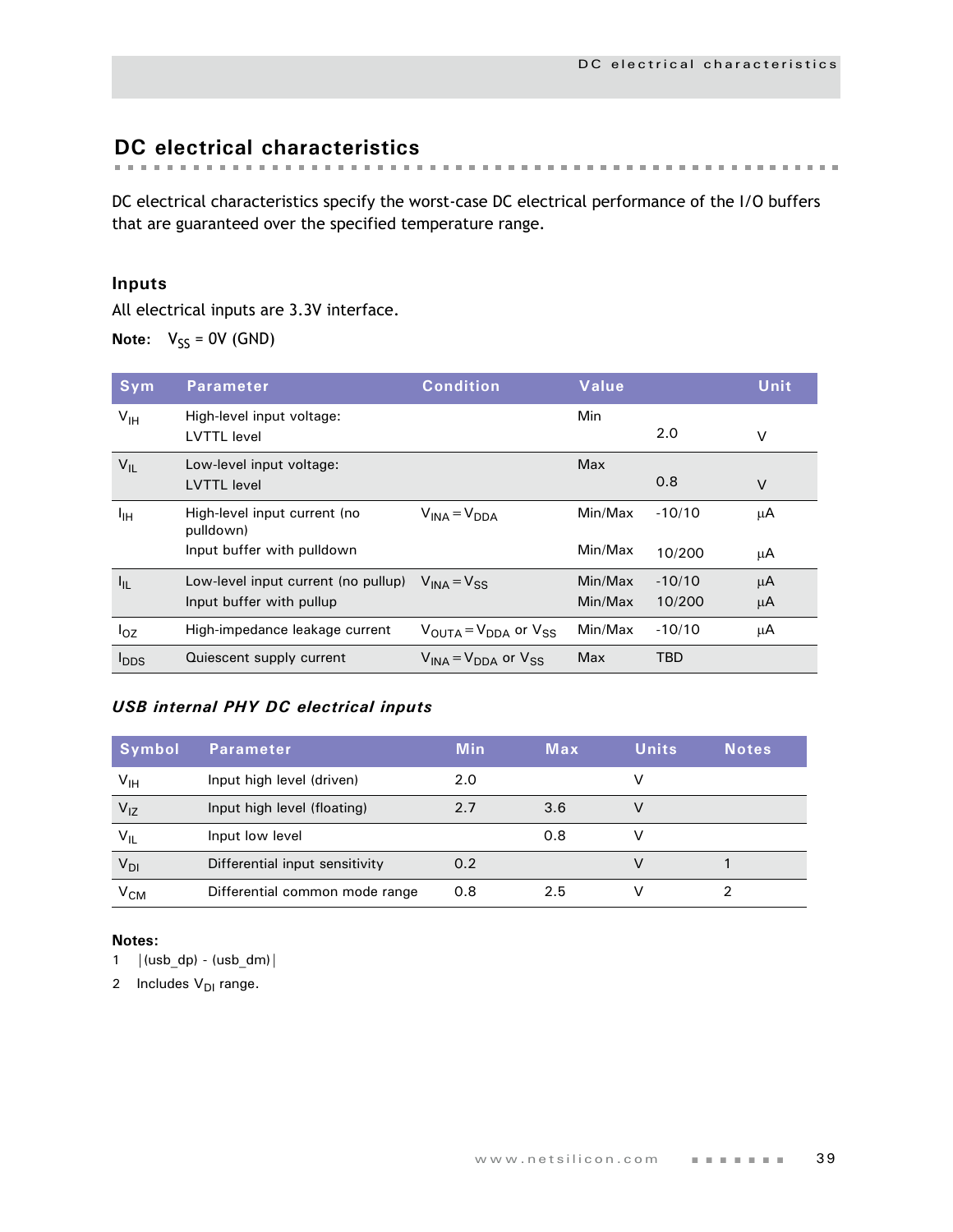# <span id="page-42-0"></span>**DC electrical characteristics**

DC electrical characteristics specify the worst-case DC electrical performance of the I/O buffers that are guaranteed over the specified temperature range.

# **Inputs**

All electrical inputs are 3.3V interface.

**Note:**  $V_{SS} = 0V$  (GND)

| Sym              | <b>Parameter</b>                                | <b>Condition</b>                  | Value   |          | Unit   |
|------------------|-------------------------------------------------|-----------------------------------|---------|----------|--------|
| $V_{\text{IH}}$  | High-level input voltage:<br><b>LVTTL</b> level |                                   | Min     | 2.0      | V      |
| $V_{IL}$         | Low-level input voltage:<br><b>LVTTL</b> level  |                                   | Max     | 0.8      | $\vee$ |
| ŀщ               | High-level input current (no<br>pulldown)       | $V_{\text{INA}} = V_{\text{DDA}}$ | Min/Max | $-10/10$ | μA     |
|                  | Input buffer with pulldown                      |                                   | Min/Max | 10/200   | μA     |
| $I_{\rm IL}$     | Low-level input current (no pullup)             | $V_{INA} = V_{SS}$                | Min/Max | $-10/10$ | μA     |
|                  | Input buffer with pullup                        |                                   | Min/Max | 10/200   | μA     |
| $I_{OZ}$         | High-impedance leakage current                  | $V_{OIITA} = V_{DDA}$ or $V_{SS}$ | Min/Max | $-10/10$ | μA     |
| $I_{\text{DDS}}$ | Quiescent supply current                        | $V_{INA} = V_{DDA}$ or $V_{SS}$   | Max     | TBD      |        |

## *USB internal PHY DC electrical inputs*

| <b>Symbol</b>   | <b>Parameter</b>               | <b>Min</b> | Max | <b>Units</b> | Notes |
|-----------------|--------------------------------|------------|-----|--------------|-------|
| $V_{\text{IH}}$ | Input high level (driven)      | 2.0        |     |              |       |
| $V_{1Z}$        | Input high level (floating)    | 2.7        | 3.6 | V            |       |
| $V_{IL}$        | Input low level                |            | 0.8 | v            |       |
| V <sub>DI</sub> | Differential input sensitivity | 0.2        |     | V            |       |
| V <sub>CM</sub> | Differential common mode range | 0.8        | 2.5 |              |       |

#### **Notes:**

1  $|(usb_dp) - (usb_dm)|$ 

2 Includes  $V_{DI}$  range.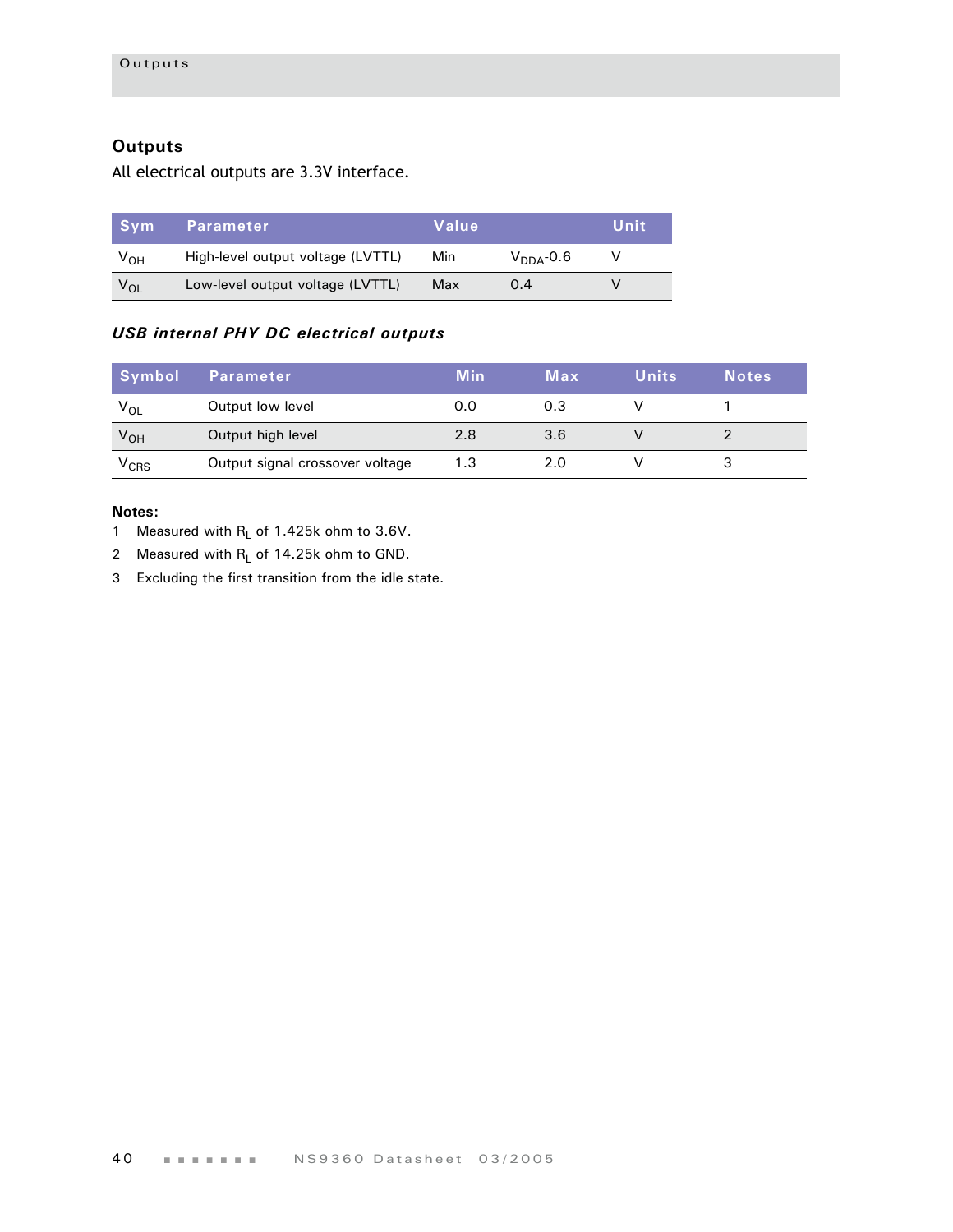# **Outputs**

All electrical outputs are 3.3V interface.

| .Svm            | <b>Parameter</b>                  | Value |                | Unit |
|-----------------|-----------------------------------|-------|----------------|------|
| V <sub>OH</sub> | High-level output voltage (LVTTL) | Min.  | $V_{DDA}$ -0.6 |      |
| $V_{OI}$        | Low-level output voltage (LVTTL)  | Max   | 0.4            |      |

# *USB internal PHY DC electrical outputs*

| Symbol    | Parameter                       | Min | Max | <b>Units</b> | <b>Notes</b> |
|-----------|---------------------------------|-----|-----|--------------|--------------|
| $V_{OL}$  | Output low level                | 0.0 | 0.3 |              |              |
| $V_{OH}$  | Output high level               | 2.8 | 3.6 |              |              |
| $V_{CRS}$ | Output signal crossover voltage | 1.3 | 2.0 |              |              |

- 1 Measured with  $R_L$  of 1.425k ohm to 3.6V.
- 2 Measured with  $R_L$  of 14.25k ohm to GND.
- 3 Excluding the first transition from the idle state.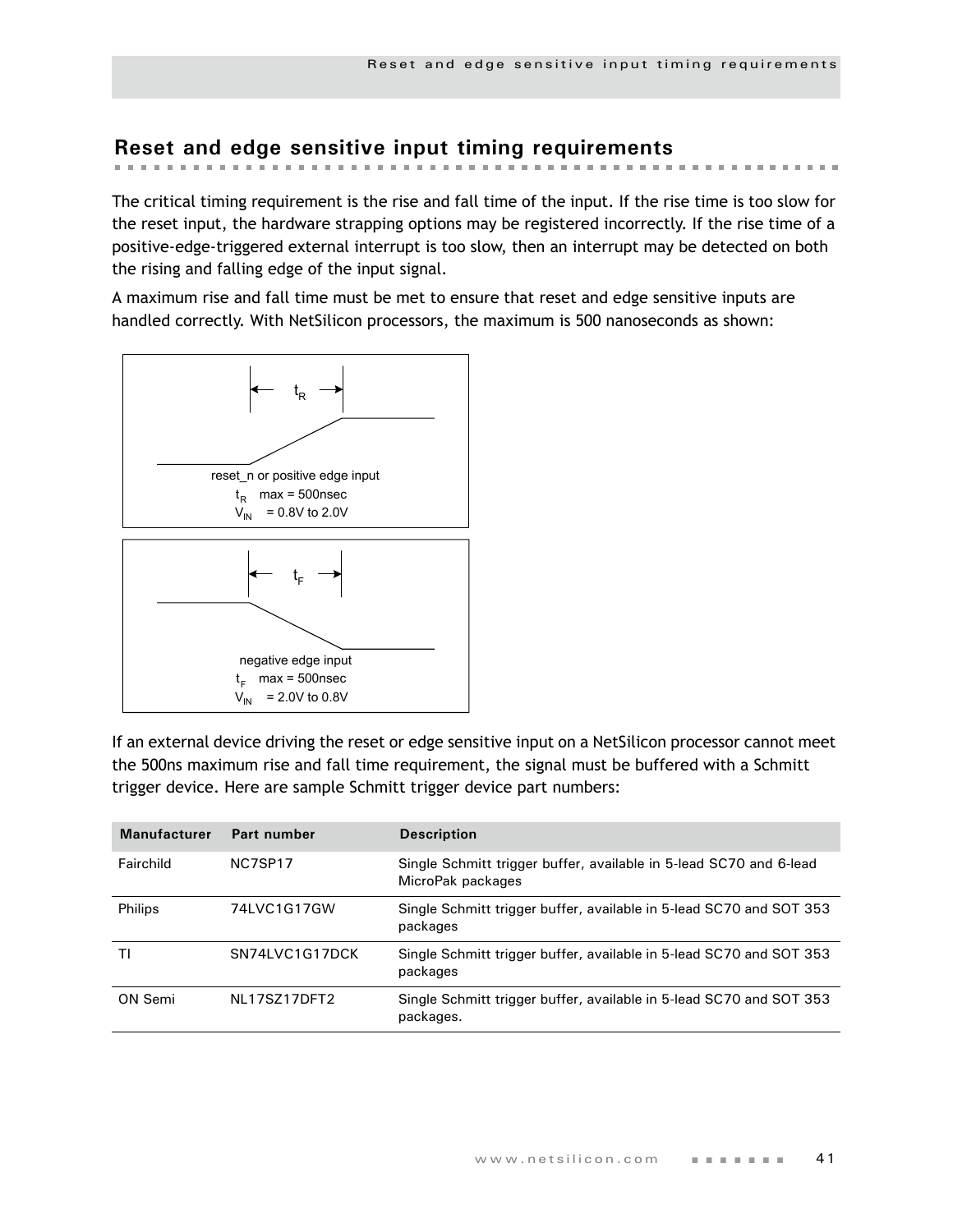#### **Reset and edge sensitive input timing requirements** the contract the contract of the contract and the control of the control of the

The critical timing requirement is the rise and fall time of the input. If the rise time is too slow for the reset input, the hardware strapping options may be registered incorrectly. If the rise time of a positive-edge-triggered external interrupt is too slow, then an interrupt may be detected on both the rising and falling edge of the input signal.

A maximum rise and fall time must be met to ensure that reset and edge sensitive inputs are handled correctly. With NetSilicon processors, the maximum is 500 nanoseconds as shown:



If an external device driving the reset or edge sensitive input on a NetSilicon processor cannot meet the 500ns maximum rise and fall time requirement, the signal must be buffered with a Schmitt trigger device. Here are sample Schmitt trigger device part numbers:

| <b>Manufacturer</b> | Part number    | <b>Description</b>                                                                      |
|---------------------|----------------|-----------------------------------------------------------------------------------------|
| Fairchild           | NC7SP17        | Single Schmitt trigger buffer, available in 5-lead SC70 and 6-lead<br>MicroPak packages |
| Philips             | 74LVC1G17GW    | Single Schmitt trigger buffer, available in 5-lead SC70 and SOT 353<br>packages         |
| ΤI                  | SN74LVC1G17DCK | Single Schmitt trigger buffer, available in 5-lead SC70 and SOT 353<br>packages         |
| ON Semi             | NI 17S717DFT2  | Single Schmitt trigger buffer, available in 5-lead SC70 and SOT 353<br>packages.        |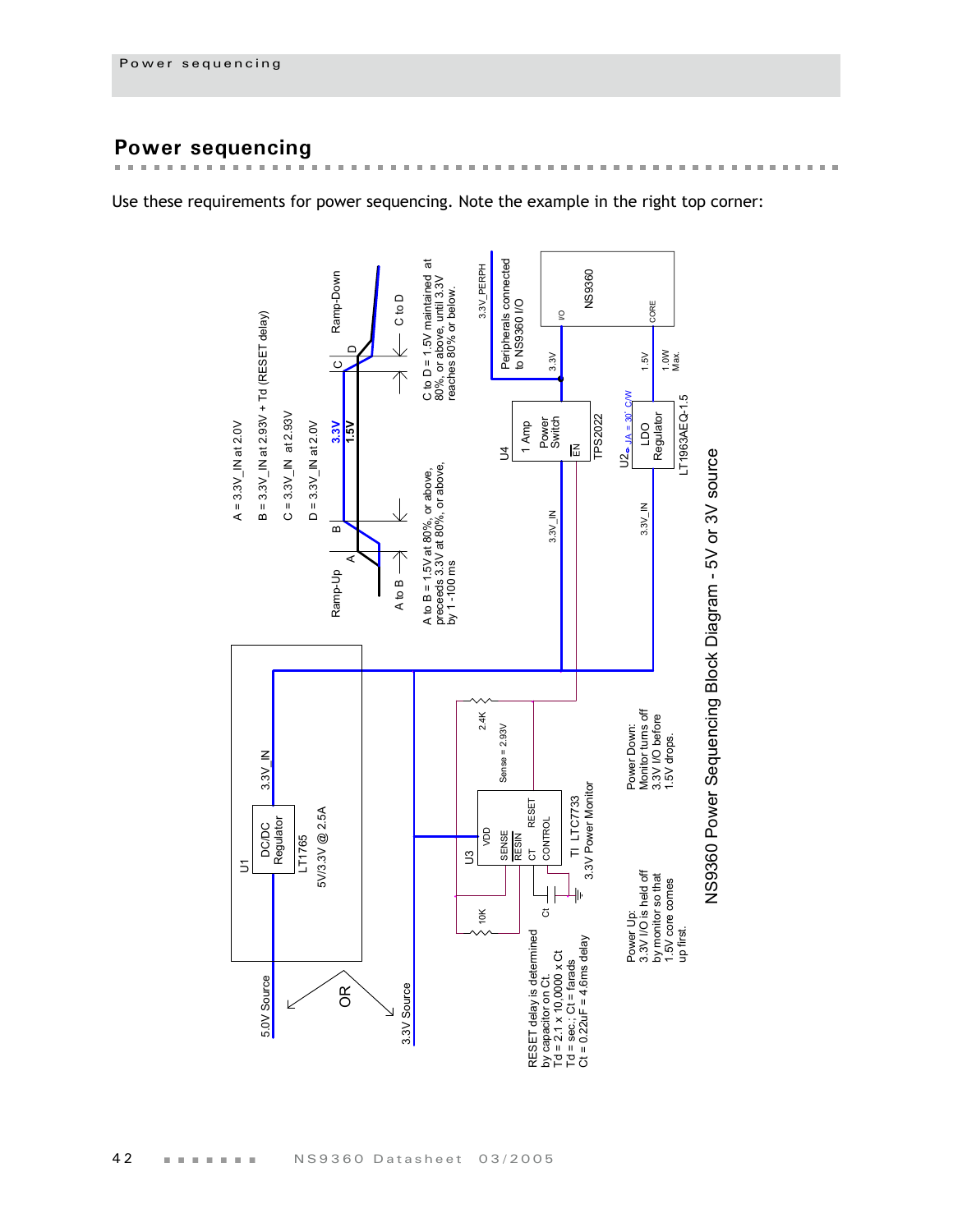# **Power sequencing**

 $\blacksquare$  $\mathbf{r}$   $\overline{a}$  $\mathbf{m}$  $\mathbf{r}$ i. i.  $\mathbb{R}^n$  $\mathbb{R}^2$  $\mathbb{R}^2$  $\mathbf{H}$  $\mathbb{R}^d$  $\mathbf{m}$  $\mathbb{R}^d$  $\mathbf{m}$  $\mathbf{m}$  $\mathbf{m}$  $\mathbb{R}^d$  $\pm$  $\mathbb{R}^n$  $\mathbf{m}$  $\mathbb{R}^d$  $\pm$  $\mathbf{m}$  $\mathbb{R}^d$  $\pm$  $\blacksquare$  $\mathbb{R}^n$  $\mathbf{m}$ 

in in

 $\bar{\mathbf{r}}$ 

Use these requirements for power sequencing. Note the example in the right top corner:

**REAL PROPERTY** 

 $\mathbb{R}^n$  $\mathbf{m}$  the first that the the control of

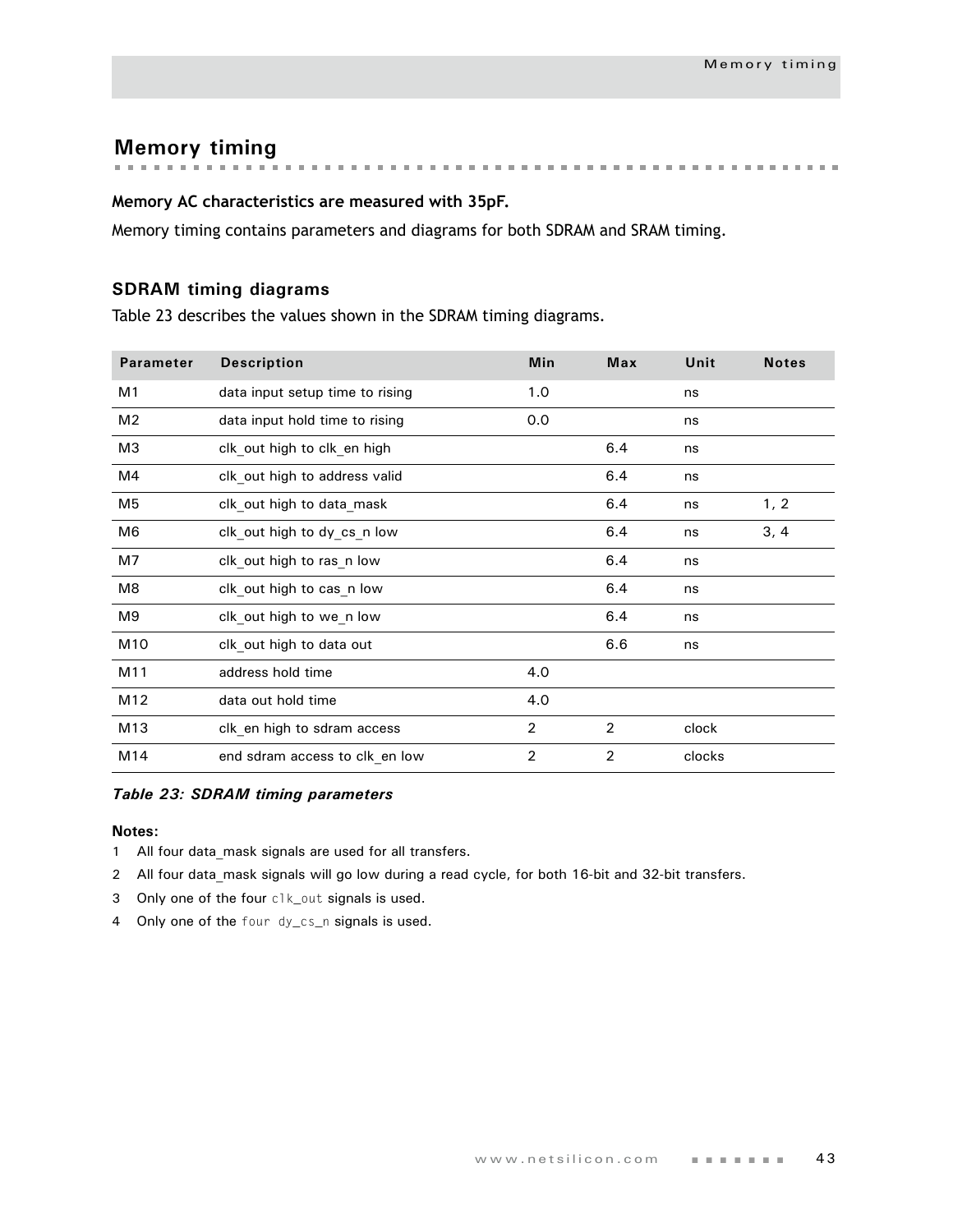**Memory timing**

## **Memory AC characteristics are measured with 35pF.**

Memory timing contains parameters and diagrams for both SDRAM and SRAM timing.

## **SDRAM timing diagrams**

Table 23 describes the values shown in the SDRAM timing diagrams.

| <b>Parameter</b> | <b>Description</b>              | Min            | <b>Max</b>     | Unit   | <b>Notes</b> |
|------------------|---------------------------------|----------------|----------------|--------|--------------|
| M1               | data input setup time to rising | 1.0            |                | ns     |              |
| M <sub>2</sub>   | data input hold time to rising  | 0.0            |                | ns     |              |
| M <sub>3</sub>   | clk_out high to clk_en high     |                | 6.4            | ns     |              |
| M4               | clk out high to address valid   |                | 6.4            | ns     |              |
| M <sub>5</sub>   | clk out high to data mask       |                | 6.4            | ns     | 1, 2         |
| M <sub>6</sub>   | clk_out high to dy_cs_n low     |                | 6.4            | ns     | 3, 4         |
| M7               | clk out high to ras n low       |                | 6.4            | ns     |              |
| M <sub>8</sub>   | clk_out high to cas_n low       |                | 6.4            | ns     |              |
| M9               | clk out high to we n low        |                | 6.4            | ns     |              |
| M10              | clk out high to data out        |                | 6.6            | ns     |              |
| M11              | address hold time               | 4.0            |                |        |              |
| M12              | data out hold time              | 4.0            |                |        |              |
| M13              | clk en high to sdram access     | $\overline{2}$ | 2              | clock  |              |
| M14              | end sdram access to clk en low  | $\overline{2}$ | $\overline{2}$ | clocks |              |

#### *Table 23: SDRAM timing parameters*

- 1 All four data mask signals are used for all transfers.
- 2 All four data mask signals will go low during a read cycle, for both 16-bit and 32-bit transfers.
- 3 Only one of the four clk\_out signals is used.
- 4 Only one of the four dy\_cs\_n signals is used.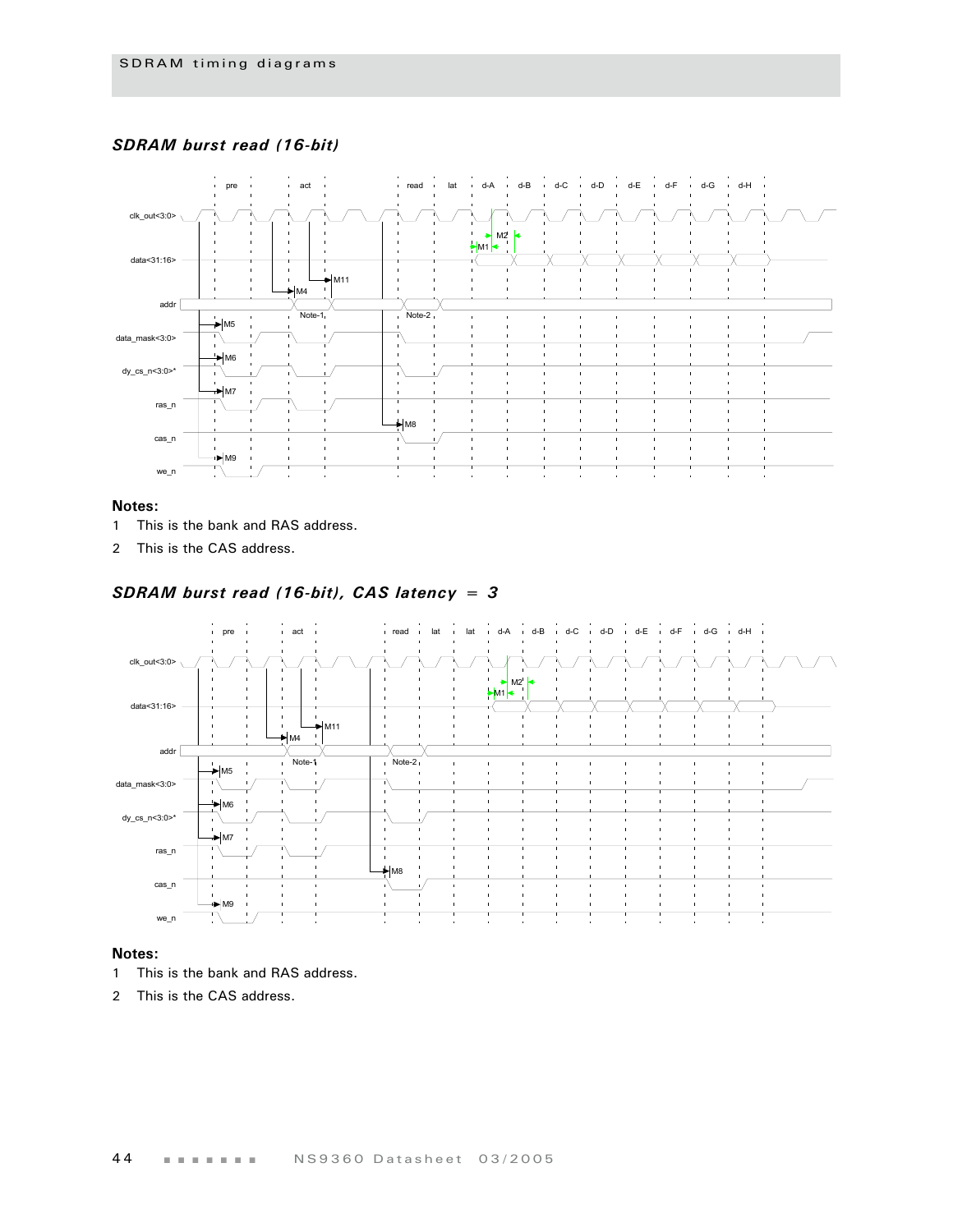### *SDRAM burst read (16-bit)*



#### **Notes:**

- 1 This is the bank and RAS address.
- 2 This is the CAS address.

### *SDRAM burst read (16-bit), CAS latency = 3*



- 1 This is the bank and RAS address.
- 2 This is the CAS address.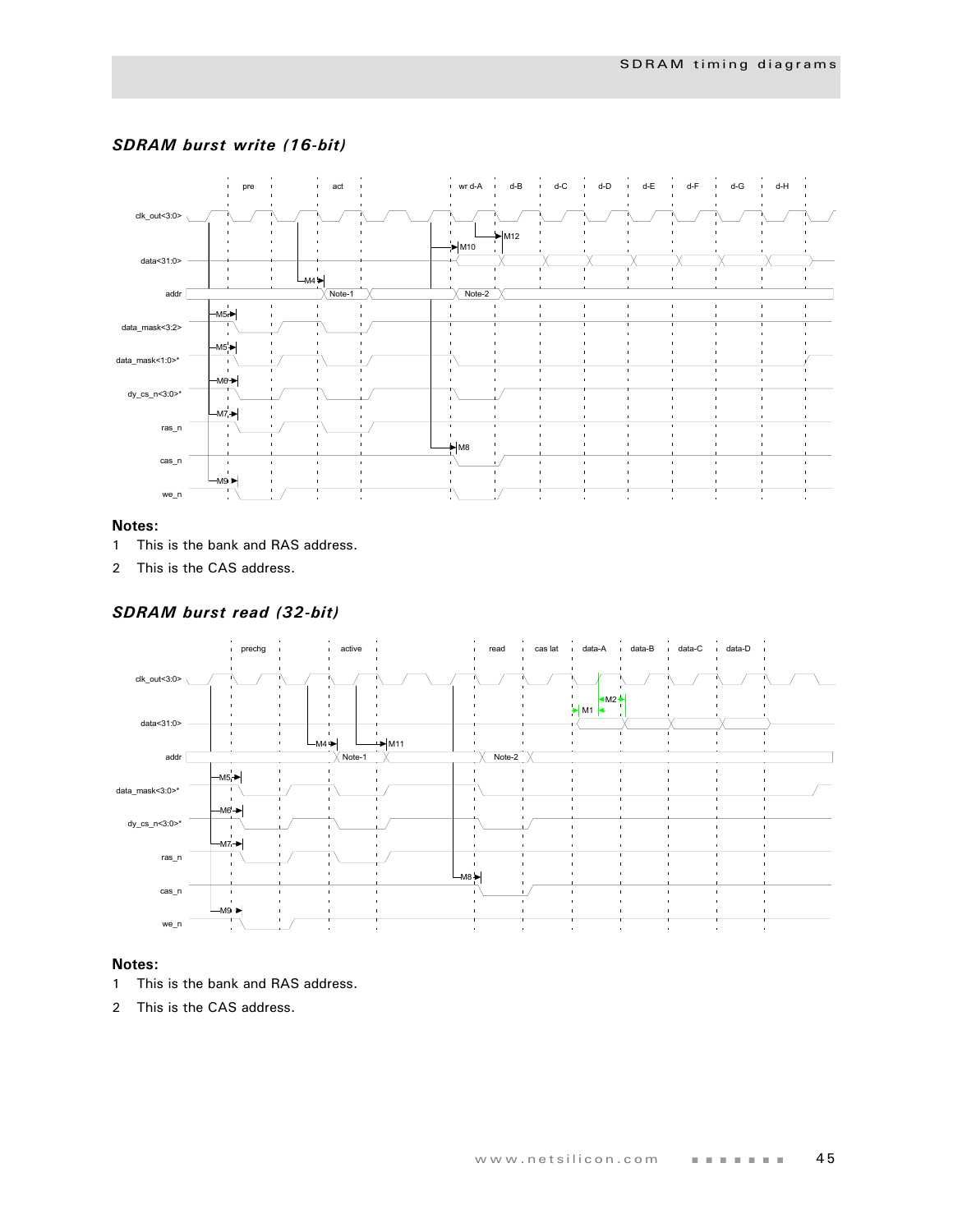

#### *SDRAM burst write (16-bit)*

#### **Notes:**

- 1 This is the bank and RAS address.
- 2 This is the CAS address.

#### *SDRAM burst read (32-bit)*



- 1 This is the bank and RAS address.
- 2 This is the CAS address.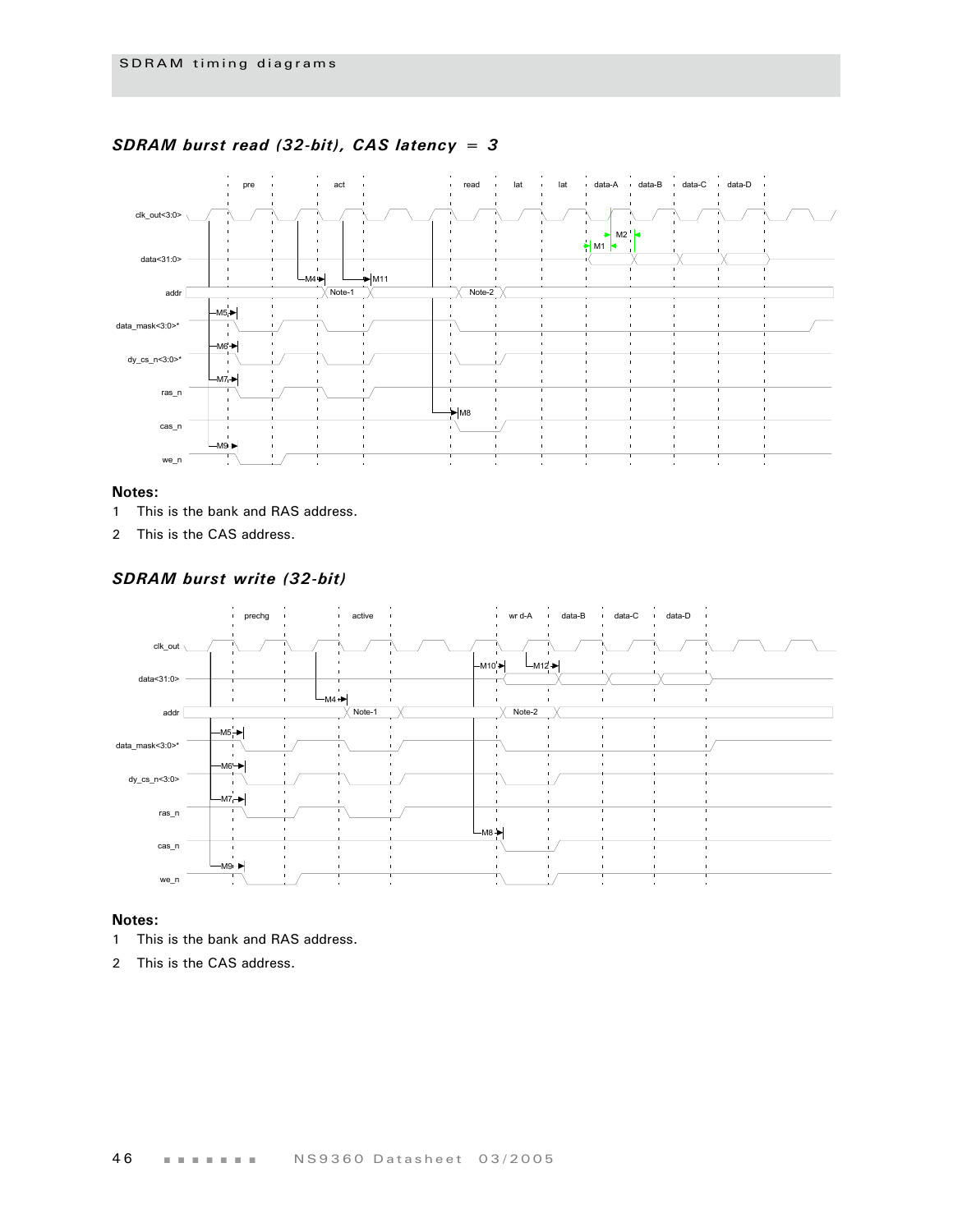

#### *SDRAM burst read (32-bit), CAS latency = 3*

#### **Notes:**

- 1 This is the bank and RAS address.
- 2 This is the CAS address.

#### *SDRAM burst write (32-bit)*



- 1 This is the bank and RAS address.
- 2 This is the CAS address.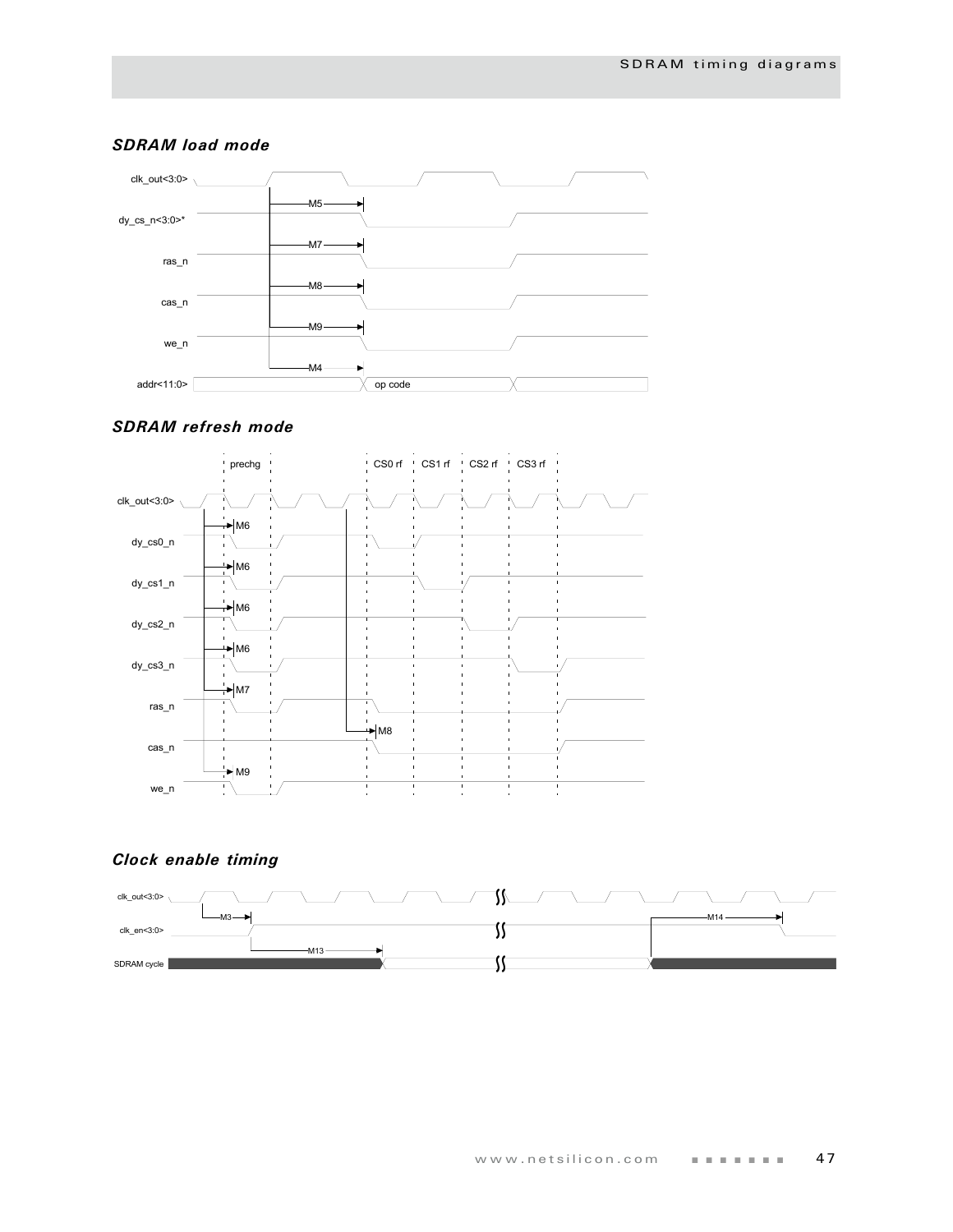

#### *SDRAM load mode*

#### *SDRAM refresh mode*



## *Clock enable timing*

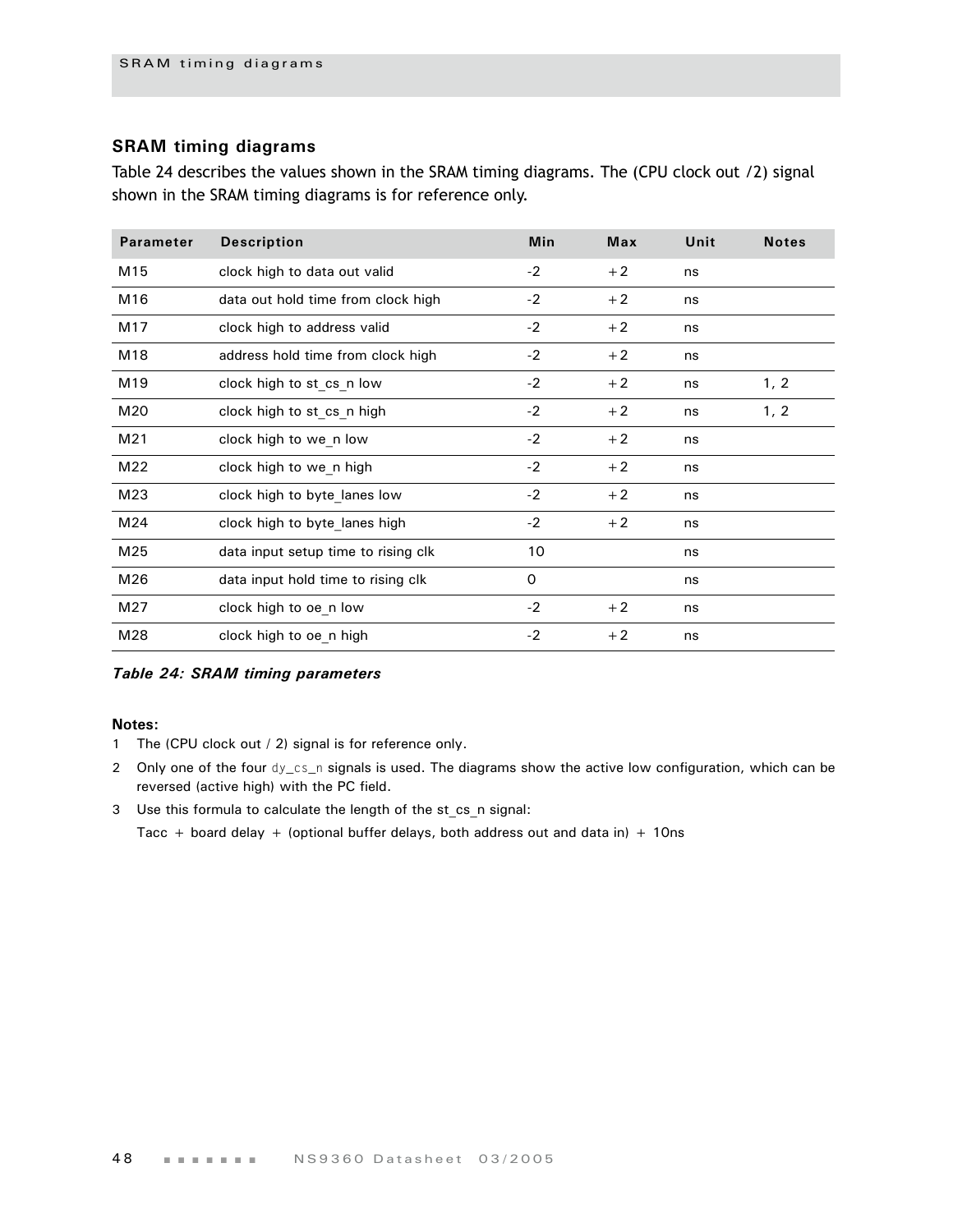## **SRAM timing diagrams**

Table 24 describes the values shown in the SRAM timing diagrams. The (CPU clock out /2) signal shown in the SRAM timing diagrams is for reference only.

| <b>Parameter</b> | <b>Description</b>                  | Min      | Max  | Unit | <b>Notes</b> |
|------------------|-------------------------------------|----------|------|------|--------------|
| M15              | clock high to data out valid        | $-2$     | $+2$ | ns   |              |
| M16              | data out hold time from clock high  | $-2$     | $+2$ | ns   |              |
| M17              | clock high to address valid         | $-2$     | $+2$ | ns   |              |
| M18              | address hold time from clock high   | $-2$     | $+2$ | ns   |              |
| M19              | clock high to st cs n low           | $-2$     | $+2$ | ns   | 1, 2         |
| M20              | clock high to st cs n high          | $-2$     | $+2$ | ns   | 1, 2         |
| M21              | clock high to we n low              | $-2$     | $+2$ | ns   |              |
| M22              | clock high to we n high             | $-2$     | $+2$ | ns   |              |
| M23              | clock high to byte lanes low        | $-2$     | $+2$ | ns   |              |
| M24              | clock high to byte lanes high       | $-2$     | $+2$ | ns   |              |
| M25              | data input setup time to rising clk | 10       |      | ns   |              |
| M26              | data input hold time to rising clk  | $\Omega$ |      | ns   |              |
| M27              | clock high to oe n low              | $-2$     | $+2$ | ns   |              |
| M28              | clock high to oe_n high             | $-2$     | $+2$ | ns   |              |

*Table 24: SRAM timing parameters*

#### **Notes:**

- 1 The (CPU clock out / 2) signal is for reference only.
- 2 Only one of the four dy\_cs\_n signals is used. The diagrams show the active low configuration, which can be reversed (active high) with the PC field.
- 3 Use this formula to calculate the length of the st\_cs\_n signal:

Tacc + board delay + (optional buffer delays, both address out and data in) + 10ns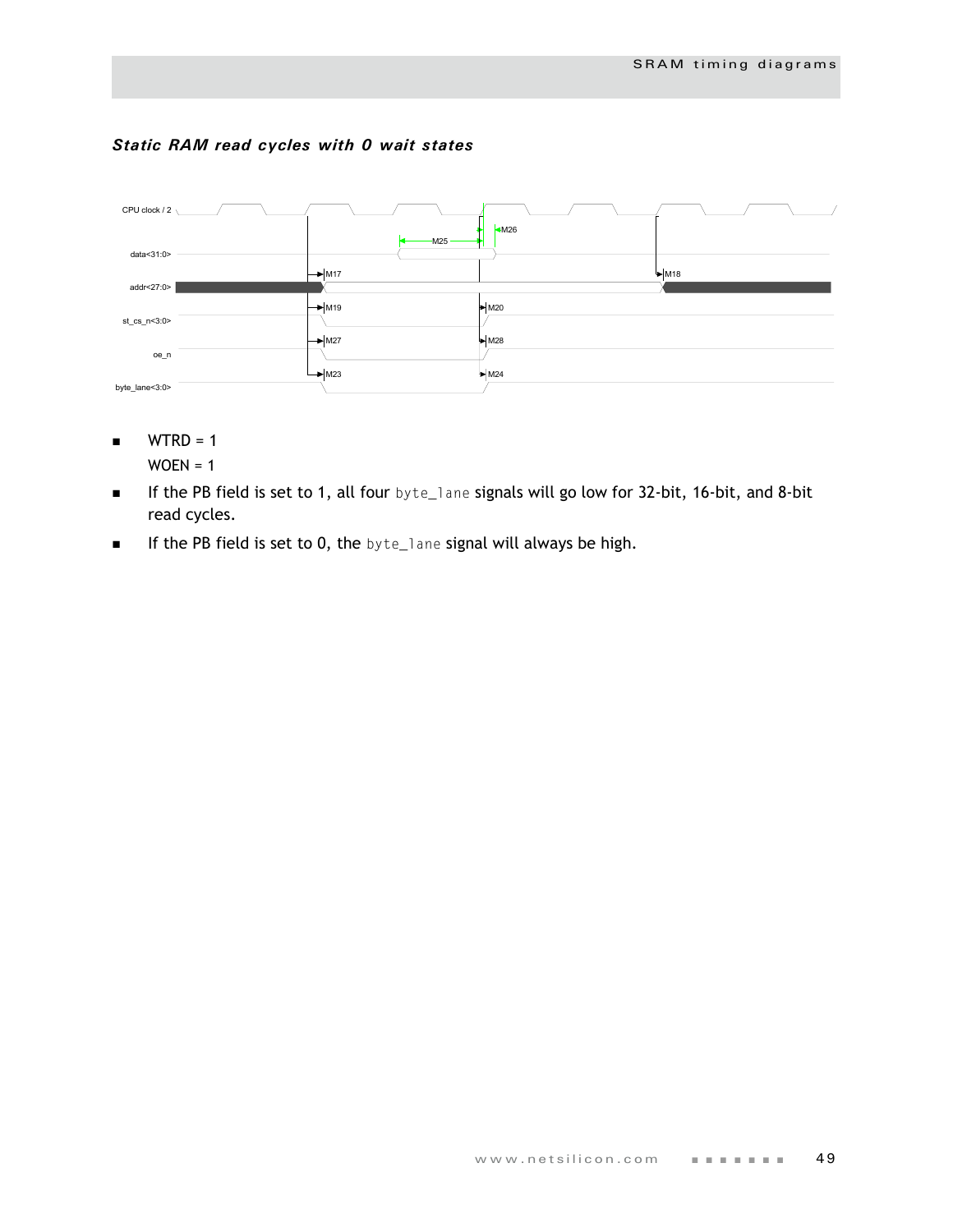## *Static RAM read cycles with 0 wait states*



- $WTRD = 1$  $WOEN = 1$
- If the PB field is set to 1, all four byte\_lane signals will go low for 32-bit, 16-bit, and 8-bit read cycles.
- **If the PB field is set to 0, the byte\_lane signal will always be high.**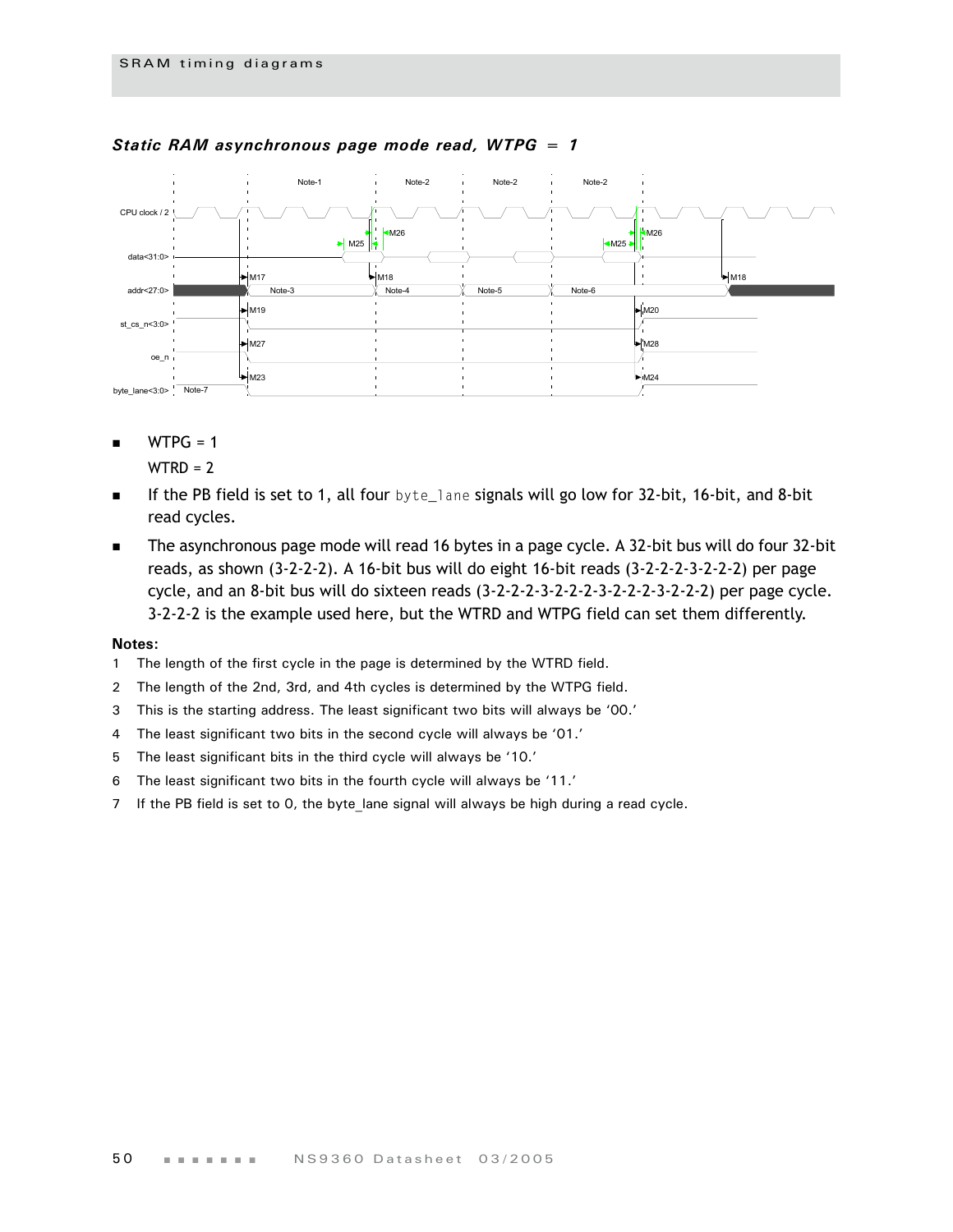

### *Static RAM asynchronous page mode read, WTPG = 1*

 $WTPG = 1$ 

 $WTRD = 2$ 

- **If the PB field is set to 1, all four** byte\_lane signals will go low for 32-bit, 16-bit, and 8-bit read cycles.
- The asynchronous page mode will read 16 bytes in a page cycle. A 32-bit bus will do four 32-bit reads, as shown (3-2-2-2). A 16-bit bus will do eight 16-bit reads (3-2-2-2-3-2-2-2) per page cycle, and an 8-bit bus will do sixteen reads (3-2-2-2-3-2-2-2-3-2-2-2-3-2-2-2) per page cycle. 3-2-2-2 is the example used here, but the WTRD and WTPG field can set them differently.

- 1 The length of the first cycle in the page is determined by the WTRD field.
- 2 The length of the 2nd, 3rd, and 4th cycles is determined by the WTPG field.
- 3 This is the starting address. The least significant two bits will always be '00.'
- 4 The least significant two bits in the second cycle will always be '01.'
- 5 The least significant bits in the third cycle will always be '10.'
- 6 The least significant two bits in the fourth cycle will always be '11.'
- 7 If the PB field is set to 0, the byte lane signal will always be high during a read cycle.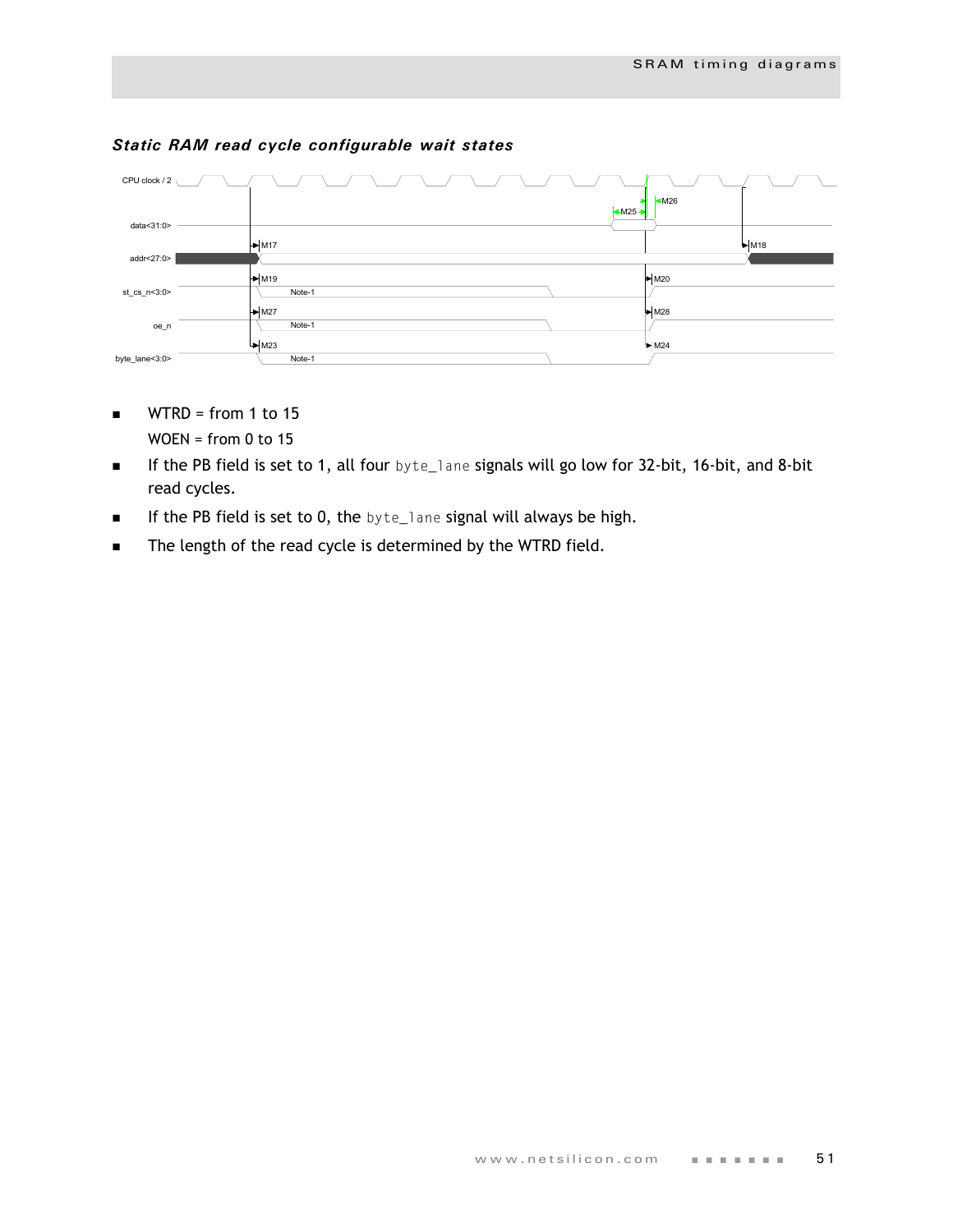

### *Static RAM read cycle configurable wait states*

- $WTRD = from 1 to 15$  $WOEN = from 0 to 15$ 
	-
- If the PB field is set to 1, all four byte\_lane signals will go low for 32-bit, 16-bit, and 8-bit read cycles.
- **If the PB field is set to 0, the byte\_lane signal will always be high.**
- **The length of the read cycle is determined by the WTRD field.**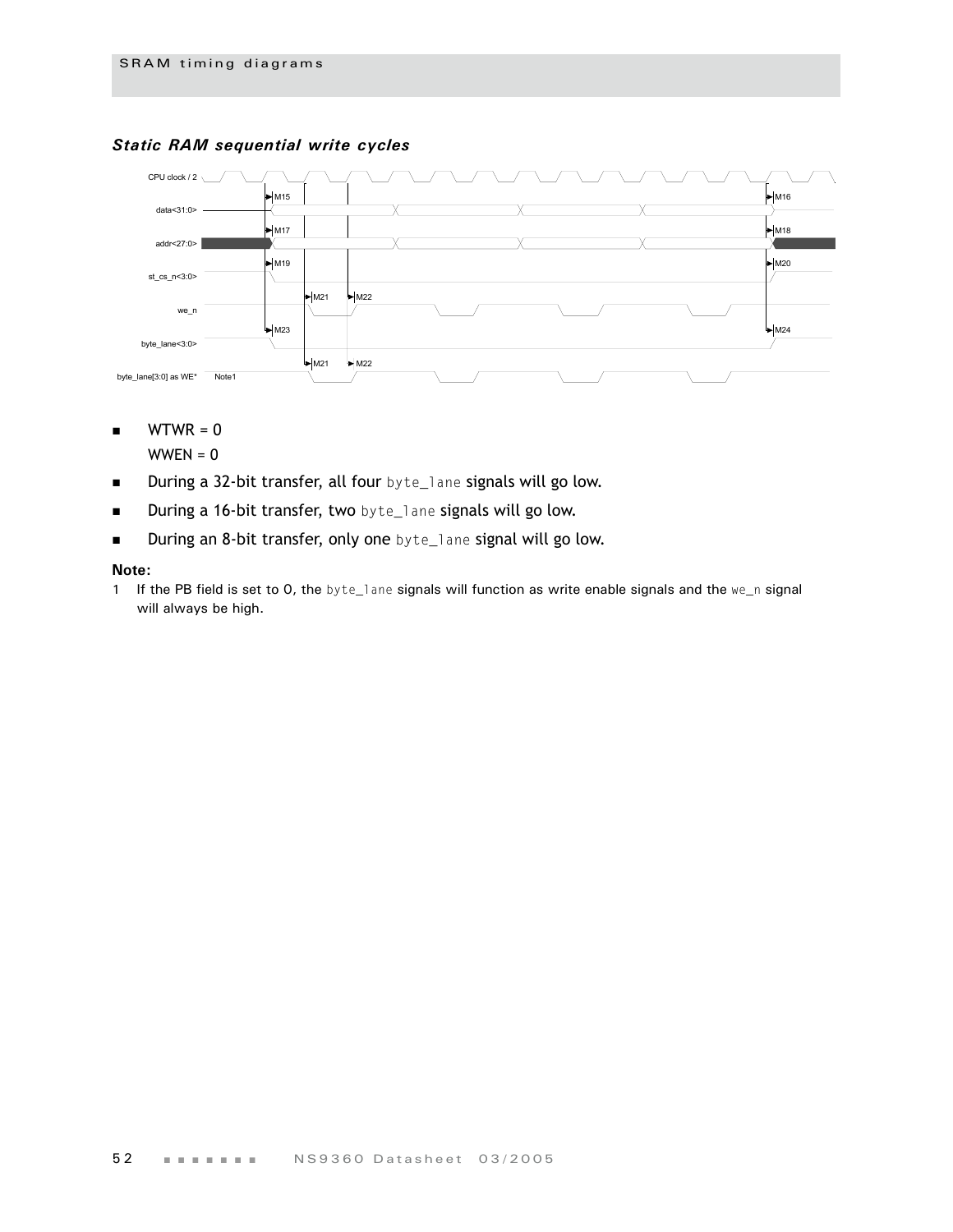



 $WTWR = 0$ 

 $WWEN = 0$ 

- **During a 32-bit transfer, all four** byte\_lane signals will go low.
- **During a 16-bit transfer, two** byte\_lane signals will go low.
- During an 8-bit transfer, only one byte\_lane signal will go low.

#### **Note:**

1 If the PB field is set to 0, the byte\_lane signals will function as write enable signals and the we\_n signal will always be high.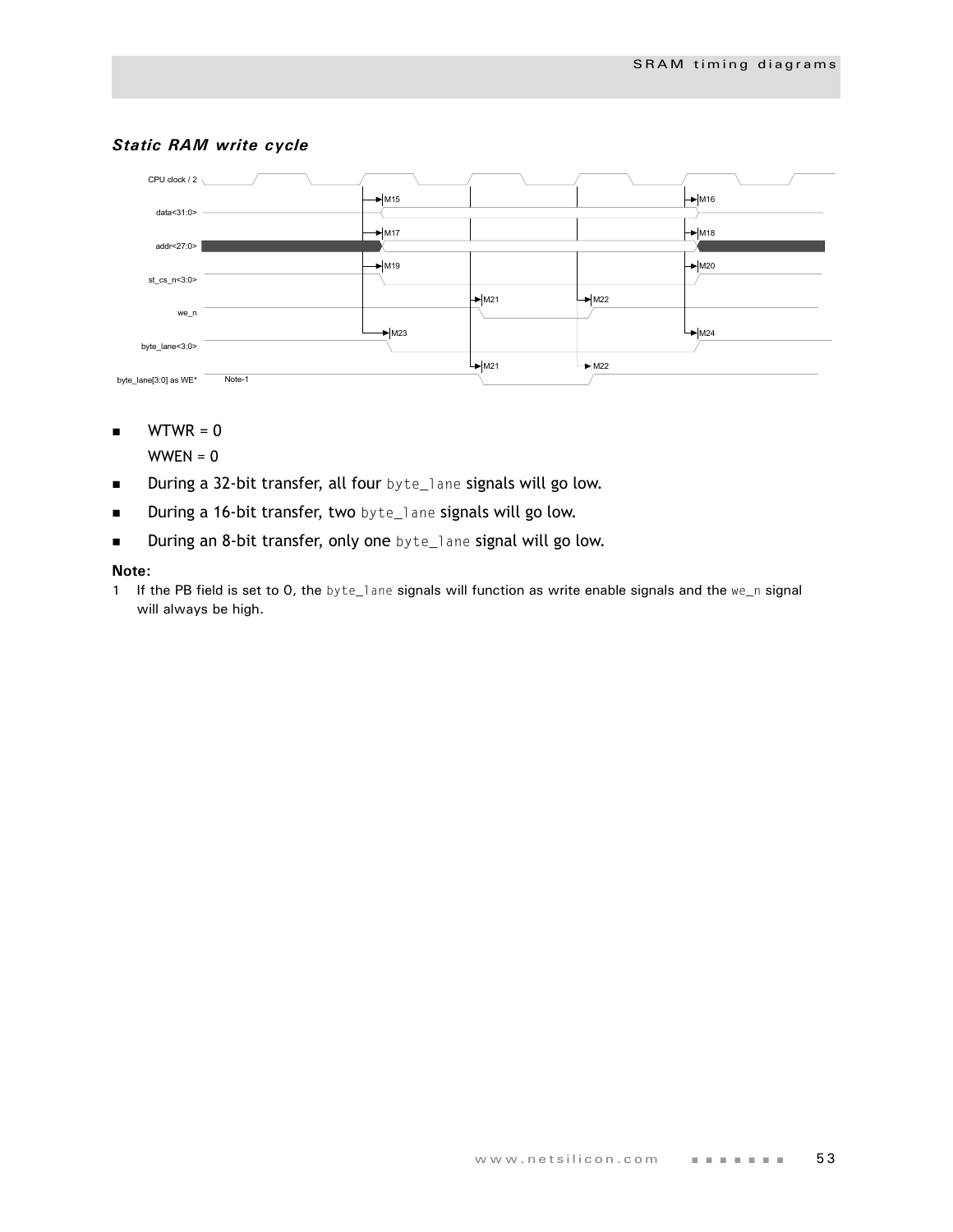

## *Static RAM write cycle*

 $WTWR = 0$ 

 $WWEN = 0$ 

- **During a 32-bit transfer, all four** byte\_lane signals will go low.
- **During a 16-bit transfer, two** byte\_lane signals will go low.
- During an 8-bit transfer, only one byte\_lane signal will go low.

#### **Note:**

1 If the PB field is set to 0, the byte\_lane signals will function as write enable signals and the we\_n signal will always be high.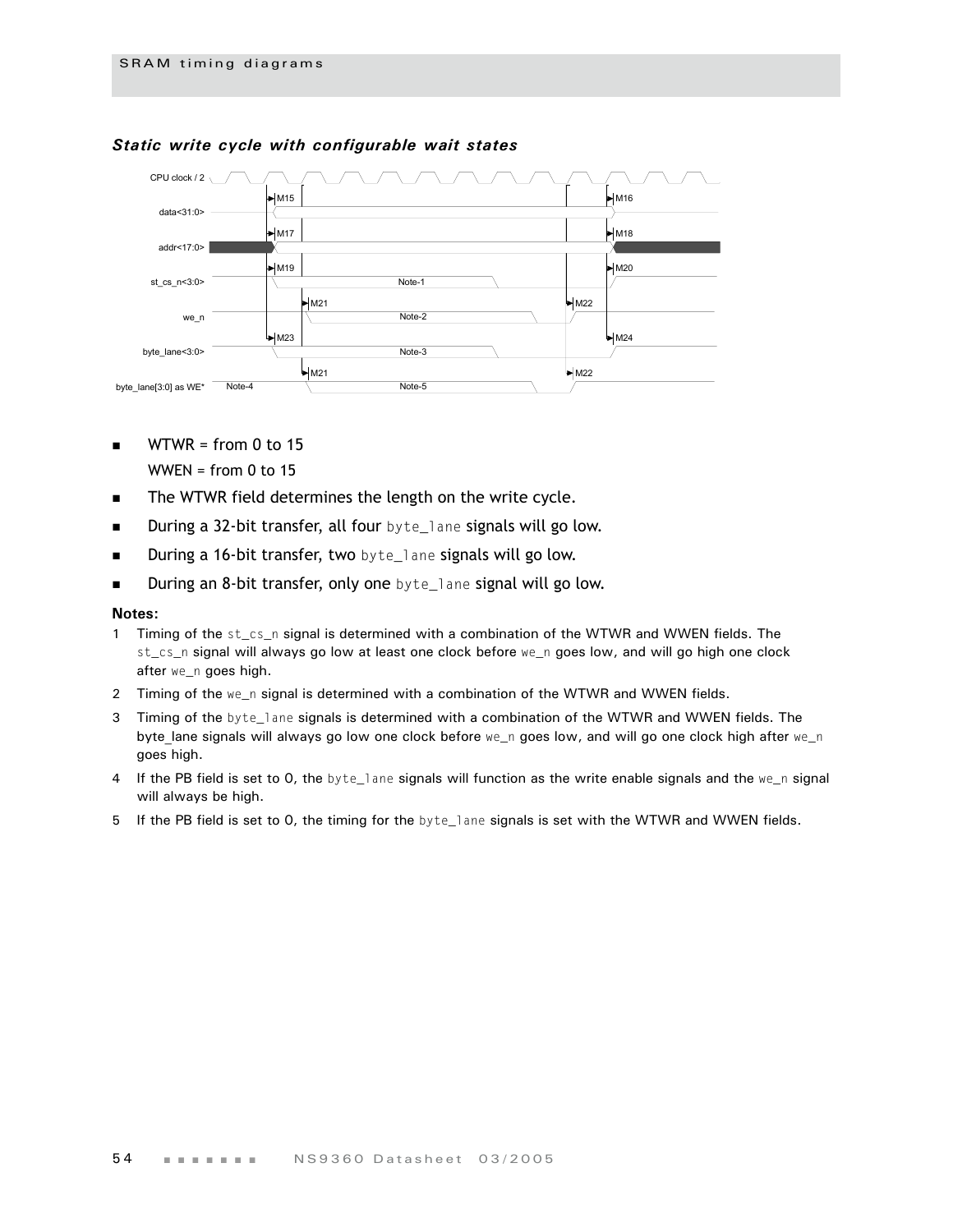

## *Static write cycle with configurable wait states*

- $WTWR = from 0 to 15$ WWEN = from  $0$  to 15
- The WTWR field determines the length on the write cycle.
- During a 32-bit transfer, all four byte\_lane signals will go low.
- **During a 16-bit transfer, two** byte\_lane signals will go low.
- During an 8-bit transfer, only one byte\_lane signal will go low.

- 1 Timing of the st\_cs\_n signal is determined with a combination of the WTWR and WWEN fields. The st\_cs\_n signal will always go low at least one clock before we\_n goes low, and will go high one clock after we\_n goes high.
- 2 Timing of the we\_n signal is determined with a combination of the WTWR and WWEN fields.
- 3 Timing of the byte\_lane signals is determined with a combination of the WTWR and WWEN fields. The byte\_lane signals will always go low one clock before we\_n goes low, and will go one clock high after we\_n goes high.
- 4 If the PB field is set to 0, the byte\_lane signals will function as the write enable signals and the we\_n signal will always be high.
- 5 If the PB field is set to 0, the timing for the byte\_lane signals is set with the WTWR and WWEN fields.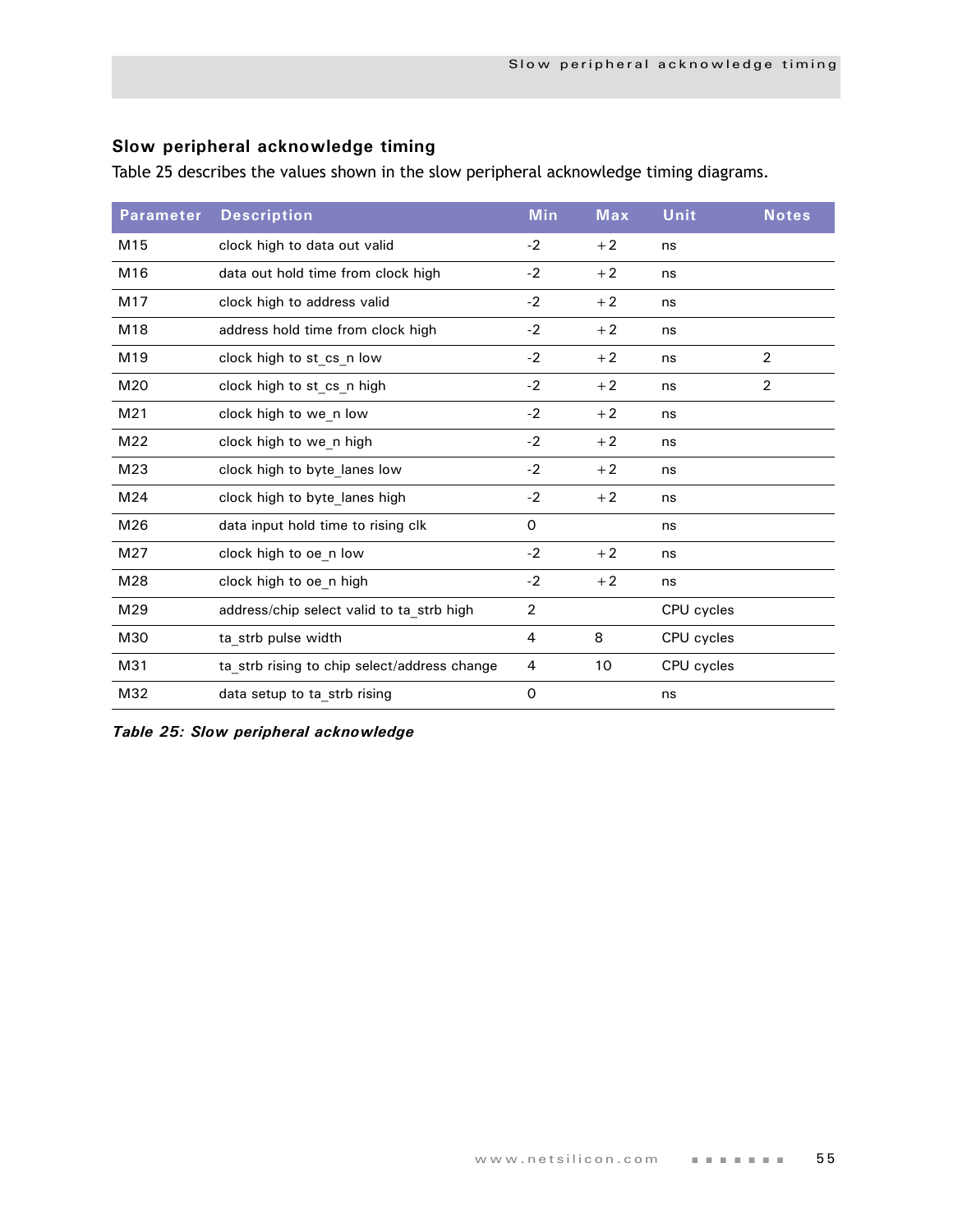# **Slow peripheral acknowledge timing**

Table 25 describes the values shown in the slow peripheral acknowledge timing diagrams.

| <b>Parameter</b> | <b>Description</b>                           | <b>Min</b>     | Max  | Unit       | <b>Notes</b>   |
|------------------|----------------------------------------------|----------------|------|------------|----------------|
| M15              | clock high to data out valid                 | $-2$           | $+2$ | ns         |                |
| M16              | data out hold time from clock high           | $-2$           | $+2$ | ns         |                |
| M17              | clock high to address valid                  | $-2$           | $+2$ | ns         |                |
| M18              | address hold time from clock high            | $-2$           | $+2$ | ns         |                |
| M <sub>19</sub>  | clock high to st cs n low                    | $-2$           | $+2$ | ns         | $\overline{2}$ |
| M20              | clock high to st cs n high                   | $-2$           | $+2$ | ns         | $\overline{c}$ |
| M <sub>21</sub>  | clock high to we n low                       | $-2$           | $+2$ | ns         |                |
| M22              | clock high to we n high                      | $-2$           | $+2$ | ns         |                |
| M23              | clock high to byte_lanes low                 | $-2$           | $+2$ | ns         |                |
| M24              | clock high to byte lanes high                | $-2$           | $+2$ | ns         |                |
| M26              | data input hold time to rising clk           | $\mathbf 0$    |      | ns         |                |
| M27              | clock high to oe n low                       | $-2$           | $+2$ | ns         |                |
| M28              | clock high to oe_n high                      | $-2$           | $+2$ | ns         |                |
| M29              | address/chip select valid to ta strb high    | $\overline{2}$ |      | CPU cycles |                |
| M30              | ta_strb pulse width                          | 4              | 8    | CPU cycles |                |
| M31              | ta_strb rising to chip select/address change | 4              | 10   | CPU cycles |                |
| M32              | data setup to ta_strb rising                 | 0              |      | ns         |                |

*Table 25: Slow peripheral acknowledge*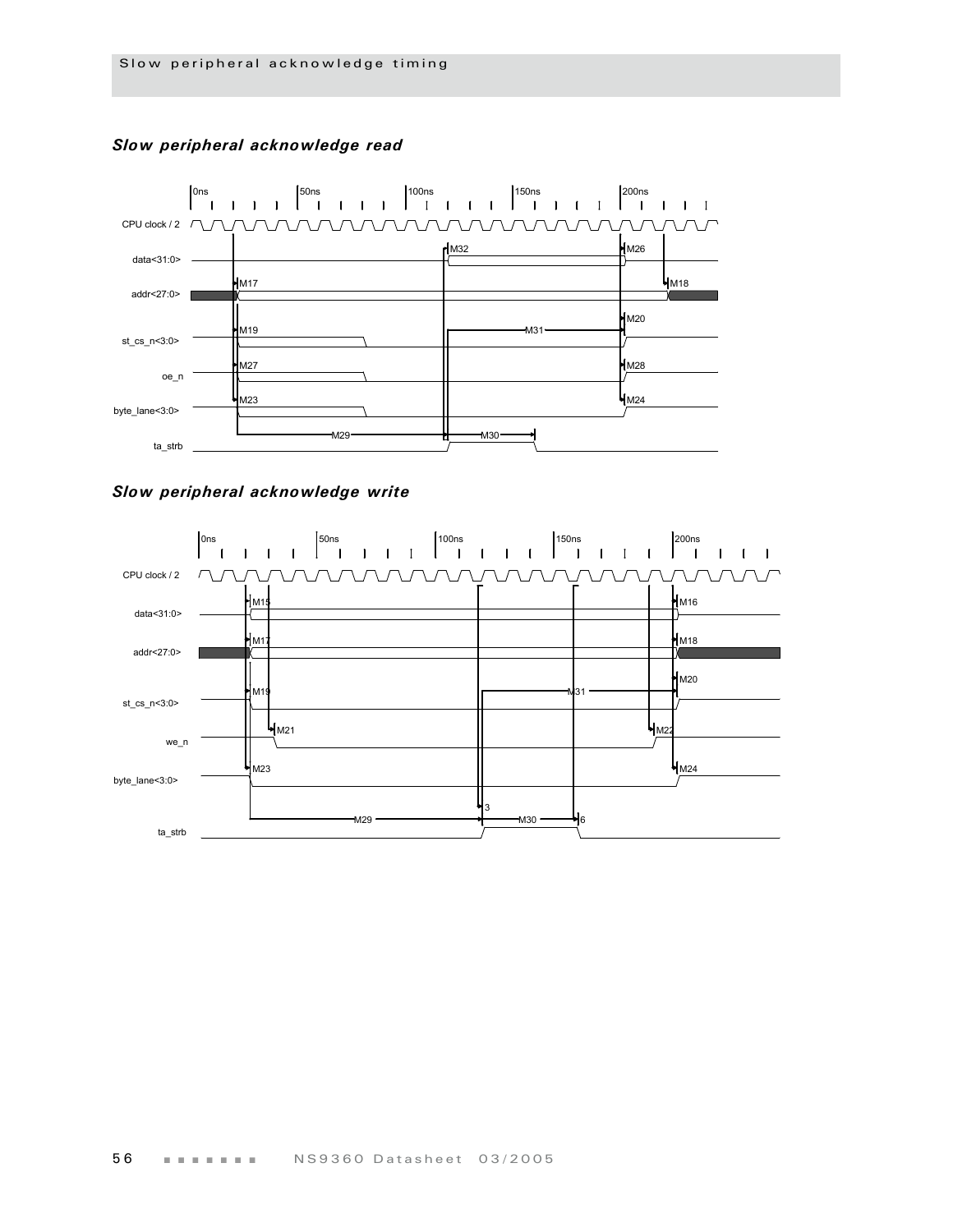

### *Slow peripheral acknowledge read*



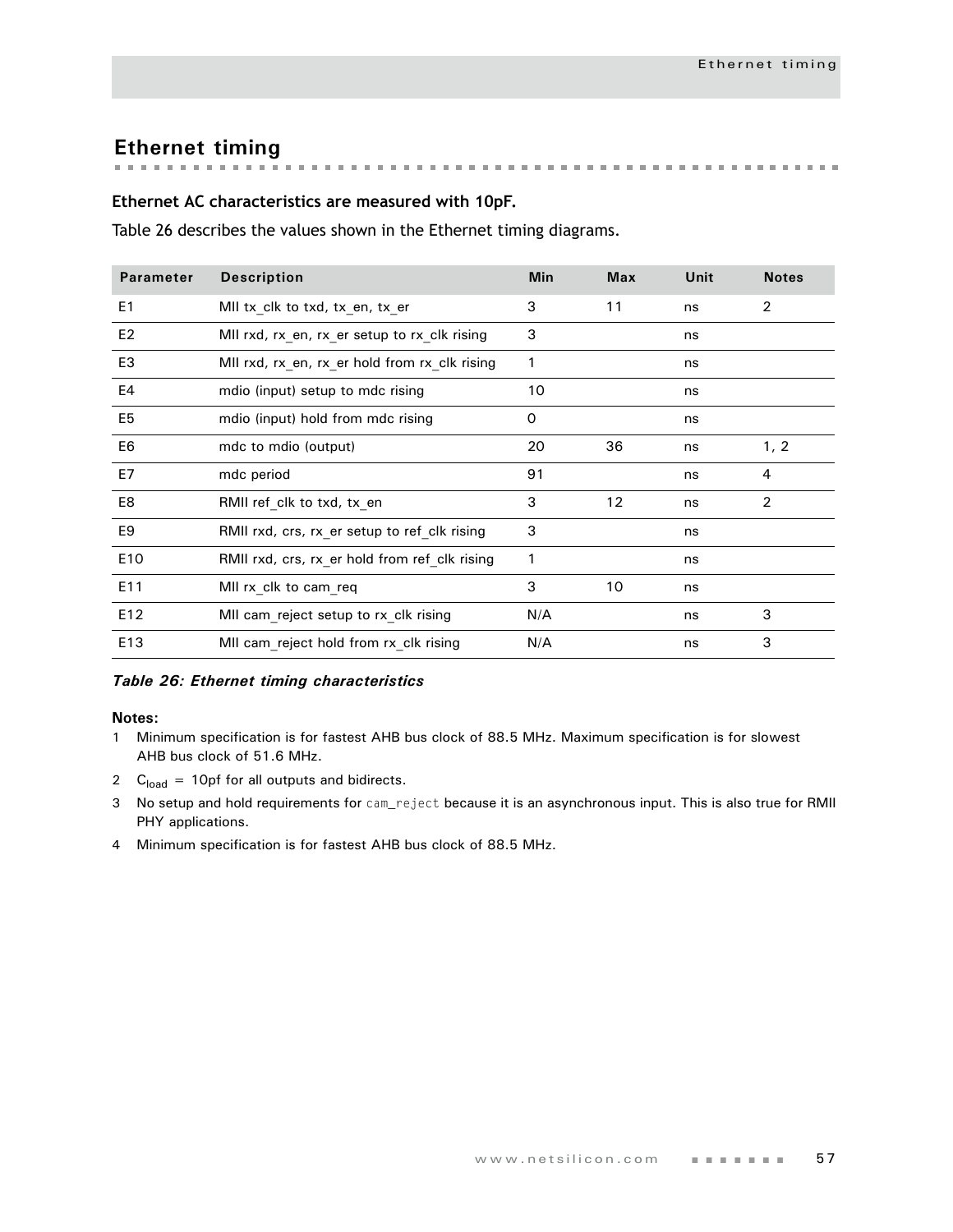# **Ethernet timing**

### **Ethernet AC characteristics are measured with 10pF.**

Table 26 describes the values shown in the Ethernet timing diagrams.

| <b>Parameter</b> | <b>Description</b>                            | <b>Min</b> | <b>Max</b> | Unit | <b>Notes</b>   |
|------------------|-----------------------------------------------|------------|------------|------|----------------|
| E <sub>1</sub>   | MII tx_clk to txd, tx_en, tx_er               | 3          | 11         | ns   | 2              |
| E <sub>2</sub>   | MII rxd, rx_en, rx_er setup to rx_clk rising  | 3          |            | ns   |                |
| E <sub>3</sub>   | MII rxd, rx_en, rx_er hold from rx_clk rising | 1          |            | ns   |                |
| E4               | mdio (input) setup to mdc rising              | 10         |            | ns   |                |
| E <sub>5</sub>   | mdio (input) hold from mdc rising             | 0          |            | ns   |                |
| E6               | mdc to mdio (output)                          | 20         | 36         | ns   | 1, 2           |
| E7               | mdc period                                    | 91         |            | ns   | 4              |
| E8               | RMII ref clk to txd, tx en                    | 3          | 12         | ns   | $\overline{2}$ |
| E9               | RMII rxd, crs, rx_er setup to ref_clk rising  | 3          |            | ns   |                |
| E10              | RMII rxd, crs, rx_er hold from ref_clk rising | 1          |            | ns   |                |
| E11              | MII rx_clk to cam_req                         | 3          | 10         | ns   |                |
| E12              | MII cam_reject setup to rx_clk rising         | N/A        |            | ns   | 3              |
| E13              | MII cam reject hold from rx clk rising        | N/A        |            | ns   | 3              |

#### *Table 26: Ethernet timing characteristics*

- 1 Minimum specification is for fastest AHB bus clock of 88.5 MHz. Maximum specification is for slowest AHB bus clock of 51.6 MHz.
- 2  $C<sub>load</sub> = 10pf for all outputs and bidirects.$
- 3 No setup and hold requirements for cam\_reject because it is an asynchronous input. This is also true for RMII PHY applications.
- 4 Minimum specification is for fastest AHB bus clock of 88.5 MHz.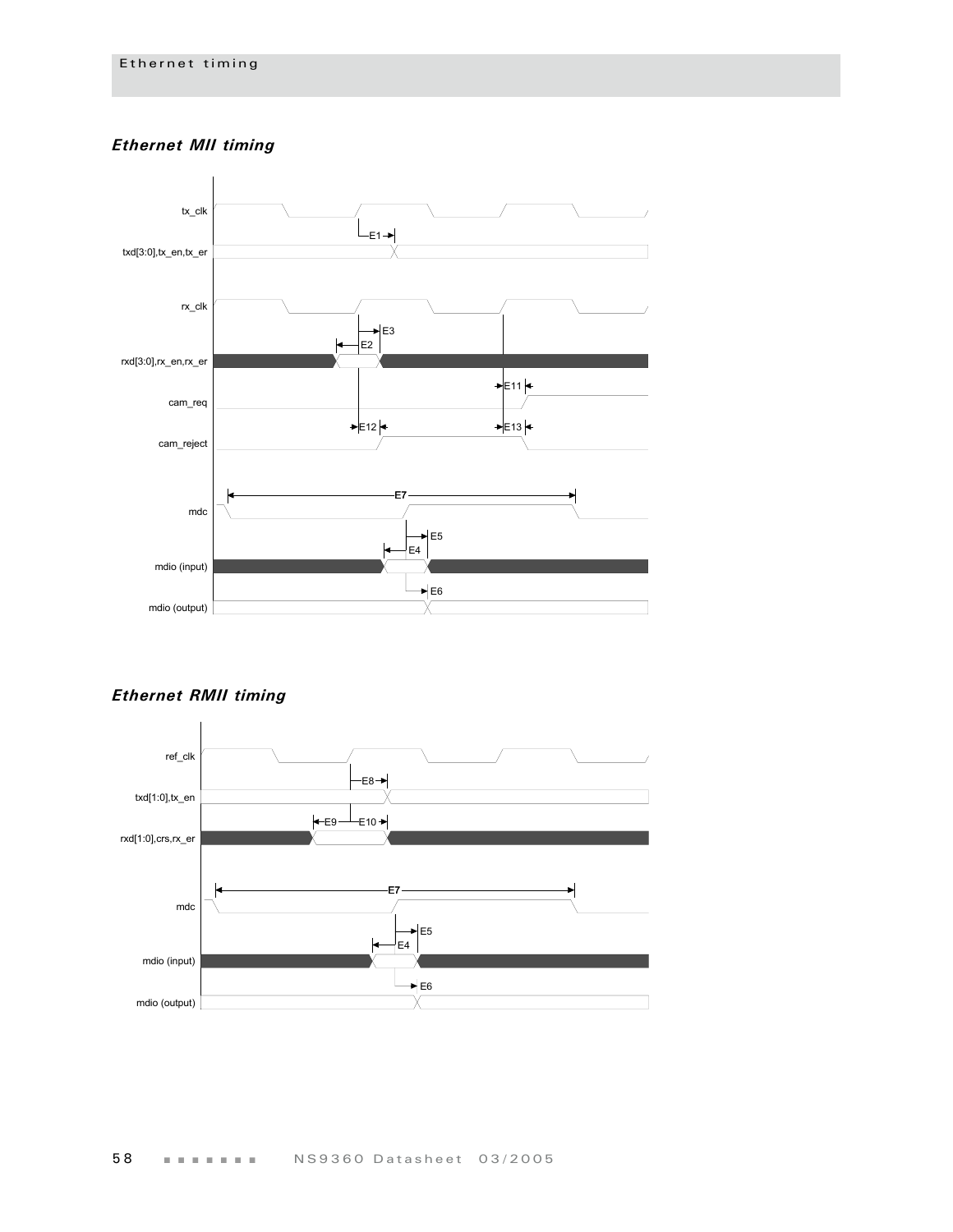# *Ethernet MII timing*



*Ethernet RMII timing*

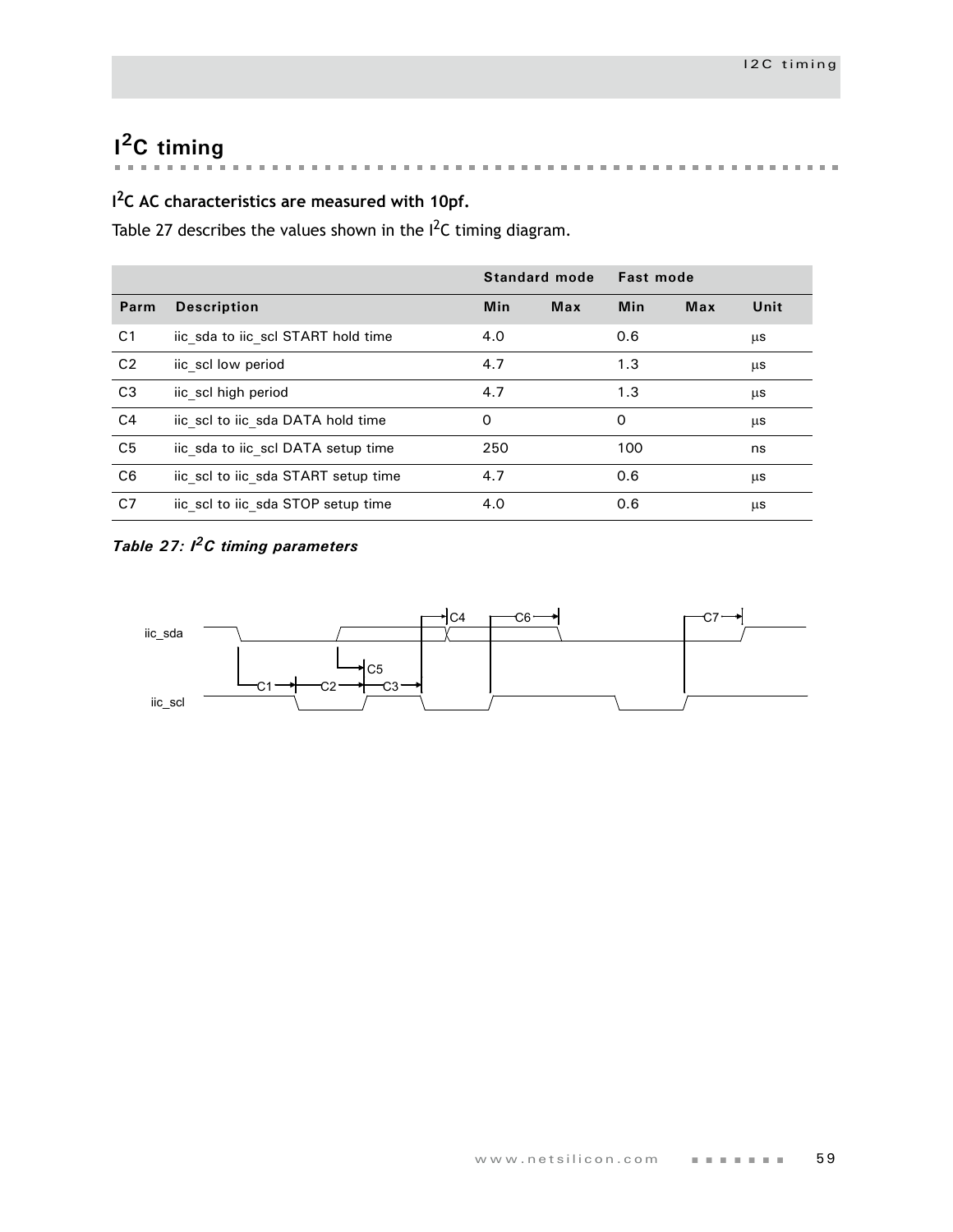# **I 2C timing**

**The State State State** i. **Building** a property of the control of the control of  $\mathbf{m}$  $\mathbf{m}$  $\mathbb{R}^2$  $\bar{m}$  $\mathbf{r}$ 

# **I 2C AC characteristics are measured with 10pf.**

[Table 27](#page-62-0) describes the values shown in the  $I^2C$  timing diagram.

|                |                                     | Standard mode |            | <b>Fast mode</b> |            |      |
|----------------|-------------------------------------|---------------|------------|------------------|------------|------|
| Parm           | <b>Description</b>                  | <b>Min</b>    | <b>Max</b> | Min              | <b>Max</b> | Unit |
| C <sub>1</sub> | iic sda to iic scl START hold time  | 4.0           |            | 0.6              |            | μs   |
| C <sub>2</sub> | iic scl low period                  | 4.7           |            | 1.3              |            | μs   |
| C3             | iic scl high period                 | 4.7           |            | 1.3              |            | μs   |
| C <sub>4</sub> | iic scl to iic sda DATA hold time   | 0             |            | 0                |            | μs   |
| C <sub>5</sub> | iic sda to iic scl DATA setup time  | 250           |            | 100              |            | ns   |
| C <sub>6</sub> | iic scl to iic sda START setup time | 4.7           |            | 0.6              |            | μs   |
| C <sub>7</sub> | iic scl to iic sda STOP setup time  | 4.0           |            | 0.6              |            | μs   |

# <span id="page-62-0"></span>*Table 27: I2C timing parameters*

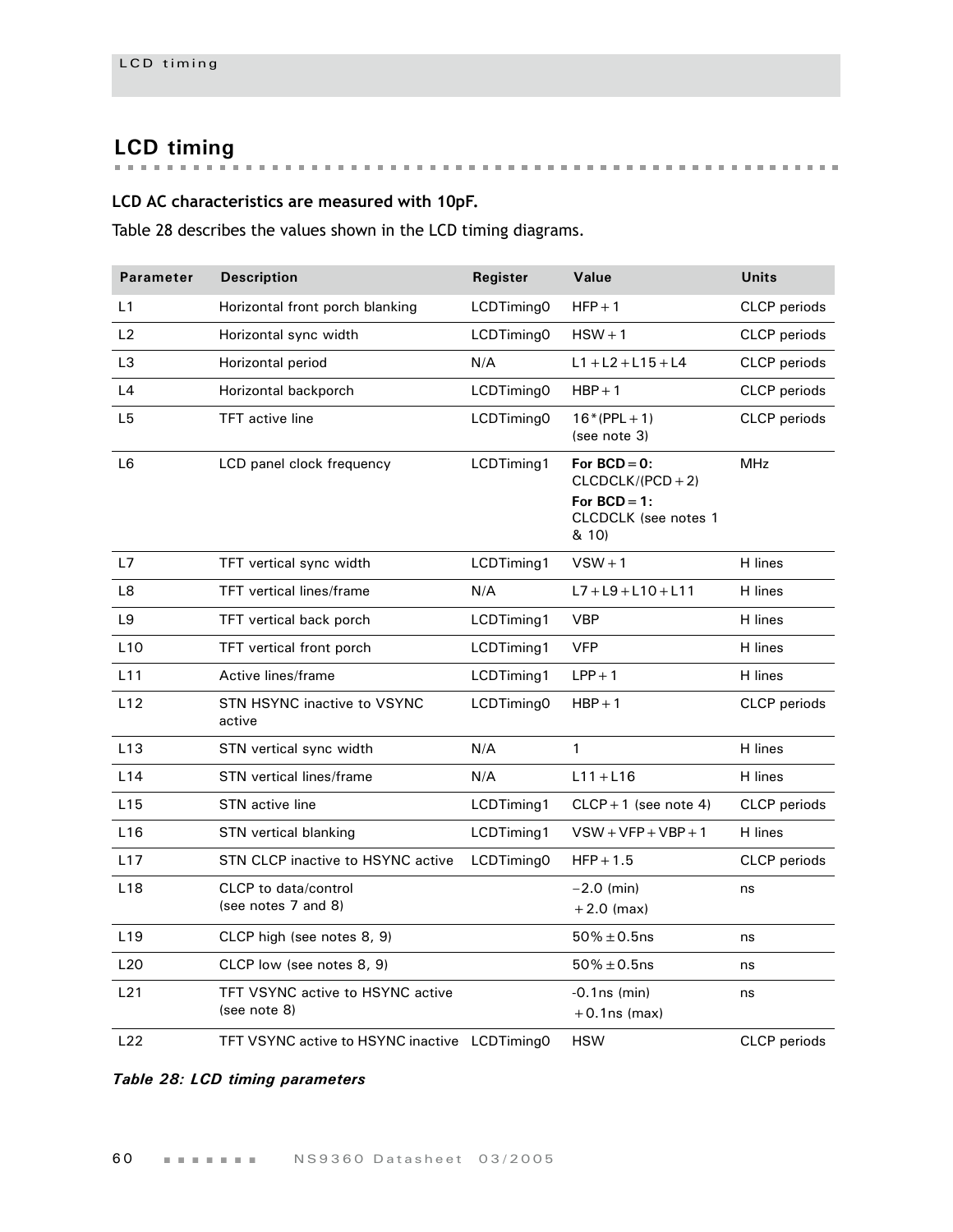# **LCD timing**

# **LCD AC characteristics are measured with 10pF.**

Table 28 describes the values shown in the LCD timing diagrams.

| <b>Parameter</b> | <b>Description</b>                               | Register   | Value                                                                                           | <b>Units</b>        |
|------------------|--------------------------------------------------|------------|-------------------------------------------------------------------------------------------------|---------------------|
| L1               | Horizontal front porch blanking                  | LCDTiming0 | $HFP + 1$                                                                                       | <b>CLCP</b> periods |
| L2               | Horizontal sync width                            | LCDTiming0 | $HSW + 1$                                                                                       | CLCP periods        |
| L <sub>3</sub>   | Horizontal period                                | N/A        | $L1 + L2 + L15 + L4$                                                                            | CLCP periods        |
| L4               | Horizontal backporch                             | LCDTiming0 | $HBP + 1$                                                                                       | CLCP periods        |
| L <sub>5</sub>   | <b>TFT</b> active line                           | LCDTiming0 | $16*(PPL + 1)$<br>(see note 3)                                                                  | <b>CLCP</b> periods |
| L <sub>6</sub>   | LCD panel clock frequency                        | LCDTiming1 | For $BCD = 0$ :<br>$CLCDCLK/(PCD+2)$<br>For $BCD = 1$ :<br><b>CLCDCLK</b> (see notes 1<br>& 10) | <b>MHz</b>          |
| L7               | TFT vertical sync width                          | LCDTiming1 | $VSW + 1$                                                                                       | H lines             |
| L8               | <b>TFT</b> vertical lines/frame                  | N/A        | $L7 + L9 + L10 + L11$                                                                           | H lines             |
| L9               | TFT vertical back porch                          | LCDTiming1 | <b>VBP</b>                                                                                      | H lines             |
| L10              | TFT vertical front porch                         | LCDTiming1 | <b>VFP</b>                                                                                      | H lines             |
| L11              | Active lines/frame                               | LCDTiming1 | $LPP + 1$                                                                                       | H lines             |
| L12              | <b>STN HSYNC inactive to VSYNC</b><br>active     | LCDTiming0 | $HBP + 1$                                                                                       | CLCP periods        |
| L13              | STN vertical sync width                          | N/A        | 1                                                                                               | H lines             |
| L14              | <b>STN</b> vertical lines/frame                  | N/A        | $L11 + L16$                                                                                     | H lines             |
| L15              | <b>STN</b> active line                           | LCDTiming1 | $CLCP + 1$ (see note 4)                                                                         | <b>CLCP</b> periods |
| L16              | STN vertical blanking                            | LCDTiming1 | $VSW+VFP+VBP+1$                                                                                 | H lines             |
| L17              | STN CLCP inactive to HSYNC active                | LCDTiming0 | $HFP + 1.5$                                                                                     | CLCP periods        |
| L <sub>18</sub>  | CLCP to data/control<br>(see notes 7 and 8)      |            | $-2.0$ (min)<br>$+2.0$ (max)                                                                    | ns                  |
| L <sub>19</sub>  | CLCP high (see notes 8, 9)                       |            | $50\% \pm 0.5$ ns                                                                               | ns                  |
| L20              | CLCP low (see notes 8, 9)                        |            | $50\% \pm 0.5$ ns                                                                               | ns                  |
| L21              | TFT VSYNC active to HSYNC active<br>(see note 8) |            | $-0.1$ ns (min)<br>$+0.1$ ns (max)                                                              | ns                  |
| L22              | TFT VSYNC active to HSYNC inactive LCDTiming0    |            | <b>HSW</b>                                                                                      | CLCP periods        |

# *Table 28: LCD timing parameters*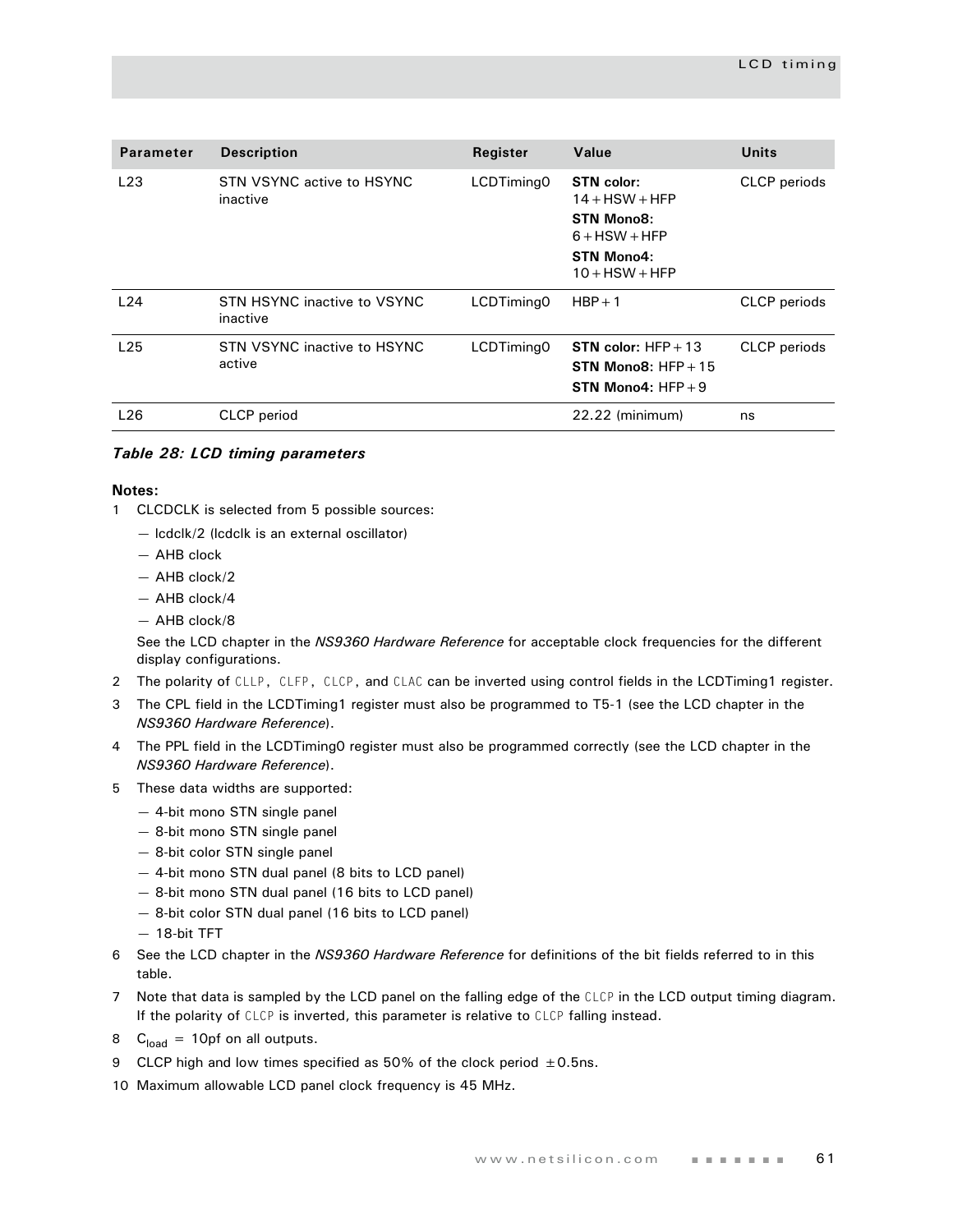| <b>Parameter</b> | <b>Description</b>                      | Register   | Value                                                                  | <b>Units</b>        |
|------------------|-----------------------------------------|------------|------------------------------------------------------------------------|---------------------|
| L23              | STN VSYNC active to HSYNC<br>inactive   | LCDTiming0 | <b>STN</b> color:<br>$14 +$ HSW + HFP<br>STN Mono8:<br>$6 + HSW + HFP$ | <b>CLCP</b> periods |
|                  |                                         |            | STN Mono4:<br>$10 +$ HSW + HFP                                         |                     |
| L24              | STN HSYNC inactive to VSYNC<br>inactive | LCDTiming0 | $HBP + 1$                                                              | <b>CLCP</b> periods |
| L <sub>25</sub>  | STN VSYNC inactive to HSYNC<br>active   | LCDTiming0 | STN color: $HFP + 13$<br>STN Mono8: $HFP + 15$<br>STN Mono4: $HFP + 9$ | <b>CLCP</b> periods |
| L26              | CLCP period                             |            | 22.22 (minimum)                                                        | ns                  |

#### *Table 28: LCD timing parameters*

#### **Notes:**

- 1 CLCDCLK is selected from 5 possible sources:
	- lcdclk/2 (lcdclk is an external oscillator)
	- AHB clock
	- AHB clock/2
	- AHB clock/4
	- AHB clock/8

See the LCD chapter in the *NS9360 Hardware Reference* for acceptable clock frequencies for the different display configurations.

- 2 The polarity of CLLP, CLFP, CLCP, and CLAC can be inverted using control fields in the LCDTiming1 register.
- 3 The CPL field in the LCDTiming1 register must also be programmed to T5-1 (see the LCD chapter in the *NS9360 Hardware Reference*).
- 4 The PPL field in the LCDTiming0 register must also be programmed correctly (see the LCD chapter in the *NS9360 Hardware Reference*).
- 5 These data widths are supported:
	- 4-bit mono STN single panel
	- 8-bit mono STN single panel
	- 8-bit color STN single panel
	- 4-bit mono STN dual panel (8 bits to LCD panel)
	- 8-bit mono STN dual panel (16 bits to LCD panel)
	- 8-bit color STN dual panel (16 bits to LCD panel)
	- 18-bit TFT
- 6 See the LCD chapter in the *NS9360 Hardware Reference* for definitions of the bit fields referred to in this table.
- 7 Note that data is sampled by the LCD panel on the falling edge of the CLCP in the LCD output timing diagram. If the polarity of CLCP is inverted, this parameter is relative to CLCP falling instead.
- 8  $C<sub>load</sub> = 10pf$  on all outputs.
- 9 CLCP high and low times specified as 50% of the clock period  $\pm$  0.5ns.
- 10 Maximum allowable LCD panel clock frequency is 45 MHz.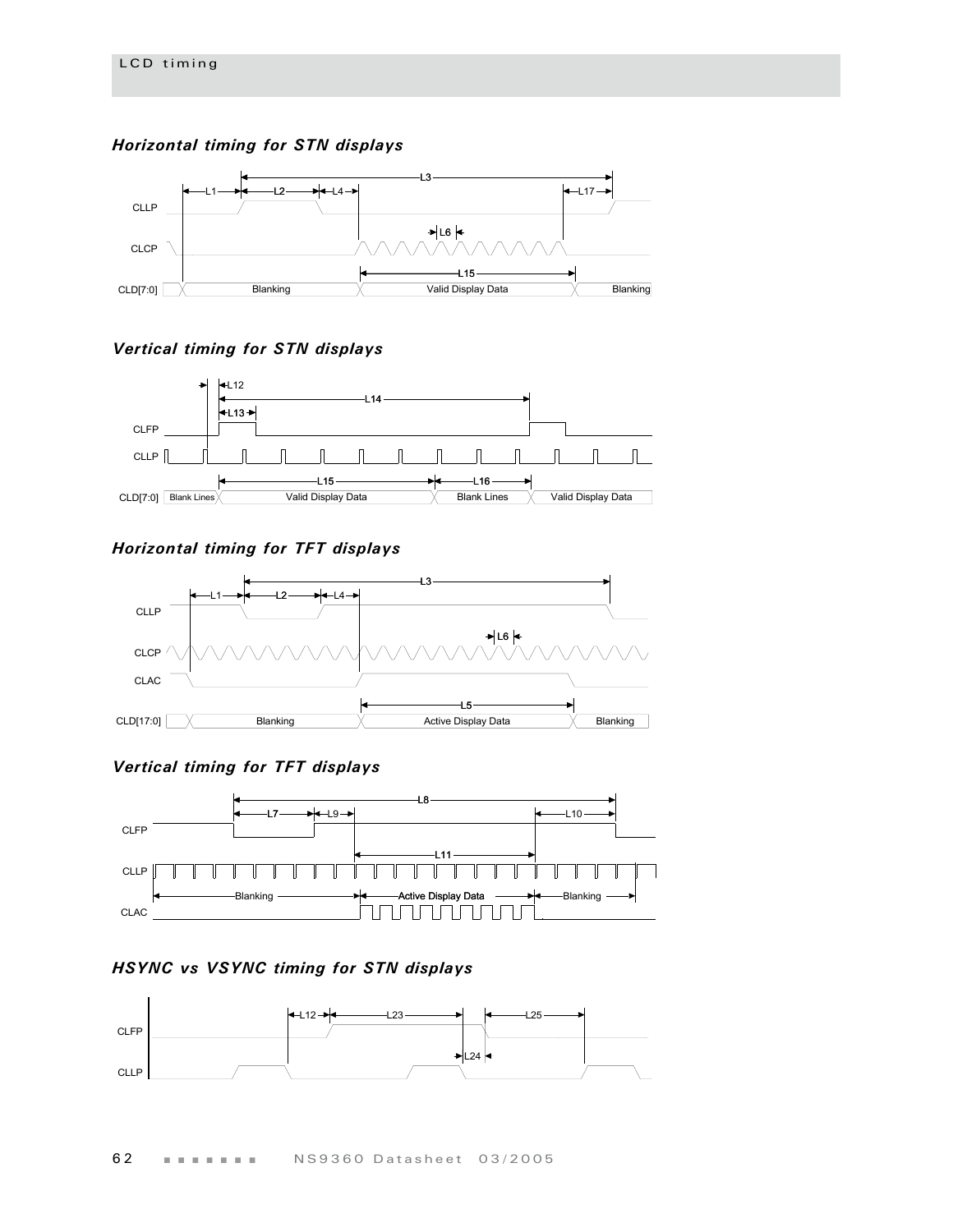*Horizontal timing for STN displays*



### *Vertical timing for STN displays*



# *Horizontal timing for TFT displays*



### *Vertical timing for TFT displays*



# *HSYNC vs VSYNC timing for STN displays*

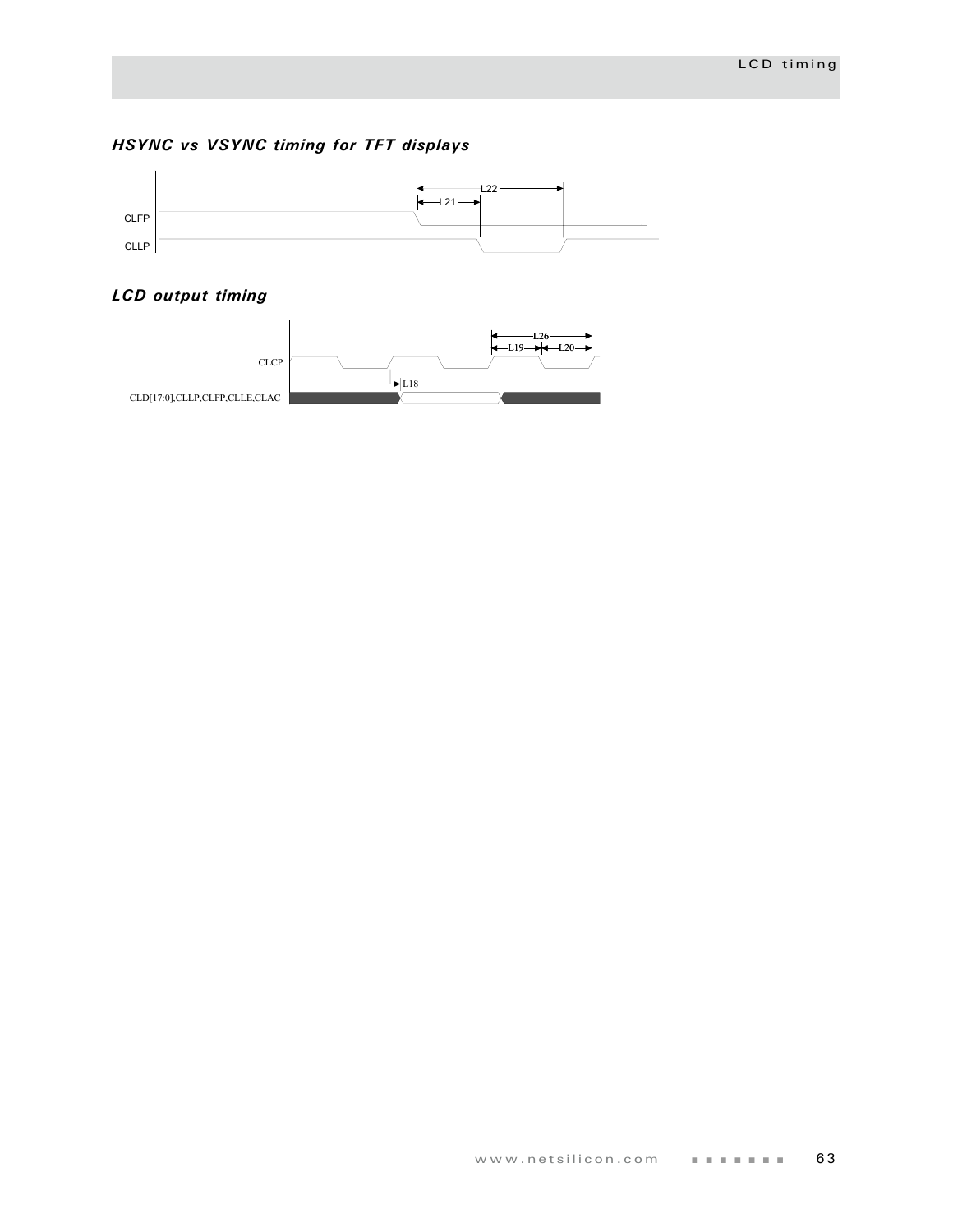# *HSYNC vs VSYNC timing for TFT displays*



# *LCD output timing*

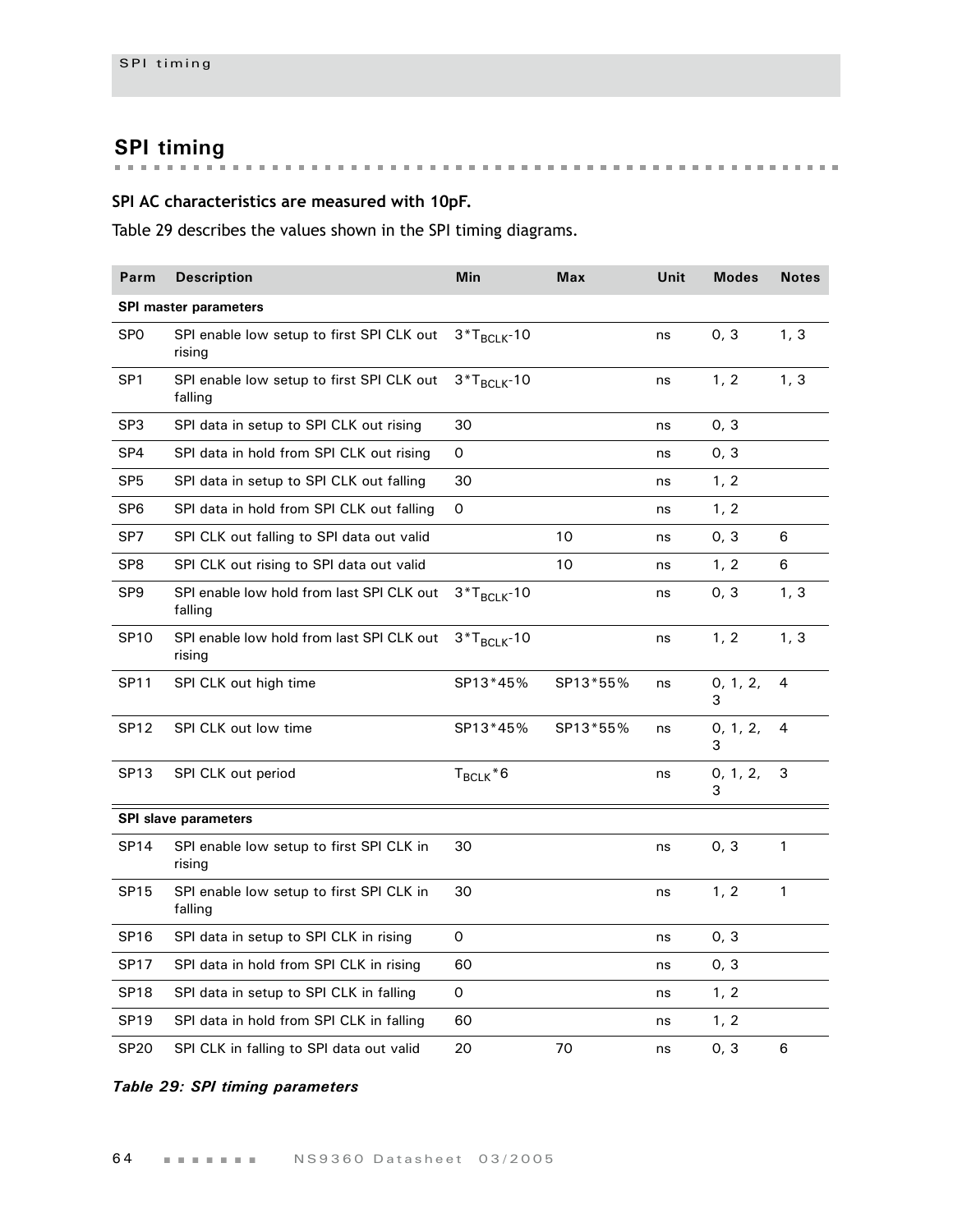**SPI timing**

# **SPI AC characteristics are measured with 10pF.**

Table 29 describes the values shown in the SPI timing diagrams.

| Parm             | <b>Description</b>                                   | Min              | <b>Max</b> | Unit | <b>Modes</b>  | <b>Notes</b> |
|------------------|------------------------------------------------------|------------------|------------|------|---------------|--------------|
|                  | <b>SPI master parameters</b>                         |                  |            |      |               |              |
| SP <sub>0</sub>  | SPI enable low setup to first SPI CLK out<br>rising  | $3*T_{BCLK}$ -10 |            | ns   | 0, 3          | 1, 3         |
| SP <sub>1</sub>  | SPI enable low setup to first SPI CLK out<br>falling | $3*T_{BCLK}$ -10 |            | ns   | 1, 2          | 1, 3         |
| SP <sub>3</sub>  | SPI data in setup to SPI CLK out rising              | 30               |            | ns   | 0, 3          |              |
| SP4              | SPI data in hold from SPI CLK out rising             | 0                |            | ns   | 0, 3          |              |
| SP <sub>5</sub>  | SPI data in setup to SPI CLK out falling             | 30               |            | ns   | 1, 2          |              |
| SP <sub>6</sub>  | SPI data in hold from SPI CLK out falling            | 0                |            | ns   | 1, 2          |              |
| SP7              | SPI CLK out falling to SPI data out valid            |                  | 10         | ns   | 0, 3          | 6            |
| SP <sub>8</sub>  | SPI CLK out rising to SPI data out valid             |                  | 10         | ns   | 1, 2          | 6            |
| SP <sub>9</sub>  | SPI enable low hold from last SPI CLK out<br>falling | $3*T_{BCLK}$ -10 |            | ns   | 0, 3          | 1, 3         |
| <b>SP10</b>      | SPI enable low hold from last SPI CLK out<br>rising  | $3*T_{BCLK}$ -10 |            | ns   | 1, 2          | 1, 3         |
| <b>SP11</b>      | SPI CLK out high time                                | SP13*45%         | SP13*55%   | ns   | 0, 1, 2,<br>3 | 4            |
| <b>SP12</b>      | SPI CLK out low time                                 | SP13*45%         | SP13*55%   | ns   | 0, 1, 2,<br>3 | 4            |
| SP <sub>13</sub> | SPI CLK out period                                   | $T_{BCLK}$ $*$ 6 |            | ns   | 0, 1, 2,<br>3 | 3            |
|                  | <b>SPI slave parameters</b>                          |                  |            |      |               |              |
| <b>SP14</b>      | SPI enable low setup to first SPI CLK in<br>rising   | 30               |            | ns   | 0, 3          | 1            |
| <b>SP15</b>      | SPI enable low setup to first SPI CLK in<br>falling  | 30               |            | ns   | 1, 2          | 1            |
| <b>SP16</b>      | SPI data in setup to SPI CLK in rising               | 0                |            | ns   | 0, 3          |              |
| <b>SP17</b>      | SPI data in hold from SPI CLK in rising              | 60               |            | ns   | 0, 3          |              |
| <b>SP18</b>      | SPI data in setup to SPI CLK in falling              | 0                |            | ns   | 1, 2          |              |
| SP <sub>19</sub> | SPI data in hold from SPI CLK in falling             | 60               |            | ns   | 1, 2          |              |
| <b>SP20</b>      | SPI CLK in falling to SPI data out valid             | 20               | 70         | ns   | 0, 3          | 6            |

### *Table 29: SPI timing parameters*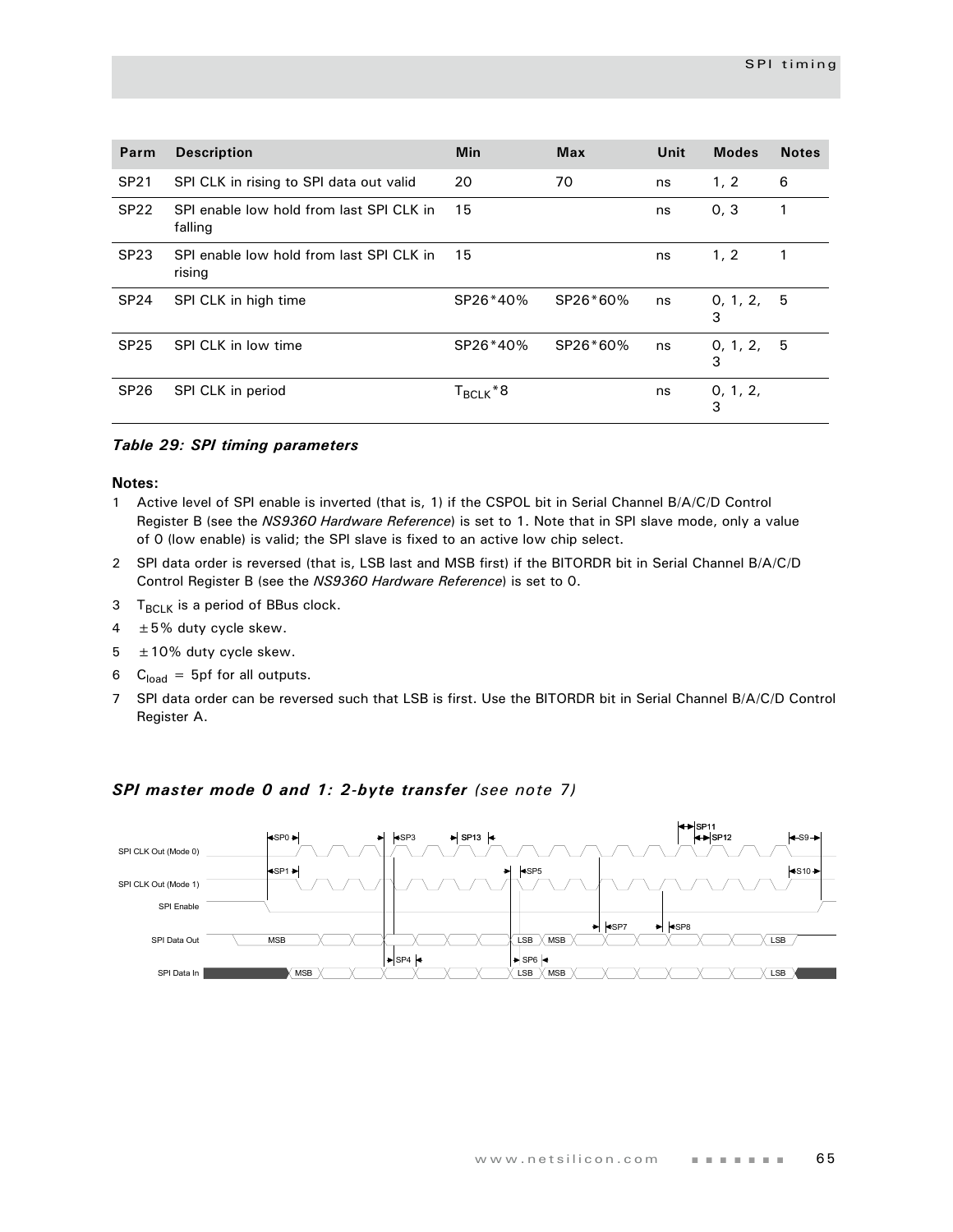| Parm        | <b>Description</b>                                  | Min                  | <b>Max</b> | Unit | <b>Modes</b>  | <b>Notes</b> |
|-------------|-----------------------------------------------------|----------------------|------------|------|---------------|--------------|
| <b>SP21</b> | SPI CLK in rising to SPI data out valid             | 20                   | 70         | ns   | 1, 2          | 6            |
| <b>SP22</b> | SPI enable low hold from last SPI CLK in<br>falling | 15                   |            | ns   | 0, 3          | 1            |
| <b>SP23</b> | SPI enable low hold from last SPI CLK in<br>rising  | 15                   |            | ns   | 1, 2          |              |
| <b>SP24</b> | SPI CLK in high time                                | SP26*40%             | SP26*60%   | ns   | 0, 1, 2,<br>3 | -5           |
| <b>SP25</b> | SPI CLK in low time                                 | SP26*40%             | SP26*60%   | ns   | 0, 1, 2,<br>3 | -5           |
| <b>SP26</b> | SPI CLK in period                                   | T <sub>BCLK</sub> *8 |            | ns   | 0, 1, 2,<br>3 |              |

#### *Table 29: SPI timing parameters*

#### **Notes:**

- 1 Active level of SPI enable is inverted (that is, 1) if the CSPOL bit in Serial Channel B/A/C/D Control Register B (see the *NS9360 Hardware Reference*) is set to 1. Note that in SPI slave mode, only a value of 0 (low enable) is valid; the SPI slave is fixed to an active low chip select.
- 2 SPI data order is reversed (that is, LSB last and MSB first) if the BITORDR bit in Serial Channel B/A/C/D Control Register B (see the *NS9360 Hardware Reference*) is set to 0.
- $3$  T<sub>BCLK</sub> is a period of BBus clock.
- $4 \pm 5\%$  duty cycle skew.
- $5 \pm 10\%$  duty cycle skew.
- 6  $C<sub>load</sub> = 5pf$  for all outputs.
- 7 SPI data order can be reversed such that LSB is first. Use the BITORDR bit in Serial Channel B/A/C/D Control Register A.



#### *SPI master mode 0 and 1: 2-byte transfer (see note 7)*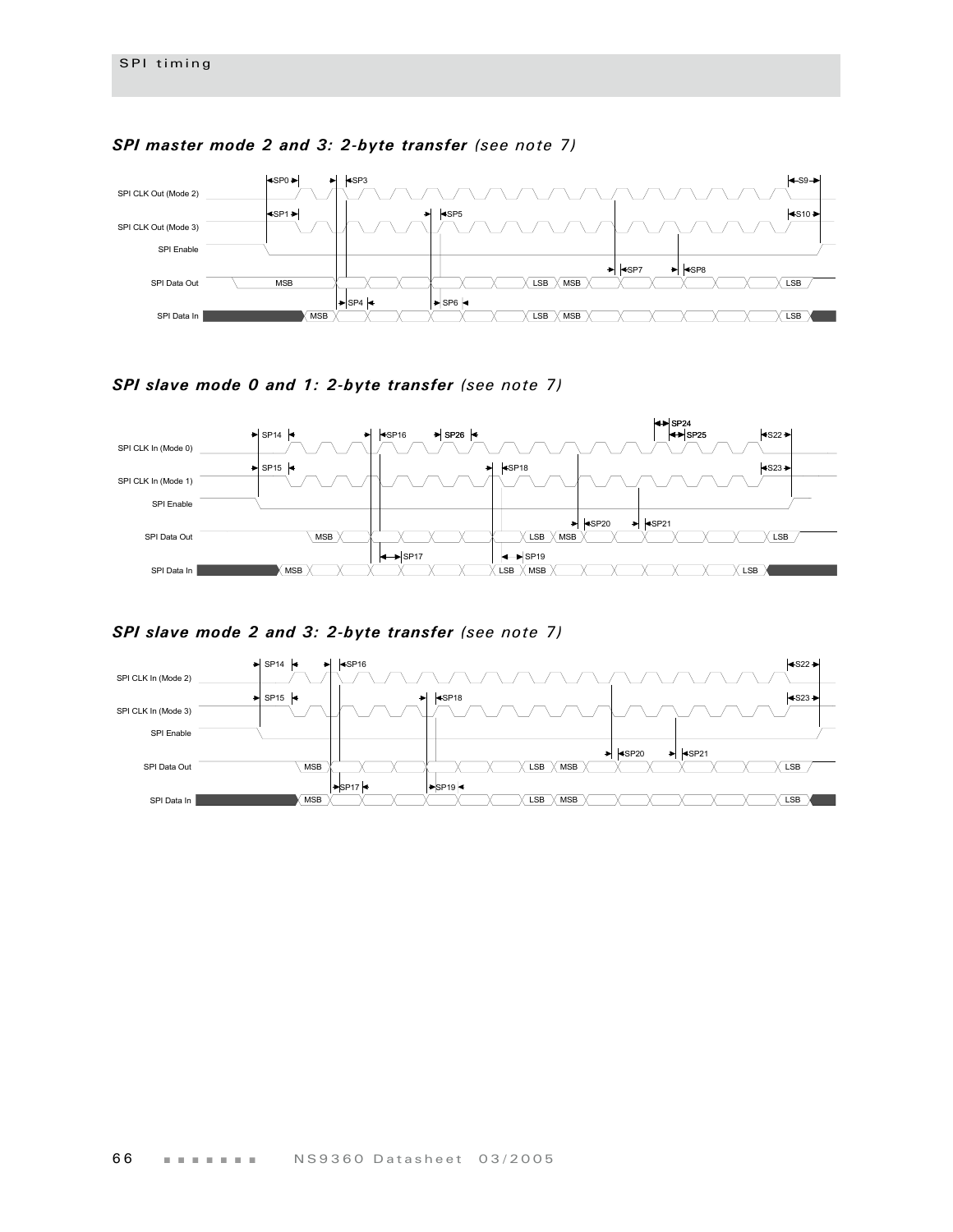

### *SPI master mode 2 and 3: 2-byte transfer (see note 7)*

*SPI slave mode 0 and 1: 2-byte transfer (see note 7)*



*SPI slave mode 2 and 3: 2-byte transfer (see note 7)*

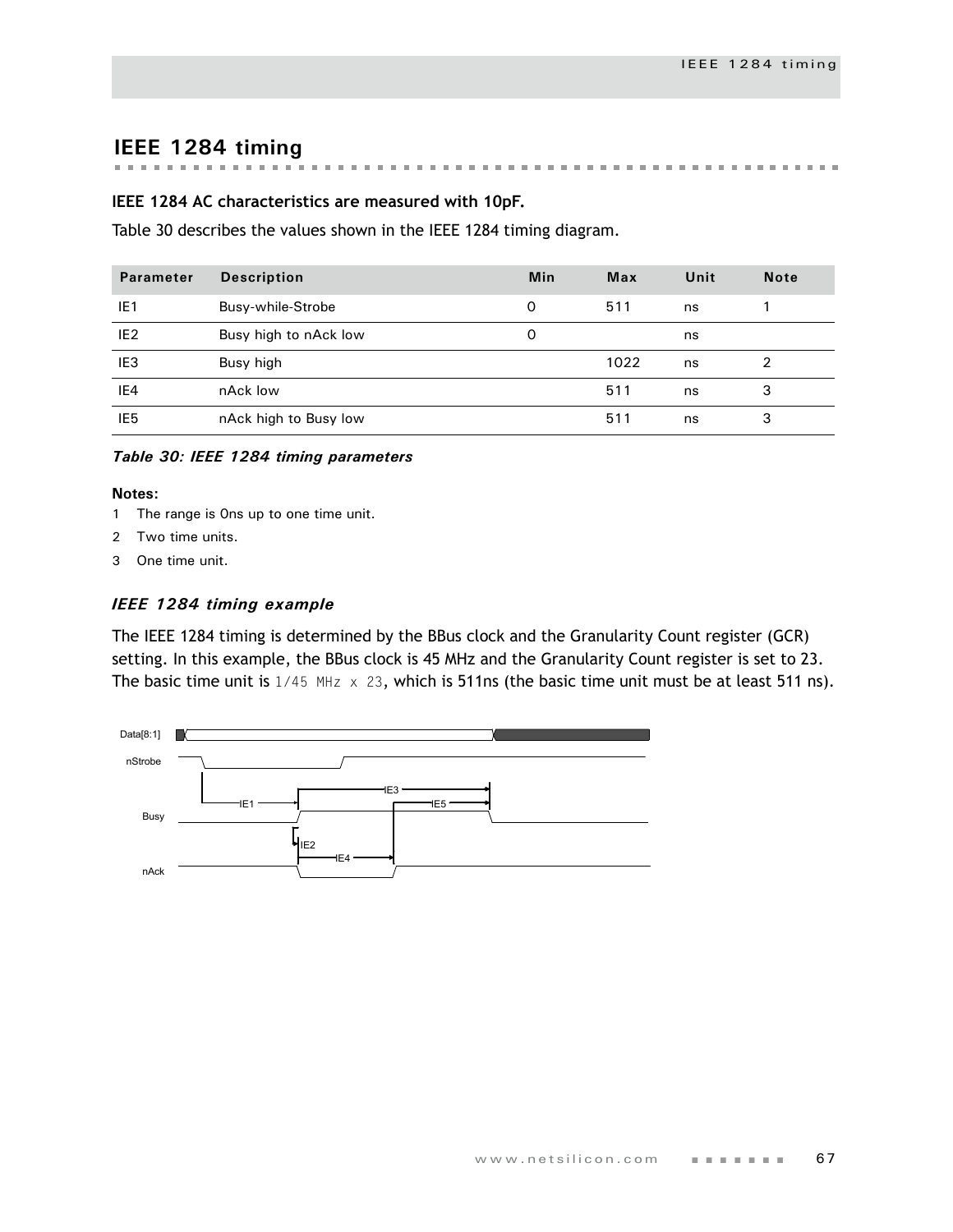# **IEEE 1284 timing**

#### . . . . . . . . . . . . . . . **Record Follows** m.

#### **IEEE 1284 AC characteristics are measured with 10pF.**

[Table 30](#page-70-0) describes the values shown in the IEEE 1284 timing diagram.

| <b>Parameter</b> | <b>Description</b>    | Min | Max  | Unit | <b>Note</b> |
|------------------|-----------------------|-----|------|------|-------------|
| IE1              | Busy-while-Strobe     | O   | 511  | ns   |             |
| IE <sub>2</sub>  | Busy high to nAck low | O   |      | ns   |             |
| IE <sub>3</sub>  | Busy high             |     | 1022 | ns   | 2           |
| IE4              | nAck low              |     | 511  | ns   | 3           |
| IE <sub>5</sub>  | nAck high to Busy low |     | 511  | ns   | 3           |

<span id="page-70-0"></span>*Table 30: IEEE 1284 timing parameters*

#### **Notes:**

- 1 The range is 0ns up to one time unit.
- 2 Two time units.
- 3 One time unit.

#### *IEEE 1284 timing example*

The IEEE 1284 timing is determined by the BBus clock and the Granularity Count register (GCR) setting. In this example, the BBus clock is 45 MHz and the Granularity Count register is set to 23. The basic time unit is  $1/45$  MHz  $\times$  23, which is 511ns (the basic time unit must be at least 511 ns).

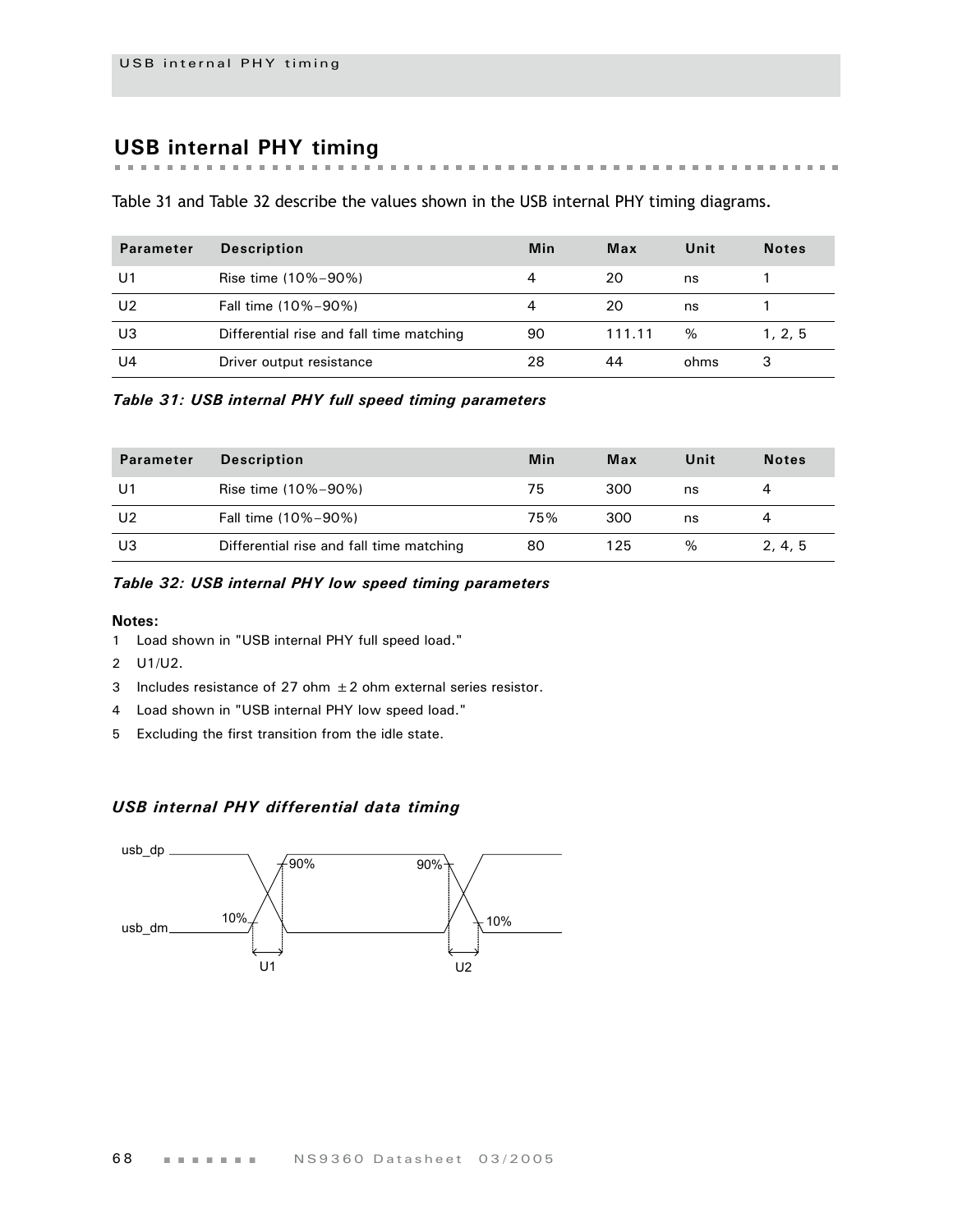# **USB internal PHY timing**

the first term in the first

 $\mathbb{R}^n$  $\mathbf{m}$  $\mathbf{m}$  $\mathbf{m}$  [Table 31](#page-71-0) and [Table 32](#page-71-1) describe the values shown in the USB internal PHY timing diagrams.

| <b>Parameter</b> | <b>Description</b>                       | <b>Min</b> | Max    | Unit | <b>Notes</b> |
|------------------|------------------------------------------|------------|--------|------|--------------|
| U1               | Rise time (10%-90%)                      |            | 20     | ns   |              |
| U <sub>2</sub>   | Fall time (10%-90%)                      |            | 20     | ns   |              |
| U3               | Differential rise and fall time matching | 90         | 111.11 | $\%$ | 1, 2, 5      |
| U4               | Driver output resistance                 | 28         | 44     | ohms | 3            |

<span id="page-71-0"></span>*Table 31: USB internal PHY full speed timing parameters*

| <b>Parameter</b> | <b>Description</b>                       | Min | Max | Unit | <b>Notes</b> |
|------------------|------------------------------------------|-----|-----|------|--------------|
| U1               | Rise time (10%-90%)                      | 75  | 300 | ns   |              |
| U2               | Fall time (10%-90%)                      | 75% | 300 | ns   |              |
| U3               | Differential rise and fall time matching | 80  | 125 | $\%$ | 2, 4, 5      |

#### <span id="page-71-1"></span>*Table 32: USB internal PHY low speed timing parameters*

#### **Notes:**

- 1 Load shown in ["USB internal PHY full speed load."](#page-72-0)
- 2 U1/U2.
- 3 Includes resistance of 27 ohm  $\pm 2$  ohm external series resistor.
- 4 Load shown in ["USB internal PHY low speed load."](#page-72-1)
- 5 Excluding the first transition from the idle state.

### *USB internal PHY differential data timing*

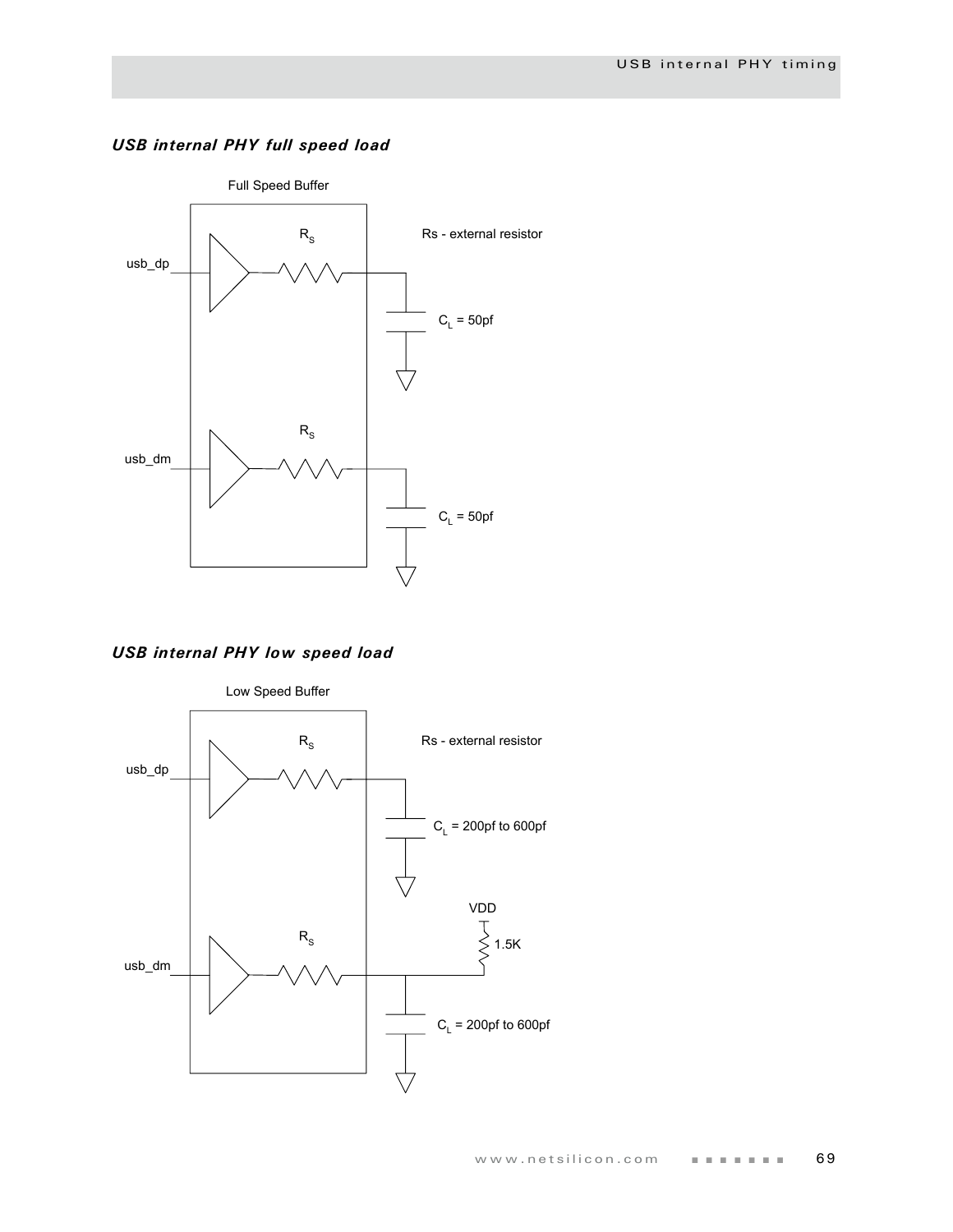

### *USB internal PHY full speed load*

*USB internal PHY low speed load*

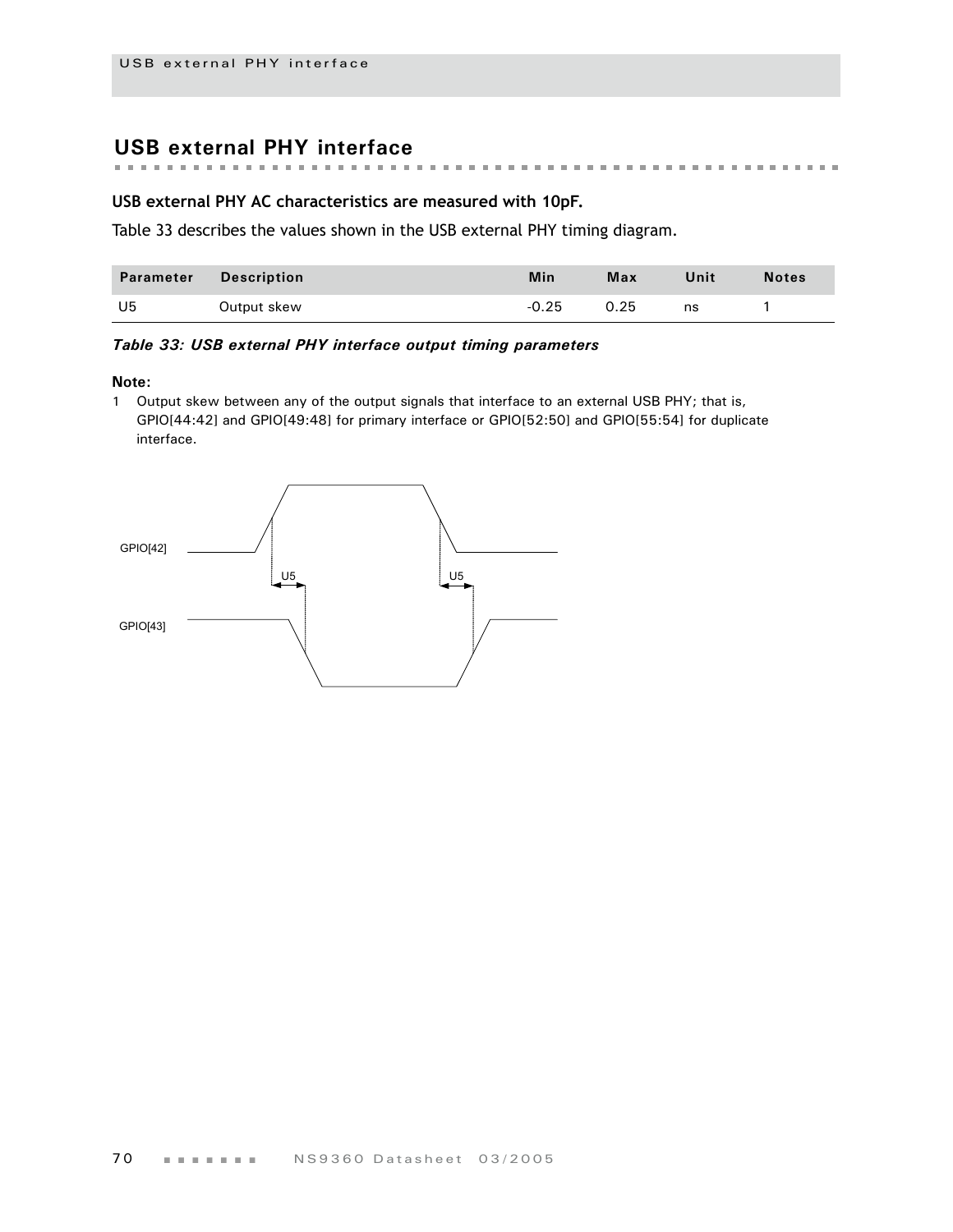# **USB external PHY interface**

### **USB external PHY AC characteristics are measured with 10pF.**

[Table 33](#page-73-0) describes the values shown in the USB external PHY timing diagram.

| Parameter | <b>Description</b> | Min     | Max  | Unit | <b>Notes</b> |
|-----------|--------------------|---------|------|------|--------------|
| U5        | Output skew        | $-0.25$ | 0.25 | ns   |              |

#### <span id="page-73-0"></span>*Table 33: USB external PHY interface output timing parameters*

#### **Note:**

1 Output skew between any of the output signals that interface to an external USB PHY; that is, GPIO[44:42] and GPIO[49:48] for primary interface or GPIO[52:50] and GPIO[55:54] for duplicate interface.

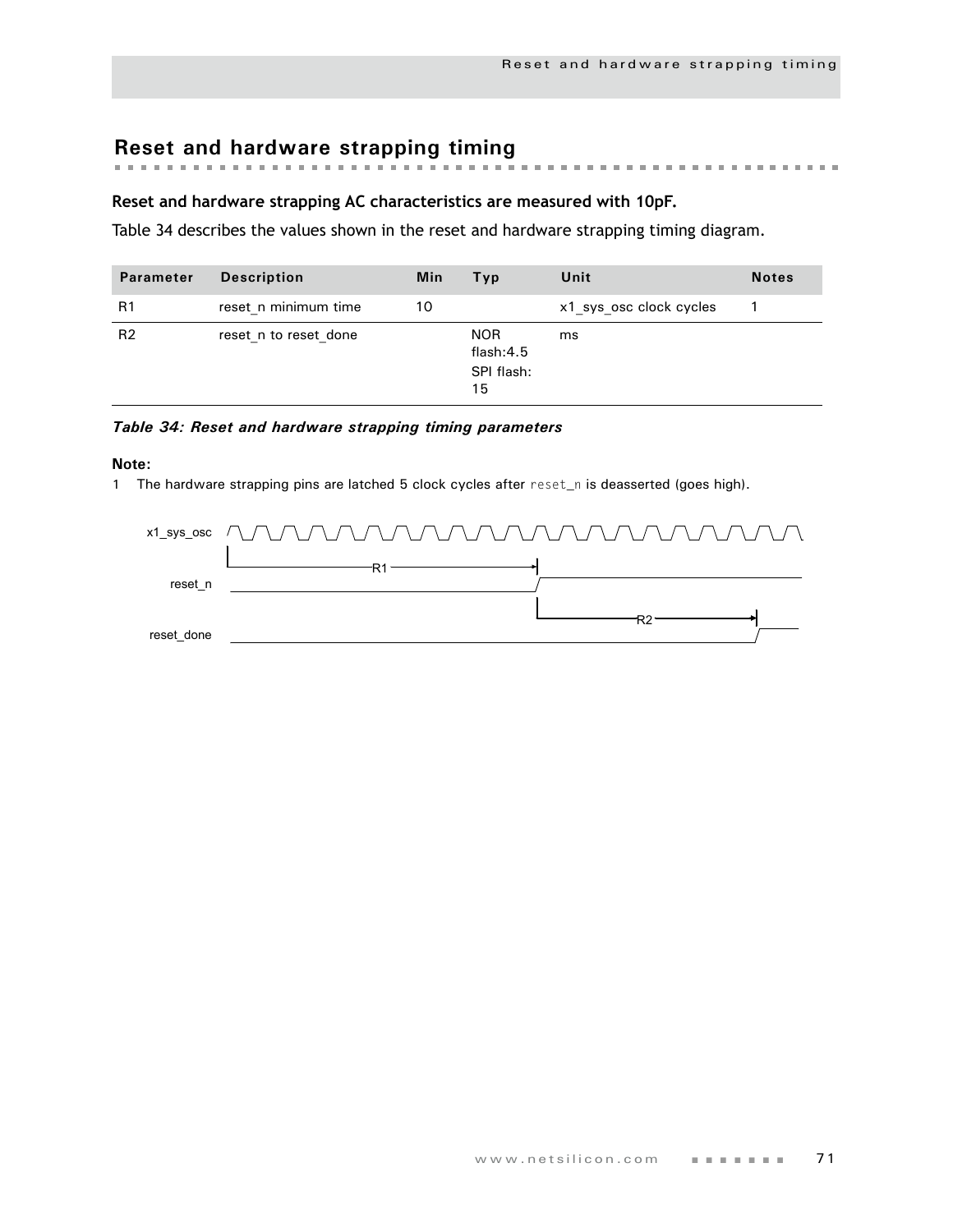# **Reset and hardware strapping timing**

### **Reset and hardware strapping AC characteristics are measured with 10pF.**

[Table 34](#page-74-0) describes the values shown in the reset and hardware strapping timing diagram.

| Parameter      | <b>Description</b>    | Min | Typ                                         | Unit                    | <b>Notes</b> |
|----------------|-----------------------|-----|---------------------------------------------|-------------------------|--------------|
| R1             | reset n minimum time  | 10  |                                             | x1 sys osc clock cycles |              |
| R <sub>2</sub> | reset n to reset done |     | <b>NOR</b><br>flash:4.5<br>SPI flash:<br>15 | ms                      |              |

#### <span id="page-74-0"></span>*Table 34: Reset and hardware strapping timing parameters*

#### **Note:**

1 The hardware strapping pins are latched 5 clock cycles after reset\_n is deasserted (goes high).

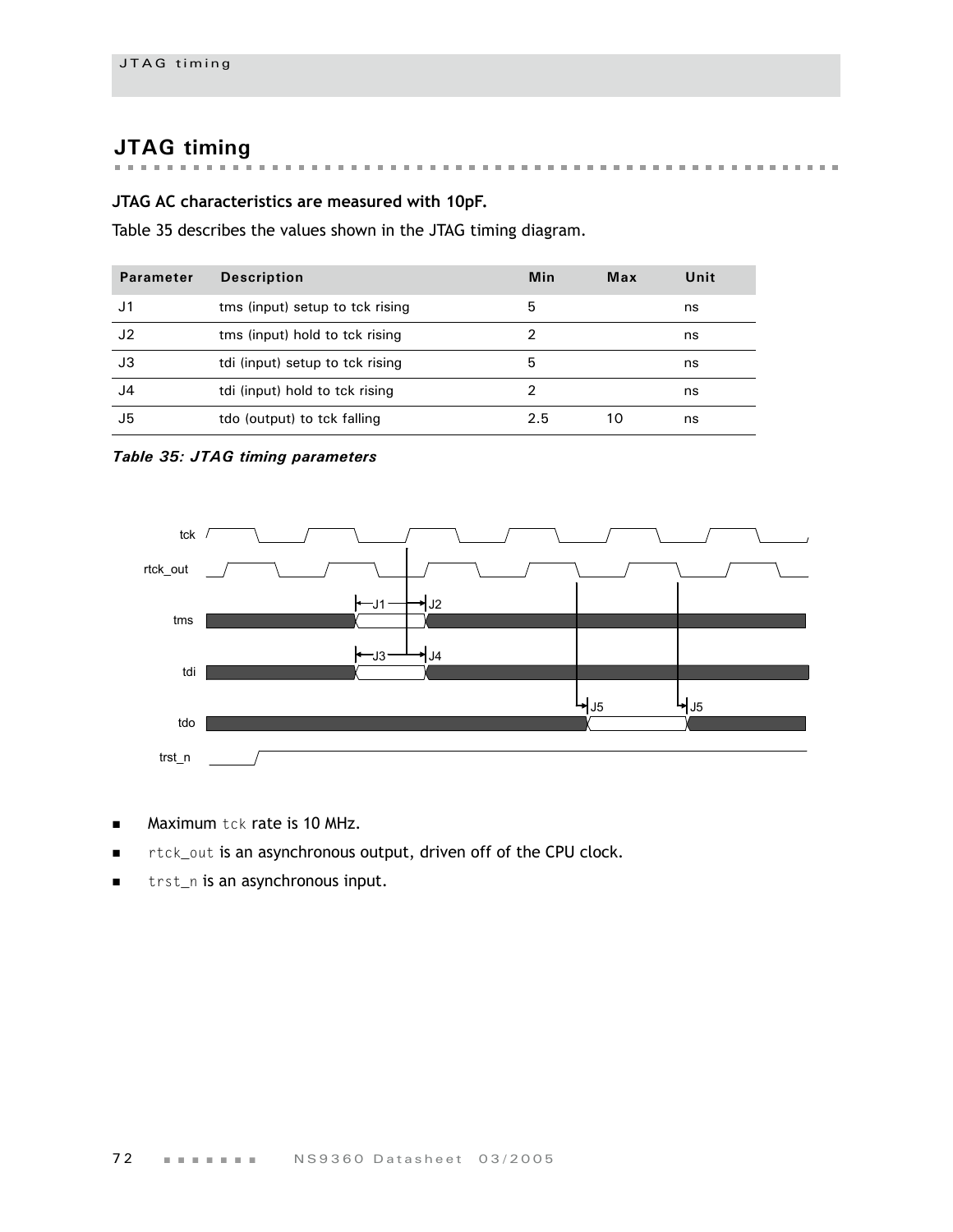# **JTAG timing**

# **JTAG AC characteristics are measured with 10pF.**

Table 35 describes the values shown in the JTAG timing diagram.

| <b>Parameter</b> | <b>Description</b>              | Min | Max | Unit |
|------------------|---------------------------------|-----|-----|------|
| J1               | tms (input) setup to tck rising | 5   |     | ns   |
| J <sub>2</sub>   | tms (input) hold to tck rising  |     |     | ns   |
| JЗ               | tdi (input) setup to tck rising | 5   |     | ns   |
| J4               | tdi (input) hold to tck rising  | 2   |     | ns   |
| J5               | tdo (output) to tck falling     | 2.5 | 10  | ns   |

*Table 35: JTAG timing parameters*



- **Maximum tck rate is 10 MHz.**
- rtck\_out is an asynchronous output, driven off of the CPU clock.
- **follogy** trst\_n is an asynchronous input.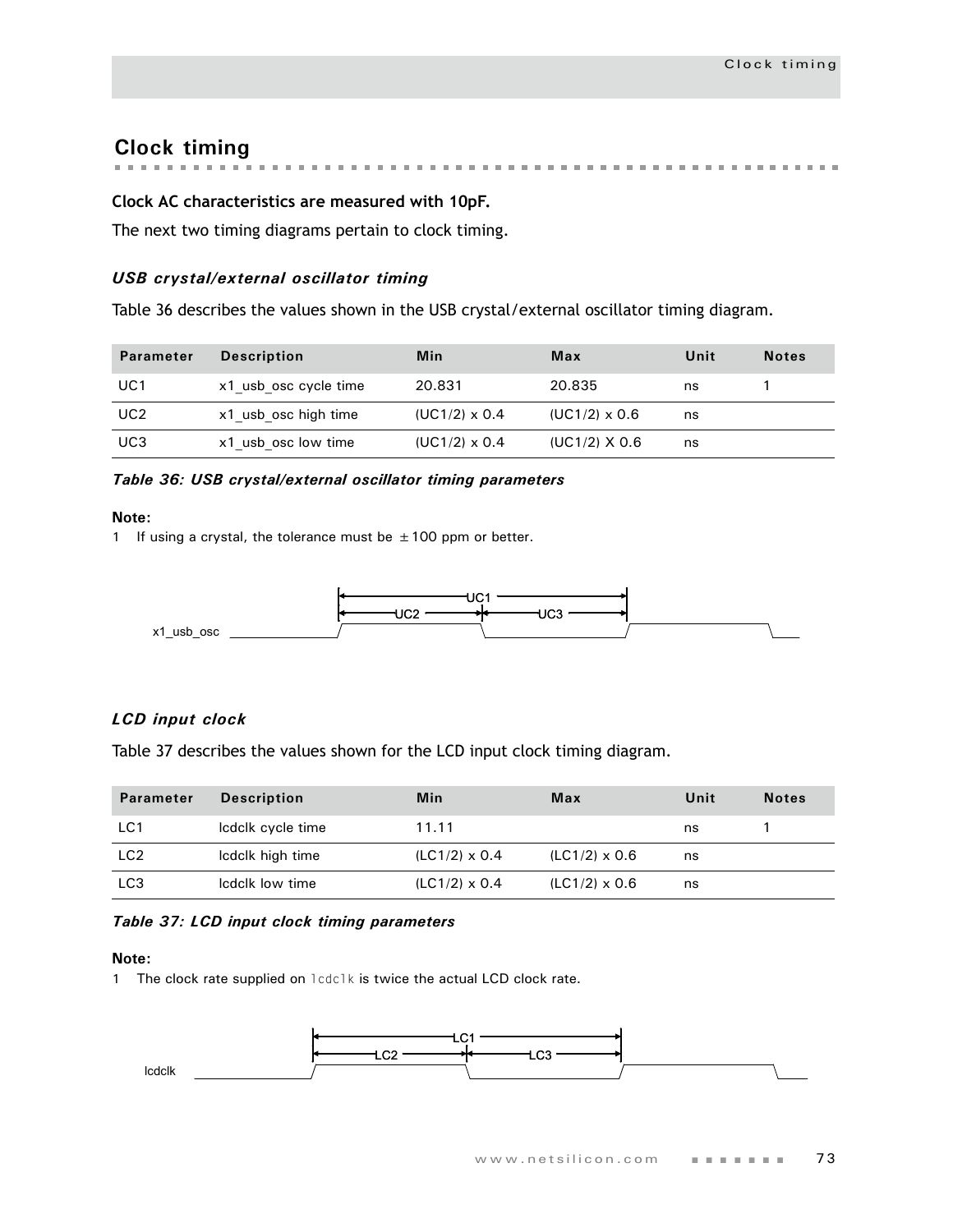# **Clock timing**

## **Clock AC characteristics are measured with 10pF.**

The next two timing diagrams pertain to clock timing.

### *USB crystal/external oscillator timing*

[Table 36](#page-76-0) describes the values shown in the USB crystal/external oscillator timing diagram.

| <b>Parameter</b> | <b>Description</b>    | Min                  | Max                  | Unit | <b>Notes</b> |
|------------------|-----------------------|----------------------|----------------------|------|--------------|
| UC1              | x1 usb osc cycle time | 20.831               | 20.835               | ns   |              |
| UC2              | x1 usb osc high time  | $(UC1/2) \times 0.4$ | $(UC1/2) \times 0.6$ | ns   |              |
| UC <sub>3</sub>  | x1 usb osc low time   | $(UC1/2) \times 0.4$ | $(UC1/2)$ X 0.6      | ns   |              |

#### <span id="page-76-0"></span>*Table 36: USB crystal/external oscillator timing parameters*

#### **Note:**

1 If using a crystal, the tolerance must be  $\pm$  100 ppm or better.



## *LCD input clock*

[Table 37](#page-76-1) describes the values shown for the LCD input clock timing diagram.

| <b>Parameter</b> | <b>Description</b> | Min                  | Max                  | Unit | <b>Notes</b> |
|------------------|--------------------|----------------------|----------------------|------|--------------|
| LC1              | Icdclk cycle time  | 11.11                |                      | ns   |              |
| LC <sub>2</sub>  | Icdclk high time   | $(LC1/2) \times 0.4$ | $(LC1/2) \times 0.6$ | ns   |              |
| LC <sub>3</sub>  | Icdclk low time    | $(LC1/2) \times 0.4$ | $(LC1/2) \times 0.6$ | ns   |              |

### <span id="page-76-1"></span>*Table 37: LCD input clock timing parameters*

#### **Note:**

1 The clock rate supplied on lodclk is twice the actual LCD clock rate.

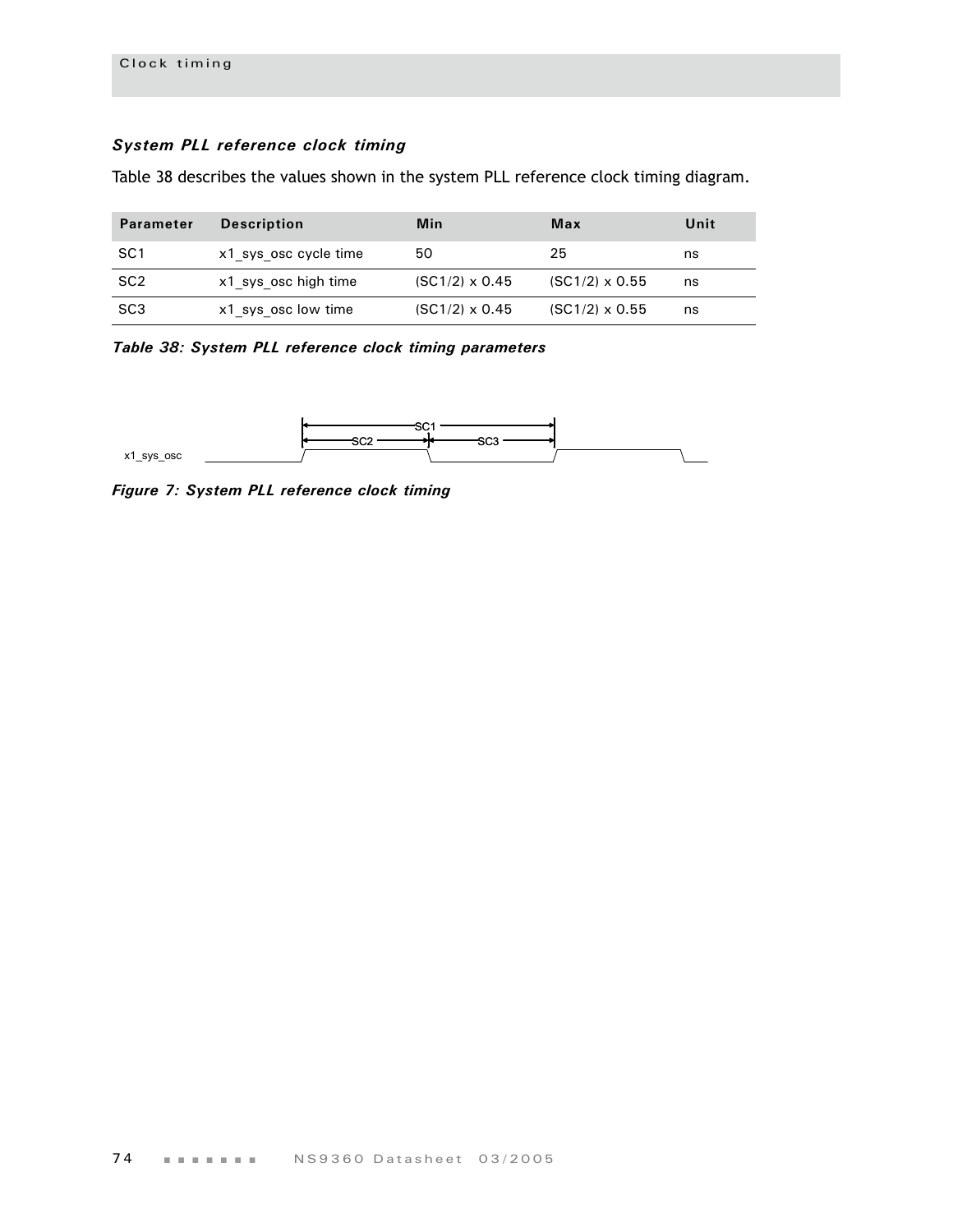## *System PLL reference clock timing*

Table 38 describes the values shown in the system PLL reference clock timing diagram.

| <b>Parameter</b> | <b>Description</b>    | Min                   | Max                   | Unit |
|------------------|-----------------------|-----------------------|-----------------------|------|
| SC1              | x1 sys osc cycle time | 50                    | 25                    | ns   |
| SC <sub>2</sub>  | x1 sys osc high time  | $(SC1/2) \times 0.45$ | $(SC1/2) \times 0.55$ | ns   |
| SC <sub>3</sub>  | x1 sys osc low time   | $(SC1/2) \times 0.45$ | $(SC1/2) \times 0.55$ | ns   |

*Table 38: System PLL reference clock timing parameters*



*Figure 7: System PLL reference clock timing*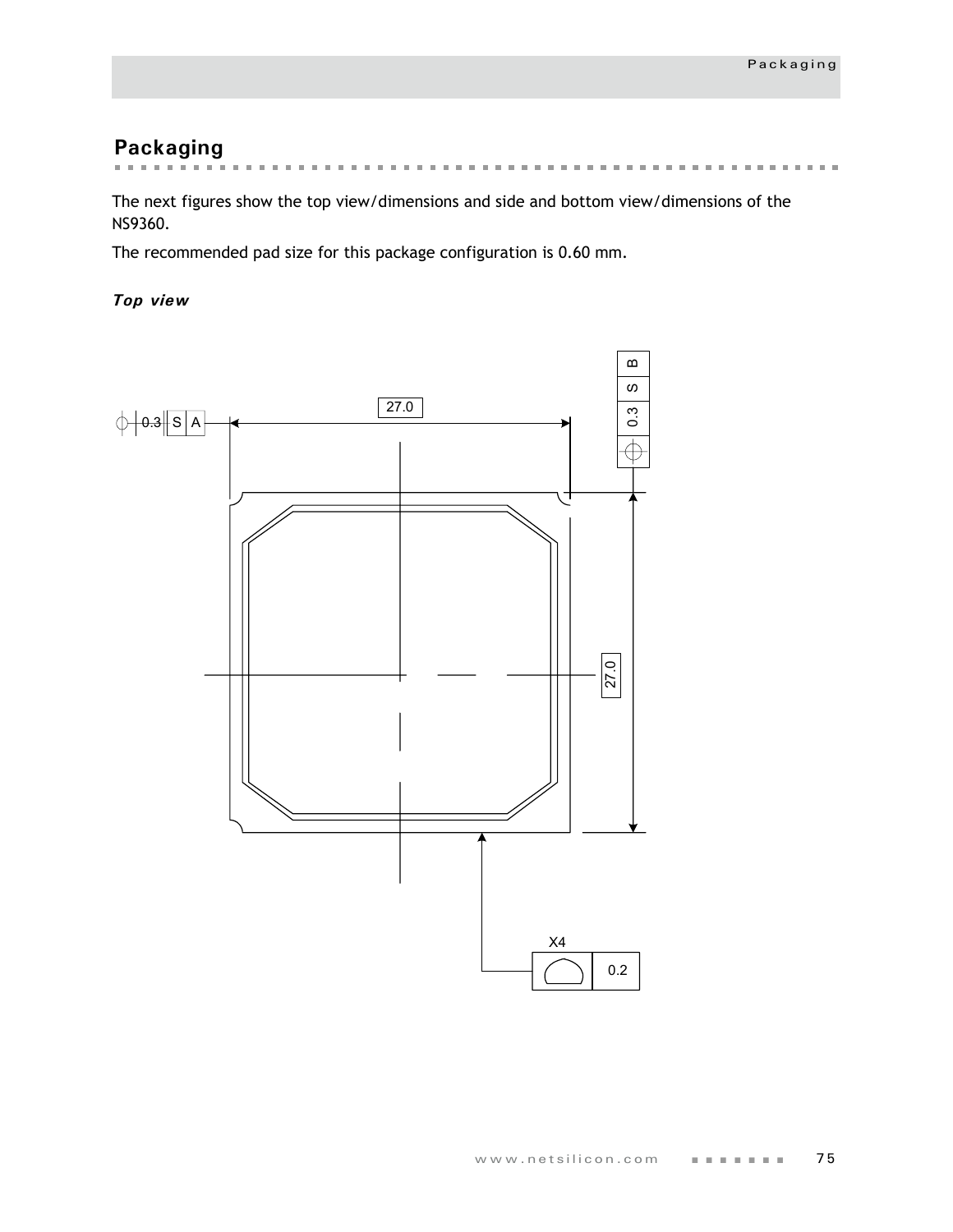# **Packaging**

**All All All All All All All All Building**  $\overline{\phantom{a}}$  $\overline{\phantom{a}}$  $\sim$  $\mathbf{m}$  $\sim$  $\mathbf{m}$  $\mathbb{R}^2$  $\sim$  $\mathbf{m}$  $\overline{\phantom{a}}$  $\sim$  $\mathbf{m}$  $\mathbf{m}$  $\sim$ 

The next figures show the top view/dimensions and side and bottom view/dimensions of the NS9360.

The recommended pad size for this package configuration is 0.60 mm.

## *Top view*

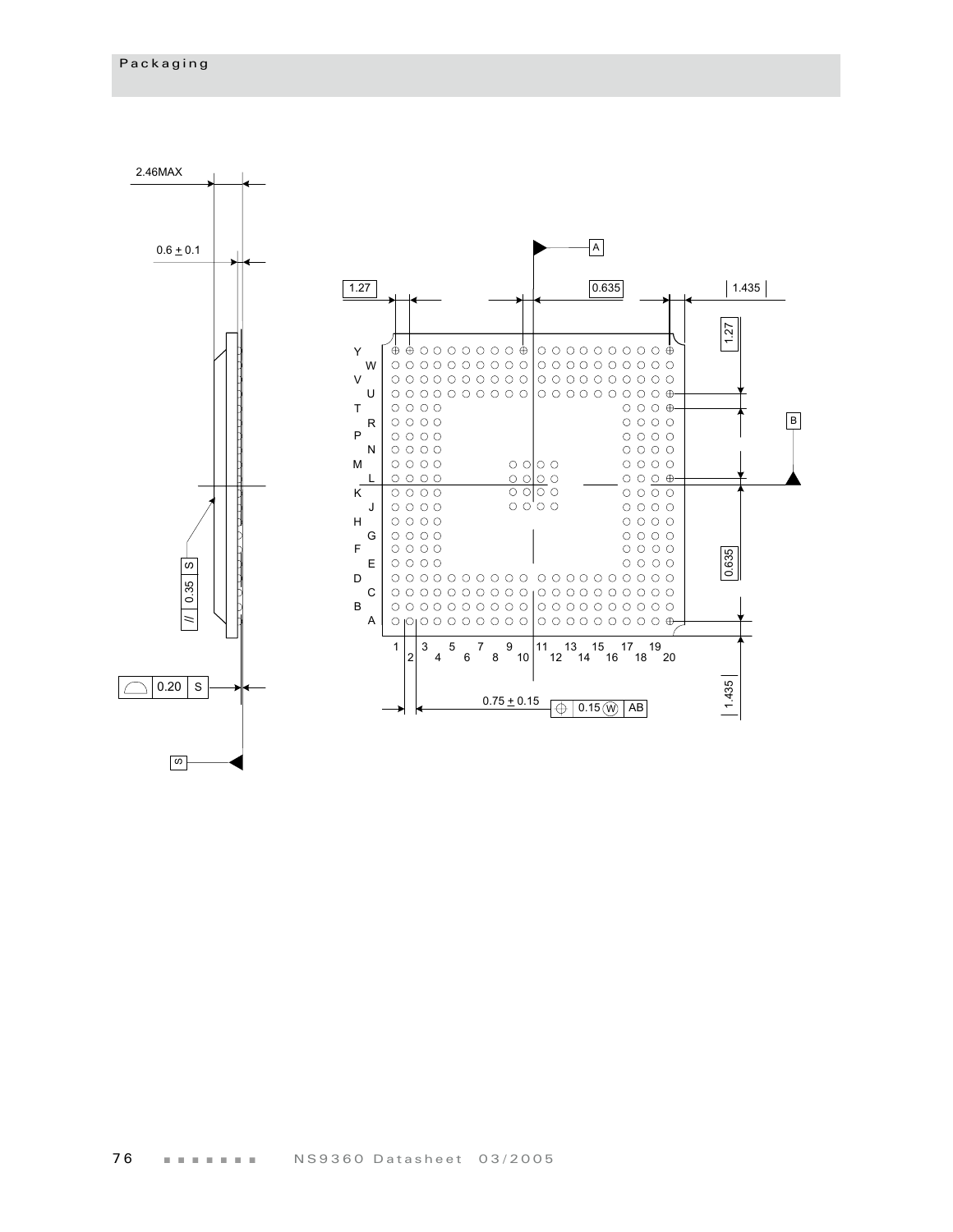ഗ

2.46MAX A  $0.6 \pm 0.1$  $\sqrt{1.27}$  $0.635$  $1.435$ 1.27  $\bullet \bullet \circ \circ \circ \circ \circ \circ \circ \bullet | \circ \circ \circ \circ \circ \circ \circ \circ \circ \bullet$ Y W V U T  $\circ \circ \circ \circ \circ$  $O$   $O$   $O$   $\oplus$ B  $\circ \circ \circ \circ \circ$ R  $\circ$   $\circ$   $\circ$   $\circ$ P  $\circ \circ \circ \circ \circ$  $\circ \circ \circ \circ \circ$  $\circ \circ \circ \circ \circ$ N  $\circ$   $\circ$   $\circ$   $\circ$ M  $\circ \circ \circ \circ \circ$  $\circ$   $\circ$   $\circ$  $\circ$   $\circ$   $\circ$   $\circ$  $\begin{array}{c} 0 & 0 & 0 \\ 0 & 0 & 0 \end{array}$  $\circ \circ \circ \circ$  $0000$ L K  $\circ \circ \circ \circ \circ$  $\circ$   $\circ$   $\circ$  $\circ \circ \circ \circ \circ$  $\frac{1}{2}$  $\circ$   $\circ$   $\circ$ J  $\circ$   $\circ$   $\circ$   $\circ$  $\circ$   $\circ$   $\circ$   $\circ$ H  $\circ \circ \circ \circ$  $\circ \circ \circ \circ \circ$ G  $\circ$   $\circ$   $\circ$   $\circ$  $\circ$   $\circ$   $\circ$   $\circ$ F  $\circ$   $\circ$   $\circ$   $\circ$  $\circ \circ \circ \circ \circ$ 0.635 1.435 0.635 E  $\circ \circ \circ \circ \circ$  $\circ \circ \circ \circ \circ$ S) D 0.35 C B A // 1 3 5 7 9 11 13 15 17 19 2 4 6 8 10 12 14 16 18 20  $|1.435$  $\bigcirc$  0.20  $\mid$  s  $0.75 \pm 0.15$   $\downarrow$  0.15  $\circ$  AB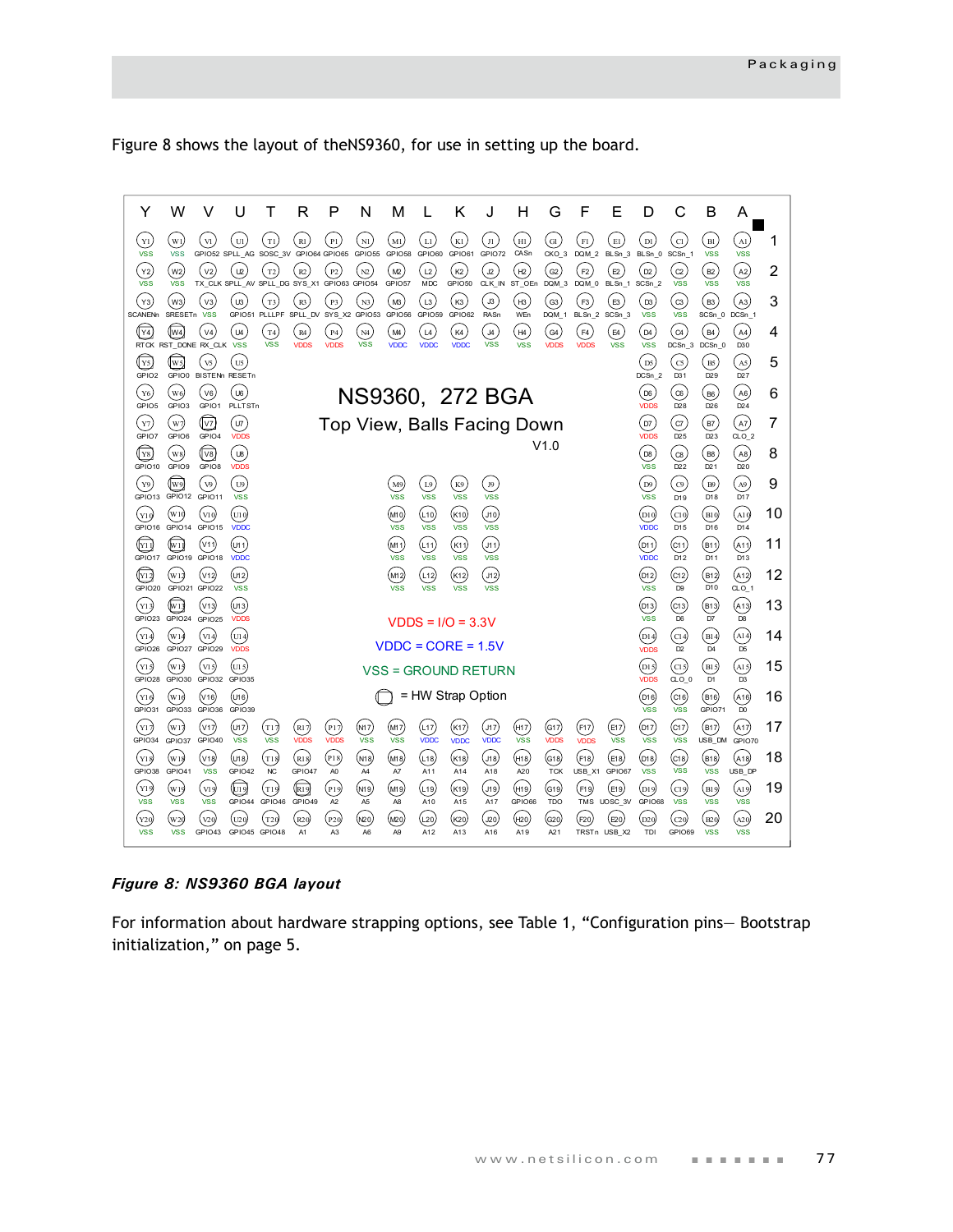[Figure 8](#page-80-0) shows the layout of theNS9360, for use in setting up the board.



*Figure 8: NS9360 BGA layout*

<span id="page-80-0"></span>For information about hardware strapping options, see Table 1, "Configuration pins— Bootstrap initialization," on page 5.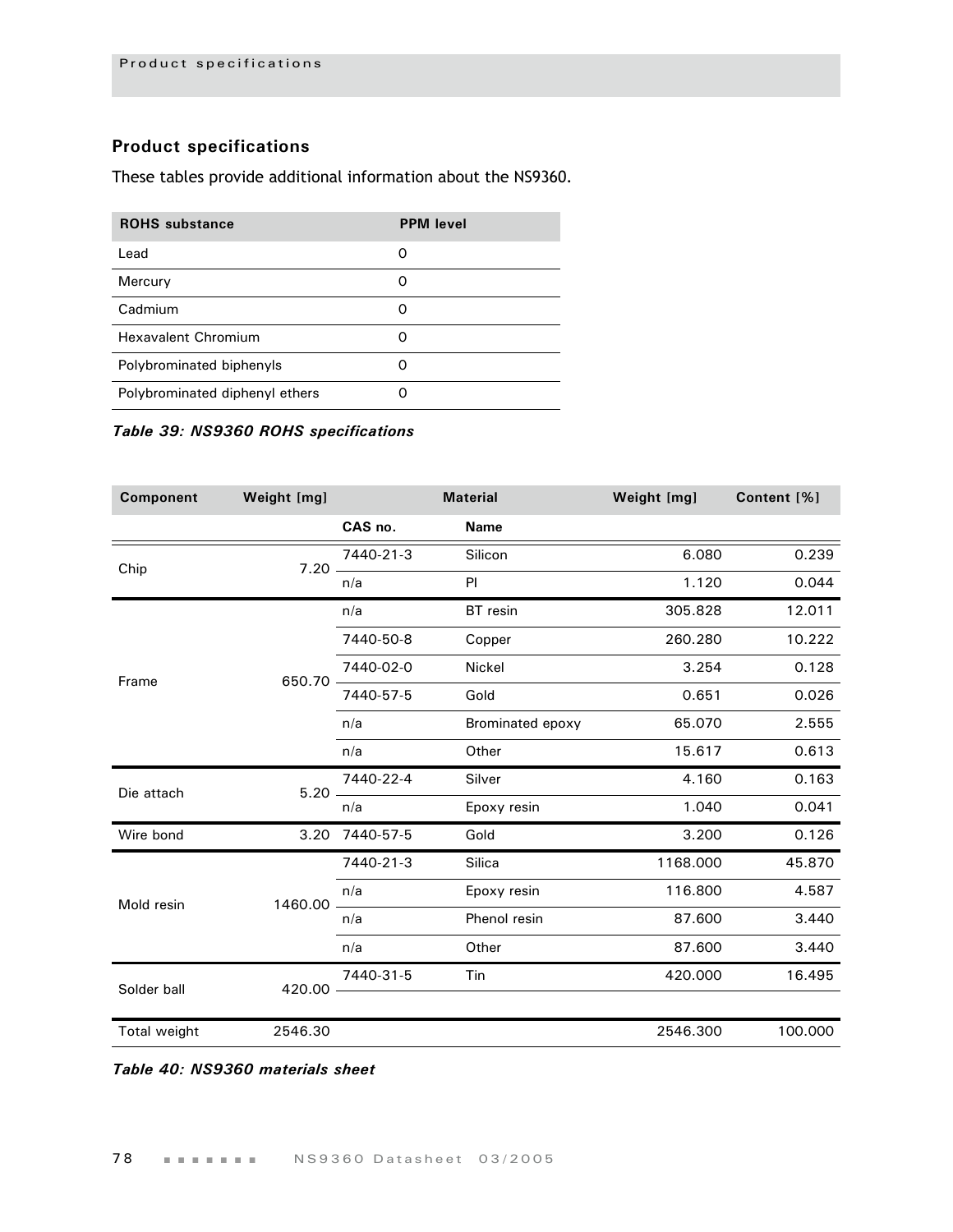# **Product specifications**

These tables provide additional information about the NS9360.

| <b>ROHS</b> substance          | <b>PPM</b> level |
|--------------------------------|------------------|
| l ead                          | Ω                |
| Mercury                        | O                |
| Cadmium                        | O                |
| Hexavalent Chromium            | O                |
| Polybrominated biphenyls       | Ω                |
| Polybrominated diphenyl ethers |                  |

### *Table 39: NS9360 ROHS specifications*

| Component    | Weight [mg] | <b>Material</b> |                  | Weight [mg] | Content [%] |
|--------------|-------------|-----------------|------------------|-------------|-------------|
|              |             | CAS no.         | <b>Name</b>      |             |             |
| Chip         | $7.20 -$    | 7440-21-3       | Silicon          | 6.080       | 0.239       |
|              |             | n/a             | PI               | 1.120       | 0.044       |
|              |             | n/a             | BT resin         | 305.828     | 12.011      |
|              |             | 7440-50-8       | Copper           | 260.280     | 10.222      |
| Frame        | 650.70      | 7440-02-0       | <b>Nickel</b>    | 3.254       | 0.128       |
|              |             | 7440-57-5       | Gold             | 0.651       | 0.026       |
|              |             | n/a             | Brominated epoxy | 65.070      | 2.555       |
|              |             | n/a             | Other            | 15.617      | 0.613       |
| Die attach   | $5.20 -$    | 7440-22-4       | Silver           | 4.160       | 0.163       |
|              |             | n/a             | Epoxy resin      | 1.040       | 0.041       |
| Wire bond    | 3.20        | 7440-57-5       | Gold             | 3.200       | 0.126       |
|              |             | 7440-21-3       | Silica           | 1168.000    | 45.870      |
| Mold resin   | 1460.00     | n/a             | Epoxy resin      | 116.800     | 4.587       |
|              |             | n/a             | Phenol resin     | 87.600      | 3.440       |
|              |             | n/a             | Other            | 87.600      | 3.440       |
| Solder ball  | 420.00      | 7440-31-5       | Tin              | 420.000     | 16.495      |
|              |             |                 |                  |             |             |
| Total weight | 2546.30     |                 |                  | 2546.300    | 100.000     |

*Table 40: NS9360 materials sheet*